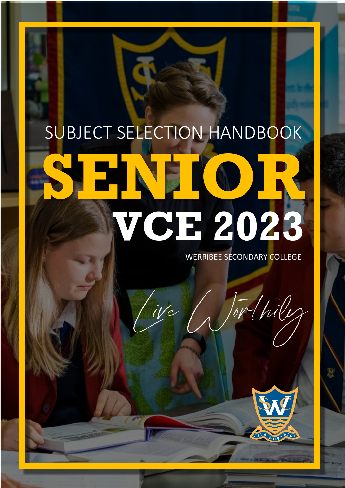# SUBJECT SELECTION HANDBOOK **SENIOR VCE 2023**

We

WERRIBEE SECONDARY COLLEGE

Jor thily

LIVE WORTHILY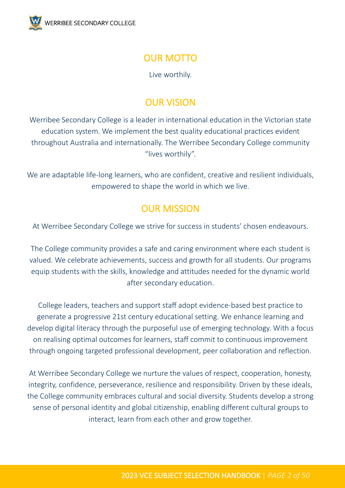

### OUR MOTTO

Live worthily.

### OUR VISION

Werribee Secondary College is a leader in international education in the Victorian state education system. We implement the best quality educational practices evident throughout Australia and internationally. The Werribee Secondary College community "lives worthily".

We are adaptable life-long learners, who are confident, creative and resilient individuals, empowered to shape the world in which we live.

### OUR MISSION

At Werribee Secondary College we strive for success in students' chosen endeavours.

The College community provides a safe and caring environment where each student is valued. We celebrate achievements, success and growth for all students. Our programs equip students with the skills, knowledge and attitudes needed for the dynamic world after secondary education.

College leaders, teachers and support staff adopt evidence-based best practice to generate a progressive 21st century educational setting. We enhance learning and develop digital literacy through the purposeful use of emerging technology. With a focus on realising optimal outcomes for learners, staff commit to continuous improvement through ongoing targeted professional development, peer collaboration and reflection.

At Werribee Secondary College we nurture the values of respect, cooperation, honesty, integrity, confidence, perseverance, resilience and responsibility. Driven by these ideals, the College community embraces cultural and social diversity. Students develop a strong sense of personal identity and global citizenship, enabling different cultural groups to interact, learn from each other and grow together.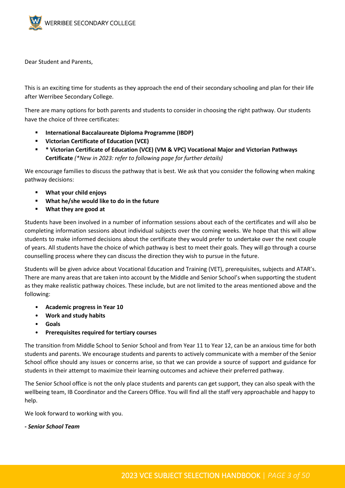

Dear Student and Parents,

This is an exciting time for students as they approach the end of their secondary schooling and plan for their life after Werribee Secondary College.

There are many options for both parents and students to consider in choosing the right pathway. Our students have the choice of three certificates:

- **International Baccalaureate Diploma Programme (IBDP)**
- **Victorian Certificate of Education (VCE)**
- **\* Victorian Certificate of Education (VCE) (VM & VPC) Vocational Major and Victorian Pathways Certificate** *(\*New in 2023: refer to following page for further details)*

We encourage families to discuss the pathway that is best. We ask that you consider the following when making pathway decisions:

- **What your child enjoys**
- **What he/she would like to do in the future**
- **What they are good at**

Students have been involved in a number of information sessions about each of the certificates and will also be completing information sessions about individual subjects over the coming weeks. We hope that this will allow students to make informed decisions about the certificate they would prefer to undertake over the next couple of years. All students have the choice of which pathway is best to meet their goals. They will go through a course counselling process where they can discuss the direction they wish to pursue in the future.

Students will be given advice about Vocational Education and Training (VET), prerequisites, subjects and ATAR's. There are many areas that are taken into account by the Middle and Senior School's when supporting the student as they make realistic pathway choices. These include, but are not limited to the areas mentioned above and the following:

- **Academic progress in Year 10**
- **Work and study habits**
- **Goals**
- **Prerequisites required for tertiary courses**

The transition from Middle School to Senior School and from Year 11 to Year 12, can be an anxious time for both students and parents. We encourage students and parents to actively communicate with a member of the Senior School office should any issues or concerns arise, so that we can provide a source of support and guidance for students in their attempt to maximize their learning outcomes and achieve their preferred pathway.

The Senior School office is not the only place students and parents can get support, they can also speak with the wellbeing team, IB Coordinator and the Careers Office. You will find all the staff very approachable and happy to help.

We look forward to working with you.

#### *- Senior School Team*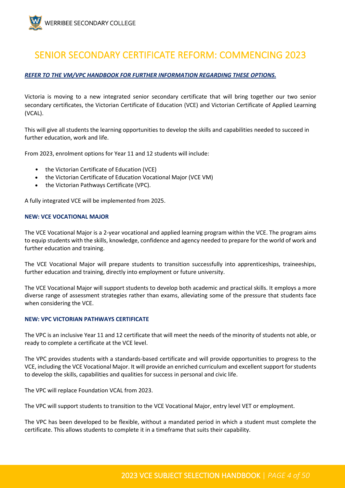

### <span id="page-3-0"></span>SENIOR SECONDARY CERTIFICATE REFORM: COMMENCING 2023

#### *REFER TO THE VM/VPC HANDBOOK FOR FURTHER INFORMATION REGARDING THESE OPTIONS.*

Victoria is moving to a new integrated senior secondary certificate that will bring together our two senior secondary certificates, the Victorian Certificate of Education (VCE) and Victorian Certificate of Applied Learning (VCAL).

This will give all students the learning opportunities to develop the skills and capabilities needed to succeed in further education, work and life.

From 2023, enrolment options for Year 11 and 12 students will include:

- the Victorian Certificate of Education (VCE)
- the Victorian Certificate of Education Vocational Major (VCE VM)
- the Victorian Pathways Certificate (VPC).

A fully integrated VCE will be implemented from 2025.

#### **NEW: VCE VOCATIONAL MAJOR**

The VCE Vocational Major is a 2-year vocational and applied learning program within the VCE. The program aims to equip students with the skills, knowledge, confidence and agency needed to prepare for the world of work and further education and training.

The VCE Vocational Major will prepare students to transition successfully into apprenticeships, traineeships, further education and training, directly into employment or future university.

The VCE Vocational Major will support students to develop both academic and practical skills. It employs a more diverse range of assessment strategies rather than exams, alleviating some of the pressure that students face when considering the VCE.

#### **NEW: VPC VICTORIAN PATHWAYS CERTIFICATE**

The VPC is an inclusive Year 11 and 12 certificate that will meet the needs of the minority of students not able, or ready to complete a certificate at the VCE level.

The VPC provides students with a standards-based certificate and will provide opportunities to progress to the VCE, including the VCE Vocational Major. It will provide an enriched curriculum and excellent support for students to develop the skills, capabilities and qualities for success in personal and civic life.

The VPC will replace Foundation VCAL from 2023.

The VPC will support students to transition to the VCE Vocational Major, entry level VET or employment.

The VPC has been developed to be flexible, without a mandated period in which a student must complete the certificate. This allows students to complete it in a timeframe that suits their capability.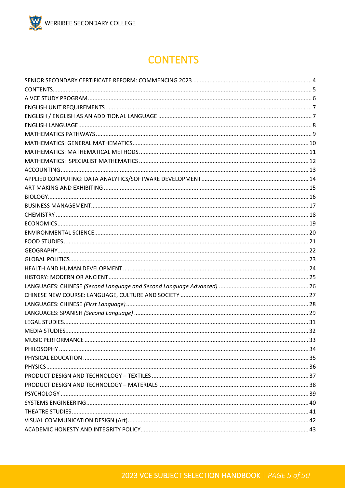# **CONTENTS**

<span id="page-4-0"></span>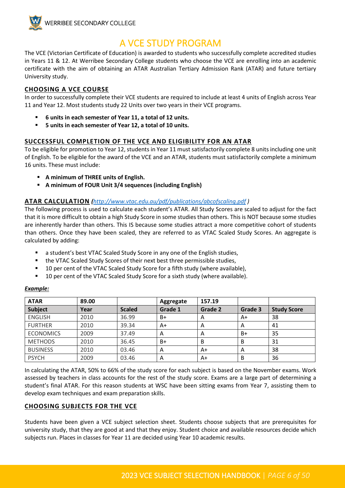

### A VCE STUDY PROGRAM

<span id="page-5-0"></span>The VCE (Victorian Certificate of Education) is awarded to students who successfully complete accredited studies in Years 11 & 12. At Werribee Secondary College students who choose the VCE are enrolling into an academic certificate with the aim of obtaining an ATAR Australian Tertiary Admission Rank (ATAR) and future tertiary University study.

#### **CHOOSING A VCE COURSE**

In order to successfully complete their VCE students are required to include at least 4 units of English across Year 11 and Year 12. Most students study 22 Units over two years in their VCE programs.

- **6 units in each semester of Year 11, a total of 12 units.**
- **5 units in each semester of Year 12, a total of 10 units.**

#### **SUCCESSFUL COMPLETION OF THE VCE AND ELIGIBILITY FOR AN ATAR**

To be eligible for promotion to Year 12, students in Year 11 must satisfactorily complete 8 units including one unit of English. To be eligible for the award of the VCE and an ATAR, students must satisfactorily complete a minimum 16 units. These must include:

- **A minimum of THREE units of English.**
- **A minimum of FOUR Unit 3/4 sequences (including English)**

#### **ATAR CALCULATION** *(<http://www.vtac.edu.au/pdf/publications/abcofscaling.pdf> )*

The following process is used to calculate each student's ATAR. All Study Scores are scaled to adjust for the fact that it is more difficult to obtain a high Study Score in some studies than others. This is NOT because some studies are inherently harder than others. This IS because some studies attract a more competitive cohort of students than others. Once they have been scaled, they are referred to as VTAC Scaled Study Scores. An aggregate is calculated by adding:

- a student's best VTAC Scaled Study Score in any one of the English studies,
- the VTAC Scaled Study Scores of their next best three permissible studies,
- 10 per cent of the VTAC Scaled Study Score for a fifth study (where available),
- 10 per cent of the VTAC Scaled Study Score for a sixth study (where available).

#### *Example:*

| <b>ATAR</b>      | 89.00 |               | Aggregate | 157.19         |         |                    |
|------------------|-------|---------------|-----------|----------------|---------|--------------------|
| <b>Subject</b>   | Year  | <b>Scaled</b> | Grade 1   | Grade 2        | Grade 3 | <b>Study Score</b> |
| <b>ENGLISH</b>   | 2010  | 36.99         | $B+$      | A              | A+      | 38                 |
| <b>FURTHER</b>   | 2010  | 39.34         | A+        | A              | A       | 41                 |
| <b>ECONOMICS</b> | 2009  | 37.49         | A         | $\overline{A}$ | B+      | 35                 |
| <b>METHODS</b>   | 2010  | 36.45         | $B+$      | В              | B       | 31                 |
| <b>BUSINESS</b>  | 2010  | 03.46         | Α         | A+             | A       | 38                 |
| <b>PSYCH</b>     | 2009  | 03.46         | A         | A+             | B       | 36                 |

In calculating the ATAR, 50% to 66% of the study score for each subject is based on the November exams. Work assessed by teachers in class accounts for the rest of the study score. Exams are a large part of determining a student's final ATAR. For this reason students at WSC have been sitting exams from Year 7, assisting them to develop exam techniques and exam preparation skills.

#### **CHOOSING SUBJECTS FOR THE VCE**

Students have been given a VCE subject selection sheet. Students choose subjects that are prerequisites for university study, that they are good at and that they enjoy. Student choice and available resources decide which subjects run. Places in classes for Year 11 are decided using Year 10 academic results.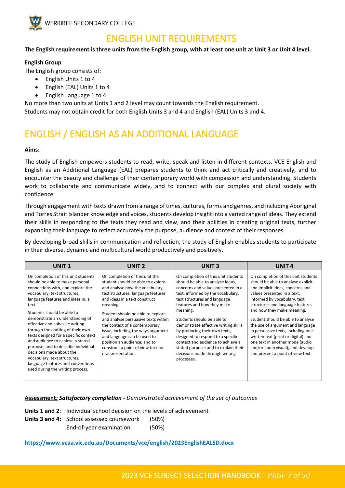

### <span id="page-6-0"></span>ENGLISH UNIT REQUIREMENTS

#### **The English requirement is three units from the English group, with at least one unit at Unit 3 or Unit 4 level.**

#### **English Group**

The English group consists of:

- English Units 1 to 4
- English (EAL) Units 1 to 4
- English Language 1 to 4

No more than two units at Units 1 and 2 level may count towards the English requirement. Students may not obtain credit for both English Units 3 and 4 and English (EAL) Units 3 and 4.

# <span id="page-6-1"></span>ENGLISH / ENGLISH AS AN ADDITIONAL LANGUAGE

#### **Aims:**

The study of English empowers students to read, write, speak and listen in different contexts. VCE English and English as an Additional Language (EAL) prepares students to think and act critically and creatively, and to encounter the beauty and challenge of their contemporary world with compassion and understanding. Students work to collaborate and communicate widely, and to connect with our complex and plural society with confidence.

Through engagement with texts drawn from a range of times, cultures, forms and genres, and including Aboriginal and Torres Strait Islander knowledge and voices, students develop insight into a varied range of ideas. They extend their skills in responding to the texts they read and view, and their abilities in creating original texts, further expanding their language to reflect accurately the purpose, audience and context of their responses.

By developing broad skills in communication and reflection, the study of English enables students to participate in their diverse, dynamic and multicultural world productively and positively.

| UNIT 1                                                                                                                                                                                                                                                                                                                                                                                                                                                                                                                                                                                     | <b>UNIT 2</b>                                                                                                                                                                                                                                                                                                                                                                                                                                                           | <b>UNIT3</b>                                                                                                                                                                                                                                                                                                                                                                                                                                                                                          | <b>UNIT 4</b>                                                                                                                                                                                                                                                                                                                                                                                                                                                                                                     |
|--------------------------------------------------------------------------------------------------------------------------------------------------------------------------------------------------------------------------------------------------------------------------------------------------------------------------------------------------------------------------------------------------------------------------------------------------------------------------------------------------------------------------------------------------------------------------------------------|-------------------------------------------------------------------------------------------------------------------------------------------------------------------------------------------------------------------------------------------------------------------------------------------------------------------------------------------------------------------------------------------------------------------------------------------------------------------------|-------------------------------------------------------------------------------------------------------------------------------------------------------------------------------------------------------------------------------------------------------------------------------------------------------------------------------------------------------------------------------------------------------------------------------------------------------------------------------------------------------|-------------------------------------------------------------------------------------------------------------------------------------------------------------------------------------------------------------------------------------------------------------------------------------------------------------------------------------------------------------------------------------------------------------------------------------------------------------------------------------------------------------------|
| On completion of this unit students<br>should be able to make personal<br>connections with, and explore the<br>vocabulary, text structures,<br>language features and ideas in, a<br>text.<br>Students should be able to<br>demonstrate an understanding of<br>effective and cohesive writing<br>through the crafting of their own<br>texts designed for a specific context<br>and audience to achieve a stated<br>purpose; and to describe individual<br>decisions made about the<br>vocabulary, text structures,<br>language features and conventions<br>used during the writing process. | On completion of this unit the<br>student should be able to explore<br>and analyse how the vocabulary,<br>text structures, language features<br>and ideas in a text construct<br>meaning.<br>Student should be able to explore<br>and analyse persuasive texts within<br>the context of a contemporary<br>issue, including the ways argument<br>and language can be used to<br>position an audience; and to<br>construct a point of view text for<br>oral presentation. | On completion of this unit students<br>should be able to analyse ideas,<br>concerns and values presented in a<br>text, informed by the vocabulary,<br>text structures and language<br>features and how they make<br>meaning.<br>Students should be able to<br>demonstrate effective writing skills<br>by producing their own texts,<br>designed to respond to a specific<br>context and audience to achieve a<br>stated purpose; and to explain their<br>decisions made through writing<br>processes. | On completion of this unit students<br>should be able to analyse explicit<br>and implicit ideas, concerns and<br>values presented in a text,<br>informed by vocabulary, text<br>structures and language features<br>and how they make meaning.<br>Student should be able to analyse<br>the use of argument and language<br>in persuasive texts, including one<br>written text (print or digital) and<br>one text in another mode (audio<br>and/or audio visual); and develop<br>and present a point of view text. |

#### **Assessment***: Satisfactory completion - Demonstrated achievement of the set of outcomes*

**Units 1 and 2**: Individual school decision on the levels of achievement

- **Units 3 and 4:** School assessed coursework (50%)
	- End-of-year examination (50%)

#### **https://www.vcaa.vic.edu.au/Documents/vce/english/2023EnglishEALSD.docx**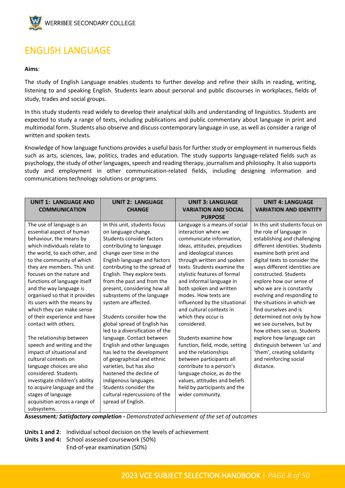

# <span id="page-7-0"></span>ENGLISH LANGUAGE

#### **Aims**:

The study of English Language enables students to further develop and refine their skills in reading, writing, listening to and speaking English. Students learn about personal and public discourses in workplaces, fields of study, trades and social groups.

In this study students read widely to develop their analytical skills and understanding of linguistics. Students are expected to study a range of texts, including publications and public commentary about language in print and multimodal form. Students also observe and discuss contemporary language in use, as well as consider a range of written and spoken texts.

Knowledge of how language functions provides a useful basis for further study or employment in numerous fields such as arts, sciences, law, politics, trades and education. The study supports language-related fields such as psychology, the study of other languages, speech and reading therapy, journalism and philosophy. It also supports study and employment in other communication-related fields, including designing information and communications technology solutions or programs.

| <b>UNIT 1: LANGUAGE AND</b><br><b>COMMUNICATION</b>                                                                                                                                                                                                                                                                                                                                                                                                                                                                  | <b>UNIT 2: LANGUAGE</b><br><b>CHANGE</b>                                                                                                                                                                                                                                                                                                                                                                                                                                                                                | <b>UNIT 3: LANGUAGE</b><br><b>VARIATION AND SOCIAL</b>                                                                                                                                                                                                                                                                                                                                                                                                                                | <b>UNIT 4: LANGUAGE</b><br><b>VARIATION AND IDENTITY</b>                                                                                                                                                                                                                                                                                                                                                                                                                                                                                           |
|----------------------------------------------------------------------------------------------------------------------------------------------------------------------------------------------------------------------------------------------------------------------------------------------------------------------------------------------------------------------------------------------------------------------------------------------------------------------------------------------------------------------|-------------------------------------------------------------------------------------------------------------------------------------------------------------------------------------------------------------------------------------------------------------------------------------------------------------------------------------------------------------------------------------------------------------------------------------------------------------------------------------------------------------------------|---------------------------------------------------------------------------------------------------------------------------------------------------------------------------------------------------------------------------------------------------------------------------------------------------------------------------------------------------------------------------------------------------------------------------------------------------------------------------------------|----------------------------------------------------------------------------------------------------------------------------------------------------------------------------------------------------------------------------------------------------------------------------------------------------------------------------------------------------------------------------------------------------------------------------------------------------------------------------------------------------------------------------------------------------|
|                                                                                                                                                                                                                                                                                                                                                                                                                                                                                                                      |                                                                                                                                                                                                                                                                                                                                                                                                                                                                                                                         | <b>PURPOSE</b>                                                                                                                                                                                                                                                                                                                                                                                                                                                                        |                                                                                                                                                                                                                                                                                                                                                                                                                                                                                                                                                    |
| The use of language is an<br>essential aspect of human<br>behaviour, the means by<br>which individuals relate to<br>the world, to each other, and<br>to the community of which<br>they are members. This unit<br>focuses on the nature and<br>functions of language itself<br>and the way language is<br>organised so that it provides<br>its users with the means by<br>which they can make sense<br>of their experience and have<br>contact with others.<br>The relationship between<br>speech and writing and the | In this unit, students focus<br>on language change.<br>Students consider factors<br>contributing to language<br>change over time in the<br>English language and factors<br>contributing to the spread of<br>English. They explore texts<br>from the past and from the<br>present, considering how all<br>subsystems of the language<br>system are affected.<br>Students consider how the<br>global spread of English has<br>led to a diversification of the<br>language. Contact between<br>English and other languages | Language is a means of social<br>interaction where we<br>communicate information,<br>ideas, attitudes, prejudices<br>and ideological stances<br>through written and spoken<br>texts. Students examine the<br>stylistic features of formal<br>and informal language in<br>both spoken and written<br>modes. How texts are<br>influenced by the situational<br>and cultural contexts in<br>which they occur is<br>considered.<br>Students examine how<br>function, field, mode, setting | In this unit students focus on<br>the role of language in<br>establishing and challenging<br>different identities. Students<br>examine both print and<br>digital texts to consider the<br>ways different identities are<br>constructed. Students<br>explore how our sense of<br>who we are is constantly<br>evolving and responding to<br>the situations in which we<br>find ourselves and is<br>determined not only by how<br>we see ourselves, but by<br>how others see us. Students<br>explore how language can<br>distinguish between 'us' and |
| impact of situational and<br>cultural contexts on<br>language choices are also<br>considered. Students<br>investigate children's ability<br>to acquire language and the<br>stages of language<br>acquisition across a range of<br>subsystems.                                                                                                                                                                                                                                                                        | has led to the development<br>of geographical and ethnic<br>varieties, but has also<br>hastened the decline of<br>indigenous languages.<br>Students consider the<br>cultural repercussions of the<br>spread of English.                                                                                                                                                                                                                                                                                                 | and the relationships<br>between participants all<br>contribute to a person's<br>language choice, as do the<br>values, attitudes and beliefs<br>held by participants and the<br>wider community.                                                                                                                                                                                                                                                                                      | 'them', creating solidarity<br>and reinforcing social<br>distance.                                                                                                                                                                                                                                                                                                                                                                                                                                                                                 |

**Assessment***: Satisfactory completion - Demonstrated achievement of the set of outcomes*

**Units 1 and 2**: Individual school decision on the levels of achievement **Units 3 and 4:** School assessed coursework (50%) End-of-year examination (50%)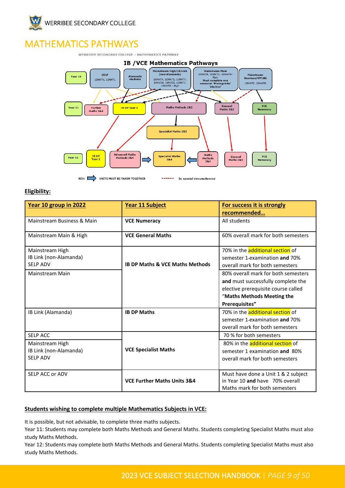

# <span id="page-8-0"></span>MATHEMATICS PATHWAYS

WERRIBEE SECONDARY COLLEGE - MATHEMATICS PATHWAY



#### **Eligibility:**

| Year 10 group in 2022                                                           | Year 11 Subject                            | For success it is strongly<br>recommended                                                                                                                        |
|---------------------------------------------------------------------------------|--------------------------------------------|------------------------------------------------------------------------------------------------------------------------------------------------------------------|
| Mainstream Business & Main                                                      | <b>VCE Numeracy</b>                        | All students                                                                                                                                                     |
| Mainstream Main & High                                                          | <b>VCE General Maths</b>                   | 60% overall mark for both semesters                                                                                                                              |
| Mainstream High<br>IB Link (non-Alamanda)<br><b>SELP ADV</b>                    | <b>IB DP Maths &amp; VCE Maths Methods</b> | 70% in the <b>additional section</b> of<br>semester 1-examination and 70%<br>overall mark for both semesters                                                     |
| Mainstream Main                                                                 |                                            | 80% overall mark for both semesters<br>and must successfully complete the<br>elective prerequisite course called<br>"Maths Methods Meeting the<br>Prerequisites" |
| IB Link (Alamanda)                                                              | <b>IB DP Maths</b>                         | 70% in the additional section of<br>semester 1-examination and 70%<br>overall mark for both semesters                                                            |
| <b>SELP ACC</b><br>Mainstream High<br>IB Link (non-Alamanda)<br><b>SELP ADV</b> | <b>VCE Specialist Maths</b>                | 70 % for both semesters<br>80% in the <b>additional section</b> of<br>semester 1 examination and 80%<br>overall mark for both semesters                          |
| SELP ACC or ADV                                                                 | <b>VCE Further Maths Units 3&amp;4</b>     | Must have done a Unit 1 & 2 subject<br>in Year 10 and have 70% overall<br>Maths mark for both semesters                                                          |

#### **Students wishing to complete multiple Mathematics Subjects in VCE:**

It is possible, but not advisable, to complete three maths subjects.

Year 11: Students may complete both Maths Methods and General Maths. Students completing Specialist Maths must also study Maths Methods.

Year 12: Students may complete both Maths Methods and General Maths. Students completing Specialist Maths must also study Maths Methods.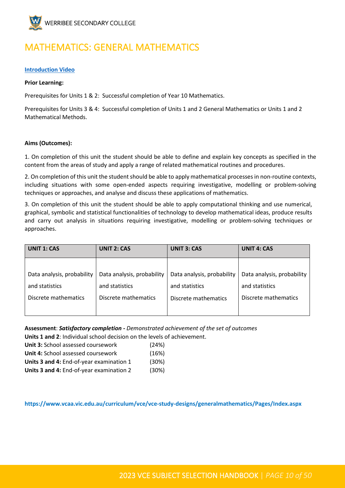

# <span id="page-9-0"></span>MATHEMATICS: GENERAL MATHEMATICS

#### **[Introduction Video](https://youtu.be/rVR_DJEoMOo)**

#### **Prior Learning:**

Prerequisites for Units 1 & 2: Successful completion of Year 10 Mathematics.

Prerequisites for Units 3 & 4: Successful completion of Units 1 and 2 General Mathematics or Units 1 and 2 Mathematical Methods.

#### **Aims (Outcomes):**

1. On completion of this unit the student should be able to define and explain key concepts as specified in the content from the areas of study and apply a range of related mathematical routines and procedures.

2. On completion of this unit the student should be able to apply mathematical processes in non-routine contexts, including situations with some open-ended aspects requiring investigative, modelling or problem-solving techniques or approaches, and analyse and discuss these applications of mathematics.

3. On completion of this unit the student should be able to apply computational thinking and use numerical, graphical, symbolic and statistical functionalities of technology to develop mathematical ideas, produce results and carry out analysis in situations requiring investigative, modelling or problem-solving techniques or approaches.

| <b>UNIT 1: CAS</b>         | <b>UNIT 2: CAS</b>         | <b>UNIT 3: CAS</b>         | <b>UNIT 4: CAS</b>         |
|----------------------------|----------------------------|----------------------------|----------------------------|
|                            |                            |                            |                            |
| Data analysis, probability | Data analysis, probability | Data analysis, probability | Data analysis, probability |
| and statistics             | and statistics             | and statistics             | and statistics             |
| Discrete mathematics       | Discrete mathematics       | Discrete mathematics       | Discrete mathematics       |
|                            |                            |                            |                            |

**Assessment**: *Satisfactory completion - Demonstrated achievement of the set of outcomes* **Units 1 and 2**: Individual school decision on the levels of achievement.

**Unit 3:** School assessed coursework (24%)

| <b>Unit 3:</b> School assessed coursework | $(24\%)$ |
|-------------------------------------------|----------|
| <b>Unit 4:</b> School assessed coursework | (16%)    |

| Units 3 and 4: End-of-year examination 1 | (30%) |
|------------------------------------------|-------|
| Units 3 and 4: End-of-year examination 2 | (30%) |

**https://www.vcaa.vic.edu.au/curriculum/vce/vce-study-designs/generalmathematics/Pages/Index.aspx**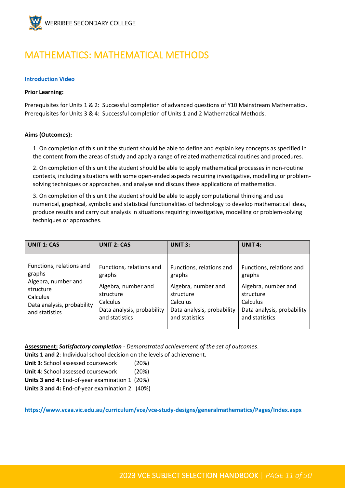

### <span id="page-10-0"></span>MATHEMATICS: MATHEMATICAL METHODS

#### **[Introduction Video](https://youtu.be/yRaNZSr97Pk)**

#### **Prior Learning:**

Prerequisites for Units 1 & 2: Successful completion of advanced questions of Y10 Mainstream Mathematics. Prerequisites for Units 3 & 4: Successful completion of Units 1 and 2 Mathematical Methods.

#### **Aims (Outcomes):**

1. On completion of this unit the student should be able to define and explain key concepts as specified in the content from the areas of study and apply a range of related mathematical routines and procedures.

2. On completion of this unit the student should be able to apply mathematical processes in non-routine contexts, including situations with some open-ended aspects requiring investigative, modelling or problemsolving techniques or approaches, and analyse and discuss these applications of mathematics.

3. On completion of this unit the student should be able to apply computational thinking and use numerical, graphical, symbolic and statistical functionalities of technology to develop mathematical ideas, produce results and carry out analysis in situations requiring investigative, modelling or problem-solving techniques or approaches.

| <b>UNIT 1: CAS</b>         | <b>UNIT 2: CAS</b>         | <b>UNIT 3:</b>             | <b>UNIT 4:</b>             |
|----------------------------|----------------------------|----------------------------|----------------------------|
| Functions, relations and   | Functions, relations and   | Functions, relations and   | Functions, relations and   |
| graphs                     | graphs                     | graphs                     | graphs                     |
| Algebra, number and        | Algebra, number and        | Algebra, number and        | Algebra, number and        |
| structure                  | structure                  | structure                  | structure                  |
| <b>Calculus</b>            | Calculus                   | Calculus                   | Calculus                   |
| Data analysis, probability | Data analysis, probability | Data analysis, probability | Data analysis, probability |
| and statistics             | and statistics             | and statistics             | and statistics             |

**Assessment:** *Satisfactory completion - Demonstrated achievement of the set of outcomes*.

**Units 1 and 2**: Individual school decision on the levels of achievement.

**Unit 3**: School assessed coursework (20%)

**Unit 4**: School assessed coursework (20%)

**Units 3 and 4:** End-of-year examination 1 (20%)

**Units 3 and 4:** End-of-year examination 2 (40%)

**https://www.vcaa.vic.edu.au/curriculum/vce/vce-study-designs/generalmathematics/Pages/Index.aspx**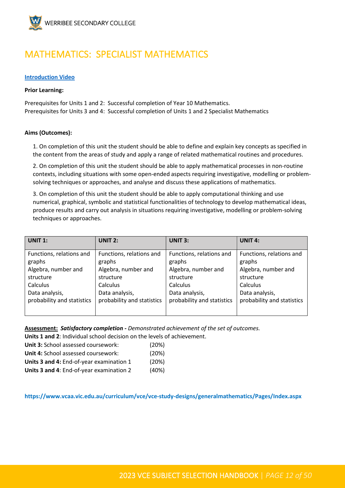

### <span id="page-11-0"></span>MATHEMATICS: SPECIALIST MATHEMATICS

#### **[Introduction Video](https://youtu.be/m7sh36u52U8)**

#### **Prior Learning:**

Prerequisites for Units 1 and 2: Successful completion of Year 10 Mathematics. Prerequisites for Units 3 and 4: Successful completion of Units 1 and 2 Specialist Mathematics

#### **Aims (Outcomes):**

1. On completion of this unit the student should be able to define and explain key concepts as specified in the content from the areas of study and apply a range of related mathematical routines and procedures.

2. On completion of this unit the student should be able to apply mathematical processes in non-routine contexts, including situations with some open-ended aspects requiring investigative, modelling or problemsolving techniques or approaches, and analyse and discuss these applications of mathematics.

3. On completion of this unit the student should be able to apply computational thinking and use numerical, graphical, symbolic and statistical functionalities of technology to develop mathematical ideas, produce results and carry out analysis in situations requiring investigative, modelling or problem-solving techniques or approaches.

| UNIT $1:$                          | UNIT $2:$                          | <b>UNIT 3:</b>                     | UNIT $4:$                          |
|------------------------------------|------------------------------------|------------------------------------|------------------------------------|
| Functions, relations and<br>graphs | Functions, relations and<br>graphs | Functions, relations and<br>graphs | Functions, relations and<br>graphs |
| Algebra, number and                | Algebra, number and                | Algebra, number and                | Algebra, number and                |
| structure                          | structure                          | structure                          | structure                          |
| Calculus                           | Calculus                           | Calculus                           | Calculus                           |
| Data analysis,                     | Data analysis,                     | Data analysis,                     | Data analysis,                     |
| probability and statistics         | probability and statistics         | probability and statistics         | probability and statistics         |
|                                    |                                    |                                    |                                    |

**Assessment:** *Satisfactory completion - Demonstrated achievement of the set of outcomes.*

**Units 1 and 2**: Individual school decision on the levels of achievement.

| Unit 3: School assessed coursework:      | (20%) |
|------------------------------------------|-------|
| Unit 4: School assessed coursework:      | (20%) |
| Units 3 and 4: End-of-year examination 1 | (20%) |

| Units 3 and 4: End-of-year examination 2 | (40%) |
|------------------------------------------|-------|
|------------------------------------------|-------|

**https://www.vcaa.vic.edu.au/curriculum/vce/vce-study-designs/generalmathematics/Pages/Index.aspx**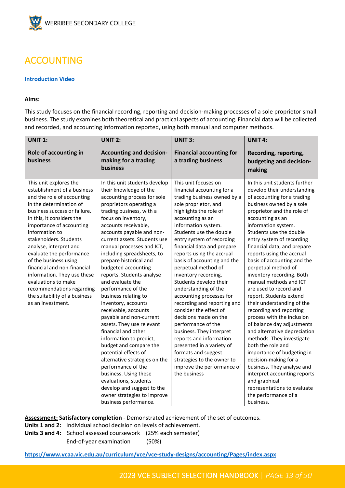

# <span id="page-12-0"></span>ACCOUNTING

#### **[Introduction Video](https://youtu.be/q6uR6n9ARFE)**

#### **Aims:**

This study focuses on the financial recording, reporting and decision-making processes of a sole proprietor small business. The study examines both theoretical and practical aspects of accounting. Financial data will be collected and recorded, and accounting information reported, using both manual and computer methods.

| <b>UNIT 1:</b>                                                                                                                                                                                                                                                                                                                                                                                                                                                                                             | <b>UNIT 2:</b>                                                                                                                                                                                                                                                                                                                                                                                                                                                                                                                                                                                                                                                                                                                                                                                                                                                                 | <b>UNIT 3:</b>                                                                                                                                                                                                                                                                                                                                                                                                                                                                                                                                                                                                                                                                                                                                               | <b>UNIT 4:</b>                                                                                                                                                                                                                                                                                                                                                                                                                                                                                                                                                                                                                                                                                                                                                                                                                                                                                          |
|------------------------------------------------------------------------------------------------------------------------------------------------------------------------------------------------------------------------------------------------------------------------------------------------------------------------------------------------------------------------------------------------------------------------------------------------------------------------------------------------------------|--------------------------------------------------------------------------------------------------------------------------------------------------------------------------------------------------------------------------------------------------------------------------------------------------------------------------------------------------------------------------------------------------------------------------------------------------------------------------------------------------------------------------------------------------------------------------------------------------------------------------------------------------------------------------------------------------------------------------------------------------------------------------------------------------------------------------------------------------------------------------------|--------------------------------------------------------------------------------------------------------------------------------------------------------------------------------------------------------------------------------------------------------------------------------------------------------------------------------------------------------------------------------------------------------------------------------------------------------------------------------------------------------------------------------------------------------------------------------------------------------------------------------------------------------------------------------------------------------------------------------------------------------------|---------------------------------------------------------------------------------------------------------------------------------------------------------------------------------------------------------------------------------------------------------------------------------------------------------------------------------------------------------------------------------------------------------------------------------------------------------------------------------------------------------------------------------------------------------------------------------------------------------------------------------------------------------------------------------------------------------------------------------------------------------------------------------------------------------------------------------------------------------------------------------------------------------|
| Role of accounting in<br>business                                                                                                                                                                                                                                                                                                                                                                                                                                                                          | <b>Accounting and decision-</b><br>making for a trading<br><b>business</b>                                                                                                                                                                                                                                                                                                                                                                                                                                                                                                                                                                                                                                                                                                                                                                                                     | <b>Financial accounting for</b><br>a trading business                                                                                                                                                                                                                                                                                                                                                                                                                                                                                                                                                                                                                                                                                                        | Recording, reporting,<br>budgeting and decision-<br>making                                                                                                                                                                                                                                                                                                                                                                                                                                                                                                                                                                                                                                                                                                                                                                                                                                              |
| This unit explores the<br>establishment of a business<br>and the role of accounting<br>in the determination of<br>business success or failure.<br>In this, it considers the<br>importance of accounting<br>information to<br>stakeholders. Students<br>analyse, interpret and<br>evaluate the performance<br>of the business using<br>financial and non-financial<br>information. They use these<br>evaluations to make<br>recommendations regarding<br>the suitability of a business<br>as an investment. | In this unit students develop<br>their knowledge of the<br>accounting process for sole<br>proprietors operating a<br>trading business, with a<br>focus on inventory,<br>accounts receivable,<br>accounts payable and non-<br>current assets. Students use<br>manual processes and ICT,<br>including spreadsheets, to<br>prepare historical and<br>budgeted accounting<br>reports. Students analyse<br>and evaluate the<br>performance of the<br>business relating to<br>inventory, accounts<br>receivable, accounts<br>payable and non-current<br>assets. They use relevant<br>financial and other<br>information to predict,<br>budget and compare the<br>potential effects of<br>alternative strategies on the<br>performance of the<br>business. Using these<br>evaluations, students<br>develop and suggest to the<br>owner strategies to improve<br>business performance. | This unit focuses on<br>financial accounting for a<br>trading business owned by a<br>sole proprietor, and<br>highlights the role of<br>accounting as an<br>information system.<br>Students use the double<br>entry system of recording<br>financial data and prepare<br>reports using the accrual<br>basis of accounting and the<br>perpetual method of<br>inventory recording.<br>Students develop their<br>understanding of the<br>accounting processes for<br>recording and reporting and<br>consider the effect of<br>decisions made on the<br>performance of the<br>business. They interpret<br>reports and information<br>presented in a variety of<br>formats and suggest<br>strategies to the owner to<br>improve the performance of<br>the business | In this unit students further<br>develop their understanding<br>of accounting for a trading<br>business owned by a sole<br>proprietor and the role of<br>accounting as an<br>information system.<br>Students use the double<br>entry system of recording<br>financial data, and prepare<br>reports using the accrual<br>basis of accounting and the<br>perpetual method of<br>inventory recording. Both<br>manual methods and ICT<br>are used to record and<br>report. Students extend<br>their understanding of the<br>recording and reporting<br>process with the inclusion<br>of balance day adjustments<br>and alternative depreciation<br>methods. They investigate<br>both the role and<br>importance of budgeting in<br>decision-making for a<br>business. They analyse and<br>interpret accounting reports<br>and graphical<br>representations to evaluate<br>the performance of a<br>business. |

**Assessment: Satisfactory completion** - Demonstrated achievement of the set of outcomes.

- **Units 1 and 2:** Individual school decision on levels of achievement.
- **Units 3 and 4:** School assessed coursework (25% each semester) End-of-year examination (50%)

**[https://www.vcaa.vic.edu.au/curriculum/vce/vce-study-designs/accounting/Pages/index.aspx](https://aus01.safelinks.protection.outlook.com/?url=https%3A%2F%2Fwww.vcaa.vic.edu.au%2Fcurriculum%2Fvce%2Fvce-study-designs%2Faccounting%2FPages%2Findex.aspx&data=05%7C01%7CToula.Papadimitropoulos%40education.vic.gov.au%7Cf1567a8b0a8e488f3ffb08da32df0f71%7Cd96cb3371a8744cfb69b3cec334a4c1f%7C0%7C0%7C637878230862554941%7CUnknown%7CTWFpbGZsb3d8eyJWIjoiMC4wLjAwMDAiLCJQIjoiV2luMzIiLCJBTiI6Ik1haWwiLCJXVCI6Mn0%3D%7C3000%7C%7C%7C&sdata=jUHeYZl%2B3BpBpVZvcyGFUkV6t33KtFBm8%2BDJ6M7ae34%3D&reserved=0)**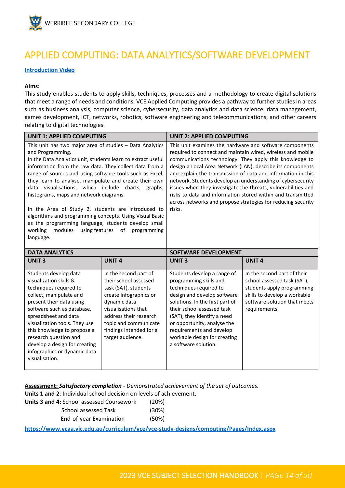

### <span id="page-13-0"></span>APPLIED COMPUTING: DATA ANALYTICS/SOFTWARE DEVELOPMENT

**[Introduction Video](https://youtu.be/sbZsdtLq3LE)**

#### **Aims:**

This study enables students to apply skills, techniques, processes and a methodology to create digital solutions that meet a range of needs and conditions. VCE Applied Computing provides a pathway to further studies in areas such as business analysis, computer science, cybersecurity, data analytics and data science, data management, games development, ICT, networks, robotics, software engineering and telecommunications, and other careers relating to digital technologies.

| <b>UNIT 1: APPLIED COMPUTING</b>                                                                                                                                                                                                                                                                                                                                                                                                                                                                                                                                                                                                                                             |                                                | <b>UNIT 2: APPLIED COMPUTING</b>                                                                                                                                                                                                                                                                                                                                                                                                                                                                                                                                                         |                             |
|------------------------------------------------------------------------------------------------------------------------------------------------------------------------------------------------------------------------------------------------------------------------------------------------------------------------------------------------------------------------------------------------------------------------------------------------------------------------------------------------------------------------------------------------------------------------------------------------------------------------------------------------------------------------------|------------------------------------------------|------------------------------------------------------------------------------------------------------------------------------------------------------------------------------------------------------------------------------------------------------------------------------------------------------------------------------------------------------------------------------------------------------------------------------------------------------------------------------------------------------------------------------------------------------------------------------------------|-----------------------------|
| This unit has two major area of studies - Data Analytics<br>and Programming.<br>In the Data Analytics unit, students learn to extract useful<br>information from the raw data. They collect data from a<br>range of sources and using software tools such as Excel,<br>they learn to analyse, manipulate and create their own<br>data visualisations, which include charts, graphs,<br>histograms, maps and network diagrams.<br>In the Area of Study 2, students are introduced to<br>algorithms and programming concepts. Using Visual Basic<br>as the programming language, students develop small<br>modules<br>using features of<br>working<br>programming<br>language. |                                                | This unit examines the hardware and software components<br>required to connect and maintain wired, wireless and mobile<br>communications technology. They apply this knowledge to<br>design a Local Area Network (LAN), describe its components<br>and explain the transmission of data and information in this<br>network. Students develop an understanding of cybersecurity<br>issues when they investigate the threats, vulnerabilities and<br>risks to data and information stored within and transmitted<br>across networks and propose strategies for reducing security<br>risks. |                             |
| <b>DATA ANALYTICS</b>                                                                                                                                                                                                                                                                                                                                                                                                                                                                                                                                                                                                                                                        |                                                | <b>SOFTWARE DEVELOPMENT</b>                                                                                                                                                                                                                                                                                                                                                                                                                                                                                                                                                              |                             |
| <b>UNIT3</b>                                                                                                                                                                                                                                                                                                                                                                                                                                                                                                                                                                                                                                                                 | <b>UNIT4</b>                                   | <b>UNIT3</b>                                                                                                                                                                                                                                                                                                                                                                                                                                                                                                                                                                             | <b>UNIT4</b>                |
| Students develop data<br>visualization skills &<br>techniques required to                                                                                                                                                                                                                                                                                                                                                                                                                                                                                                                                                                                                    | In the second part of<br>their school assessed | Students develop a range of<br>programming skills and                                                                                                                                                                                                                                                                                                                                                                                                                                                                                                                                    | In the second part of their |

**Assessment:** *Satisfactory completion - Demonstrated achievement of the set of outcomes.* **Units 1 and 2**: Individual school decision on levels of achievement.

| <b>Units 3 and 4: School assessed Coursework</b> | (20%)    |
|--------------------------------------------------|----------|
| School assessed Task                             | $(30\%)$ |
| End-of-year Examination                          | (50%)    |

**<https://www.vcaa.vic.edu.au/curriculum/vce/vce-study-designs/computing/Pages/Index.aspx>**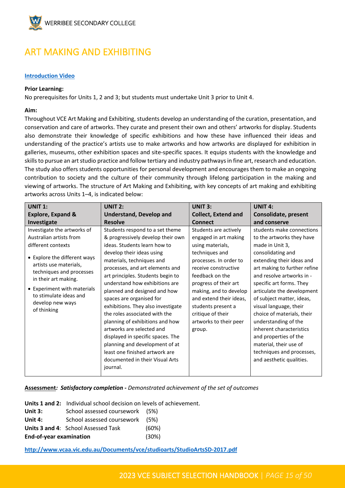

### <span id="page-14-0"></span>ART MAKING AND EXHIBITING

#### **[Introduction Video](https://youtu.be/pM4t7w30VtU)**

#### **Prior Learning:**

No prerequisites for Units 1, 2 and 3; but students must undertake Unit 3 prior to Unit 4.

#### **Aim:**

Throughout VCE Art Making and Exhibiting, students develop an understanding of the curation, presentation, and conservation and care of artworks. They curate and present their own and others' artworks for display. Students also demonstrate their knowledge of specific exhibitions and how these have influenced their ideas and understanding of the practice's artists use to make artworks and how artworks are displayed for exhibition in galleries, museums, other exhibition spaces and site-specific spaces. It equips students with the knowledge and skills to pursue an art studio practice and follow tertiary and industry pathways in fine art, research and education. The study also offers students opportunities for personal development and encourages them to make an ongoing contribution to society and the culture of their community through lifelong participation in the making and viewing of artworks. The structure of Art Making and Exhibiting, with key concepts of art making and exhibiting artworks across Units 1–4, is indicated below:

| <b>UNIT 1:</b>                                                                                                                                                                                                                                                                         | <b>UNIT 2:</b>                                                                                                                                                                                                                                                                                                                                                                                                                                                                                                                                                                                                                      | <b>UNIT 3:</b>                                                                                                                                                                                                                                                                                                         | <b>UNIT 4:</b>                                                                                                                                                                                                                                                                                                                                                                                                                                                                                          |
|----------------------------------------------------------------------------------------------------------------------------------------------------------------------------------------------------------------------------------------------------------------------------------------|-------------------------------------------------------------------------------------------------------------------------------------------------------------------------------------------------------------------------------------------------------------------------------------------------------------------------------------------------------------------------------------------------------------------------------------------------------------------------------------------------------------------------------------------------------------------------------------------------------------------------------------|------------------------------------------------------------------------------------------------------------------------------------------------------------------------------------------------------------------------------------------------------------------------------------------------------------------------|---------------------------------------------------------------------------------------------------------------------------------------------------------------------------------------------------------------------------------------------------------------------------------------------------------------------------------------------------------------------------------------------------------------------------------------------------------------------------------------------------------|
| <b>Explore, Expand &amp;</b>                                                                                                                                                                                                                                                           | <b>Understand, Develop and</b>                                                                                                                                                                                                                                                                                                                                                                                                                                                                                                                                                                                                      | <b>Collect, Extend and</b>                                                                                                                                                                                                                                                                                             | Consolidate, present                                                                                                                                                                                                                                                                                                                                                                                                                                                                                    |
| Investigate                                                                                                                                                                                                                                                                            | <b>Resolve</b>                                                                                                                                                                                                                                                                                                                                                                                                                                                                                                                                                                                                                      | <b>Connect</b>                                                                                                                                                                                                                                                                                                         | and conserve                                                                                                                                                                                                                                                                                                                                                                                                                                                                                            |
| Investigate the artworks of<br>Australian artists from<br>different contexts<br>• Explore the different ways<br>artists use materials,<br>techniques and processes<br>in their art making.<br>• Experiment with materials<br>to stimulate ideas and<br>develop new ways<br>of thinking | Students respond to a set theme<br>& progressively develop their own<br>ideas. Students learn how to<br>develop their ideas using<br>materials, techniques and<br>processes, and art elements and<br>art principles. Students begin to<br>understand how exhibitions are<br>planned and designed and how<br>spaces are organised for<br>exhibitions. They also investigate<br>the roles associated with the<br>planning of exhibitions and how<br>artworks are selected and<br>displayed in specific spaces. The<br>planning and development of at<br>least one finished artwork are<br>documented in their Visual Arts<br>journal. | Students are actively<br>engaged in art making<br>using materials,<br>techniques and<br>processes. In order to<br>receive constructive<br>feedback on the<br>progress of their art<br>making, and to develop<br>and extend their ideas,<br>students present a<br>critique of their<br>artworks to their peer<br>group. | students make connections<br>to the artworks they have<br>made in Unit 3,<br>consolidating and<br>extending their ideas and<br>art making to further refine<br>and resolve artworks in -<br>specific art forms. They<br>articulate the development<br>of subject matter, ideas,<br>visual language, their<br>choice of materials, their<br>understanding of the<br>inherent characteristics<br>and properties of the<br>material, their use of<br>techniques and processes,<br>and aesthetic qualities. |

#### **Assessment***: Satisfactory completion - Demonstrated achievement of the set of outcomes*

**Units 1 and 2:** Individual school decision on levels of achievement.

| Unit 3: | School assessed coursework (5%) |  |
|---------|---------------------------------|--|
|---------|---------------------------------|--|

| (5%)<br>School assessed coursework<br>Unit 4: |  |
|-----------------------------------------------|--|
|-----------------------------------------------|--|

**Units 3 and 4:** School Assessed Task (60%)

**End-of-year examination** (30%)

**<http://www.vcaa.vic.edu.au/Documents/vce/studioarts/StudioArtsSD-2017.pdf>**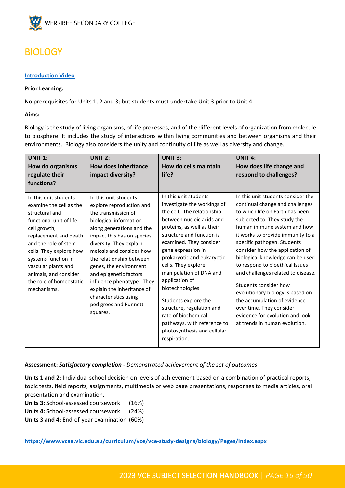

### <span id="page-15-0"></span>**BIOLOGY**

#### **[Introduction Video](https://youtu.be/DixCrYBl-ds)**

#### **Prior Learning:**

No prerequisites for Units 1, 2 and 3; but students must undertake Unit 3 prior to Unit 4.

#### **Aims:**

Biology is the study of living organisms, of life processes, and of the different levels of organization from molecule to biosphere. It includes the study of interactions within living communities and between organisms and their environments. Biology also considers the unity and continuity of life as well as diversity and change.

| <b>UNIT 1:</b><br>How do organisms<br>regulate their<br>functions?                                                                                                                                                                                                                                          | <b>UNIT 2:</b><br><b>How does inheritance</b><br>impact diversity?                                                                                                                                                                                                                                                                                                                                                            | <b>UNIT 3:</b><br>How do cells maintain<br>life?                                                                                                                                                                                                                                                                                                                                                                                                                                                            | <b>UNIT 4:</b><br>How does life change and<br>respond to challenges?                                                                                                                                                                                                                                                                                                                                                                                                                                                                                                                     |
|-------------------------------------------------------------------------------------------------------------------------------------------------------------------------------------------------------------------------------------------------------------------------------------------------------------|-------------------------------------------------------------------------------------------------------------------------------------------------------------------------------------------------------------------------------------------------------------------------------------------------------------------------------------------------------------------------------------------------------------------------------|-------------------------------------------------------------------------------------------------------------------------------------------------------------------------------------------------------------------------------------------------------------------------------------------------------------------------------------------------------------------------------------------------------------------------------------------------------------------------------------------------------------|------------------------------------------------------------------------------------------------------------------------------------------------------------------------------------------------------------------------------------------------------------------------------------------------------------------------------------------------------------------------------------------------------------------------------------------------------------------------------------------------------------------------------------------------------------------------------------------|
| In this unit students<br>examine the cell as the<br>structural and<br>functional unit of life:<br>cell growth,<br>replacement and death<br>and the role of stem<br>cells. They explore how<br>systems function in<br>vascular plants and<br>animals, and consider<br>the role of homeostatic<br>mechanisms. | In this unit students<br>explore reproduction and<br>the transmission of<br>biological information<br>along generations and the<br>impact this has on species<br>diversity. They explain<br>meiosis and consider how<br>the relationship between<br>genes, the environment<br>and epigenetic factors<br>influence phenotype. They<br>explain the inheritance of<br>characteristics using<br>pedigrees and Punnett<br>squares. | In this unit students<br>investigate the workings of<br>the cell. The relationship<br>between nucleic acids and<br>proteins, as well as their<br>structure and function is<br>examined. They consider<br>gene expression in<br>prokaryotic and eukaryotic<br>cells. They explore<br>manipulation of DNA and<br>application of<br>biotechnologies.<br>Students explore the<br>structure, regulation and<br>rate of biochemical<br>pathways, with reference to<br>photosynthesis and cellular<br>respiration. | In this unit students consider the<br>continual change and challenges<br>to which life on Earth has been<br>subjected to. They study the<br>human immune system and how<br>it works to provide immunity to a<br>specific pathogen. Students<br>consider how the application of<br>biological knowledge can be used<br>to respond to bioethical issues<br>and challenges related to disease.<br>Students consider how<br>evolutionary biology is based on<br>the accumulation of evidence<br>over time. They consider<br>evidence for evolution and look<br>at trends in human evolution. |

**Assessment:** *Satisfactory completion - Demonstrated achievement of the set of outcomes*

**Units 1 and 2:** Individual school decision on levels of achievement based on a combination of practical reports, topic tests, field reports, assignments**,** multimedia or web page presentations, responses to media articles, oral presentation and examination.

**Units 3:** School-assessed coursework (16%)

**Units 4:** School-assessed coursework (24%)

**Units 3 and 4:** End-of-year examination (60%)

**<https://www.vcaa.vic.edu.au/curriculum/vce/vce-study-designs/biology/Pages/Index.aspx>**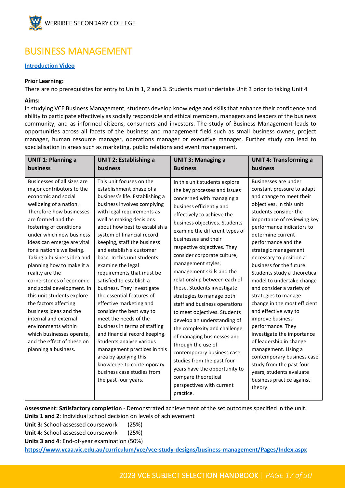

### <span id="page-16-0"></span>BUSINESS MANAGEMENT

#### **[Introduction Video](https://youtu.be/OwSQT3fmH1s)**

#### **Prior Learning:**

There are no prerequisites for entry to Units 1, 2 and 3. Students must undertake Unit 3 prior to taking Unit 4

#### **Aims:**

In studying VCE Business Management, students develop knowledge and skills that enhance their confidence and ability to participate effectively as socially responsible and ethical members, managers and leaders of the business community, and as informed citizens, consumers and investors. The study of Business Management leads to opportunities across all facets of the business and management field such as small business owner, project manager, human resource manager, operations manager or executive manager. Further study can lead to specialisation in areas such as marketing, public relations and event management.

| <b>UNIT 1: Planning a</b>                                                                                                                                                                                                                                                                                                                                                                                                                                                                                                                                                                                                                 | <b>UNIT 2: Establishing a</b>                                                                                                                                                                                                                                                                                                                                                                                                                                                                                                                                                                                                                                                                                                                                                                                | <b>UNIT 3: Managing a</b>                                                                                                                                                                                                                                                                                                                                                                                                                                                                                                                                                                                                                                                                                                                                                                                      | <b>UNIT 4: Transforming a</b>                                                                                                                                                                                                                                                                                                                                                                                                                                                                                                                                                                                                                                                                                                                               |
|-------------------------------------------------------------------------------------------------------------------------------------------------------------------------------------------------------------------------------------------------------------------------------------------------------------------------------------------------------------------------------------------------------------------------------------------------------------------------------------------------------------------------------------------------------------------------------------------------------------------------------------------|--------------------------------------------------------------------------------------------------------------------------------------------------------------------------------------------------------------------------------------------------------------------------------------------------------------------------------------------------------------------------------------------------------------------------------------------------------------------------------------------------------------------------------------------------------------------------------------------------------------------------------------------------------------------------------------------------------------------------------------------------------------------------------------------------------------|----------------------------------------------------------------------------------------------------------------------------------------------------------------------------------------------------------------------------------------------------------------------------------------------------------------------------------------------------------------------------------------------------------------------------------------------------------------------------------------------------------------------------------------------------------------------------------------------------------------------------------------------------------------------------------------------------------------------------------------------------------------------------------------------------------------|-------------------------------------------------------------------------------------------------------------------------------------------------------------------------------------------------------------------------------------------------------------------------------------------------------------------------------------------------------------------------------------------------------------------------------------------------------------------------------------------------------------------------------------------------------------------------------------------------------------------------------------------------------------------------------------------------------------------------------------------------------------|
| business                                                                                                                                                                                                                                                                                                                                                                                                                                                                                                                                                                                                                                  | business                                                                                                                                                                                                                                                                                                                                                                                                                                                                                                                                                                                                                                                                                                                                                                                                     | <b>Business</b>                                                                                                                                                                                                                                                                                                                                                                                                                                                                                                                                                                                                                                                                                                                                                                                                | business                                                                                                                                                                                                                                                                                                                                                                                                                                                                                                                                                                                                                                                                                                                                                    |
| Businesses of all sizes are<br>major contributors to the<br>economic and social<br>wellbeing of a nation.<br>Therefore how businesses<br>are formed and the<br>fostering of conditions<br>under which new business<br>ideas can emerge are vital<br>for a nation's wellbeing.<br>Taking a business idea and<br>planning how to make it a<br>reality are the<br>cornerstones of economic<br>and social development. In<br>this unit students explore<br>the factors affecting<br>business ideas and the<br>internal and external<br>environments within<br>which businesses operate,<br>and the effect of these on<br>planning a business. | This unit focuses on the<br>establishment phase of a<br>business's life. Establishing a<br>business involves complying<br>with legal requirements as<br>well as making decisions<br>about how best to establish a<br>system of financial record<br>keeping, staff the business<br>and establish a customer<br>base. In this unit students<br>examine the legal<br>requirements that must be<br>satisfied to establish a<br>business. They investigate<br>the essential features of<br>effective marketing and<br>consider the best way to<br>meet the needs of the<br>business in terms of staffing<br>and financial record keeping.<br>Students analyse various<br>management practices in this<br>area by applying this<br>knowledge to contemporary<br>business case studies from<br>the past four years. | In this unit students explore<br>the key processes and issues<br>concerned with managing a<br>business efficiently and<br>effectively to achieve the<br>business objectives. Students<br>examine the different types of<br>businesses and their<br>respective objectives. They<br>consider corporate culture,<br>management styles,<br>management skills and the<br>relationship between each of<br>these. Students investigate<br>strategies to manage both<br>staff and business operations<br>to meet objectives. Students<br>develop an understanding of<br>the complexity and challenge<br>of managing businesses and<br>through the use of<br>contemporary business case<br>studies from the past four<br>years have the opportunity to<br>compare theoretical<br>perspectives with current<br>practice. | Businesses are under<br>constant pressure to adapt<br>and change to meet their<br>objectives. In this unit<br>students consider the<br>importance of reviewing key<br>performance indicators to<br>determine current<br>performance and the<br>strategic management<br>necessary to position a<br>business for the future.<br>Students study a theoretical<br>model to undertake change<br>and consider a variety of<br>strategies to manage<br>change in the most efficient<br>and effective way to<br>improve business<br>performance. They<br>investigate the importance<br>of leadership in change<br>management. Using a<br>contemporary business case<br>study from the past four<br>years, students evaluate<br>business practice against<br>theory. |

**Assessment: Satisfactory completion** - Demonstrated achievement of the set outcomes specified in the unit. **Units 1 and 2**: Individual school decision on levels of achievement

**Unit 3:** School-assessed coursework (25%)

**Unit 4:** School-assessed coursework (25%)

**Units 3 and 4**: End-of-year examination (50%)

**<https://www.vcaa.vic.edu.au/curriculum/vce/vce-study-designs/business-management/Pages/Index.aspx>**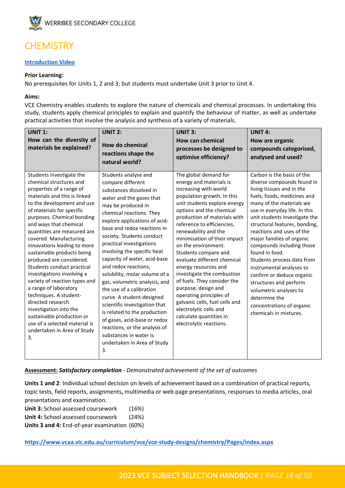

# <span id="page-17-0"></span>**CHEMISTRY**

#### **[Introduction Video](https://youtu.be/64fbrQ-vdxs)**

#### **Prior Learning:**

No prerequisites for Units 1, 2 and 3; but students must undertake Unit 3 prior to Unit 4.

#### **Aims:**

VCE Chemistry enables students to explore the nature of chemicals and chemical processes. In undertaking this study, students apply chemical principles to explain and quantify the behaviour of matter, as well as undertake practical activities that involve the analysis and synthesis of a variety of materials.

| <b>UNIT 1:</b><br>How can the diversity of<br>materials be explained?                                                                                                                                                                                                                                                                                                                                                                                                                                                                                                                                                                                                                  | <b>UNIT 2:</b><br><b>How do chemical</b><br>reactions shape the<br>natural world?                                                                                                                                                                                                                                                                                                                                                                                                                                                                                                                                                                                                              | <b>UNIT 3:</b><br><b>How can chemical</b><br>processes be designed to<br>optimise efficiency?                                                                                                                                                                                                                                                                                                                                                                                                                                                                                                                                    | <b>UNIT 4:</b><br>How are organic<br>compounds categorised,<br>analysed and used?                                                                                                                                                                                                                                                                                                                                                                                                                                                                                               |
|----------------------------------------------------------------------------------------------------------------------------------------------------------------------------------------------------------------------------------------------------------------------------------------------------------------------------------------------------------------------------------------------------------------------------------------------------------------------------------------------------------------------------------------------------------------------------------------------------------------------------------------------------------------------------------------|------------------------------------------------------------------------------------------------------------------------------------------------------------------------------------------------------------------------------------------------------------------------------------------------------------------------------------------------------------------------------------------------------------------------------------------------------------------------------------------------------------------------------------------------------------------------------------------------------------------------------------------------------------------------------------------------|----------------------------------------------------------------------------------------------------------------------------------------------------------------------------------------------------------------------------------------------------------------------------------------------------------------------------------------------------------------------------------------------------------------------------------------------------------------------------------------------------------------------------------------------------------------------------------------------------------------------------------|---------------------------------------------------------------------------------------------------------------------------------------------------------------------------------------------------------------------------------------------------------------------------------------------------------------------------------------------------------------------------------------------------------------------------------------------------------------------------------------------------------------------------------------------------------------------------------|
| Students investigate the<br>chemical structures and<br>properties of a range of<br>materials and this is linked<br>to the development and use<br>of materials for specific<br>purposes. Chemical bonding<br>and ways that chemical<br>quantities are measured are<br>covered. Manufacturing<br>innovations leading to more<br>sustainable products being<br>produced are considered.<br>Students conduct practical<br>investigations involving a<br>variety of reaction types and<br>a range of laboratory<br>techniques. A student-<br>directed research<br>investigation into the<br>sustainable production or<br>use of a selected material is<br>undertaken in Area of Study<br>3. | Students analyse and<br>compare different<br>substances dissolved in<br>water and the gases that<br>may be produced in<br>chemical reactions. They<br>explore applications of acid-<br>base and redox reactions in<br>society. Students conduct<br>practical investigations<br>involving the specific heat<br>capacity of water, acid-base<br>and redox reactions,<br>solubility, molar volume of a<br>gas, volumetric analysis, and<br>the use of a calibration<br>curve. A student-designed<br>scientific investigation that<br>is related to the production<br>of gases, acid-base or redox<br>reactions, or the analysis of<br>substances in water is<br>undertaken in Area of Study<br>3. | The global demand for<br>energy and materials is<br>increasing with world<br>population growth. In this<br>unit students explore energy<br>options and the chemical<br>production of materials with<br>reference to efficiencies,<br>renewability and the<br>minimisation of their impact<br>on the environment.<br>Students compare and<br>evaluate different chemical<br>energy resources and<br>investigate the combustion<br>of fuels. They consider the<br>purpose, design and<br>operating principles of<br>galvanic cells, fuel cells and<br>electrolytic cells and<br>calculate quantities in<br>electrolytic reactions. | Carbon is the basis of the<br>diverse compounds found in<br>living tissues and in the<br>fuels, foods, medicines and<br>many of the materials we<br>use in everyday life. In this<br>unit students investigate the<br>structural features, bonding,<br>reactions and uses of the<br>major families of organic<br>compounds including those<br>found in food.<br>Students process data from<br>instrumental analyses to<br>confirm or deduce organic<br>structures and perform<br>volumetric analyses to<br>determine the<br>concentrations of organic<br>chemicals in mixtures. |

#### **Assessment:** *Satisfactory completion - Demonstrated achievement of the set of outcomes*

**Units 1 and 2**: Individual school decision on levels of achievement based on a combination of practical reports, topic tests, field reports, assignments**,** multimedia or web page presentations, responses to media articles, oral presentations and examination.

**Unit 3:** School assessed coursework (16%)

**Unit 4:** School assessed coursework (24%)

**Units 3 and 4:** End-of-year examination (60%)

**[https://www.vcaa.vic.edu.au/curriculum/vce/vce-study-designs/chemistry/Pages/index.aspx](https://aus01.safelinks.protection.outlook.com/?url=https%3A%2F%2Fwww.vcaa.vic.edu.au%2Fcurriculum%2Fvce%2Fvce-study-designs%2Fchemistry%2FPages%2Findex.aspx&data=05%7C01%7CToula.Papadimitropoulos%40education.vic.gov.au%7C44f371ffcf4e49b0dc3e08da32e5cb8e%7Cd96cb3371a8744cfb69b3cec334a4c1f%7C0%7C0%7C637878259783171983%7CUnknown%7CTWFpbGZsb3d8eyJWIjoiMC4wLjAwMDAiLCJQIjoiV2luMzIiLCJBTiI6Ik1haWwiLCJXVCI6Mn0%3D%7C3000%7C%7C%7C&sdata=VXymgXNOn1xg95D%2B5OFC7MASqdYW%2FtIbL9%2FIGQAIfEA%3D&reserved=0)**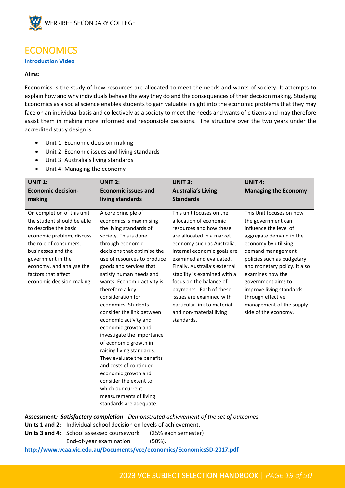

### <span id="page-18-0"></span>**ECONOMICS**

#### **[Introduction Video](https://youtu.be/AeBfvDSfuvM)**

#### **Aims:**

Economics is the study of how resources are allocated to meet the needs and wants of society. It attempts to explain how and why individuals behave the way they do and the consequences of their decision making. Studying Economics as a social science enables students to gain valuable insight into the economic problems that they may face on an individual basis and collectively as a society to meet the needs and wants of citizens and may therefore assist them in making more informed and responsible decisions. The structure over the two years under the accredited study design is:

- Unit 1: Economic decision-making
- Unit 2: Economic issues and living standards
- Unit 3: Australia's living standards
- Unit 4: Managing the economy

| <b>UNIT 1:</b>             | <b>UNIT 2:</b>              | <b>UNIT 3:</b>                | <b>UNIT 4:</b>               |
|----------------------------|-----------------------------|-------------------------------|------------------------------|
| <b>Economic decision-</b>  | <b>Economic issues and</b>  | <b>Australia's Living</b>     | <b>Managing the Economy</b>  |
| making                     | living standards            | <b>Standards</b>              |                              |
|                            |                             |                               |                              |
| On completion of this unit | A core principle of         | This unit focuses on the      | This Unit focuses on how     |
| the student should be able | economics is maximising     | allocation of economic        | the government can           |
| to describe the basic      | the living standards of     | resources and how these       | influence the level of       |
| economic problem, discuss  | society. This is done       | are allocated in a market     | aggregate demand in the      |
| the role of consumers,     | through economic            | economy such as Australia.    | economy by utilising         |
| businesses and the         | decisions that optimise the | Internal economic goals are   | demand management            |
| government in the          | use of resources to produce | examined and evaluated.       | policies such as budgetary   |
| economy, and analyse the   | goods and services that     | Finally, Australia's external | and monetary policy. It also |
| factors that affect        | satisfy human needs and     | stability is examined with a  | examines how the             |
| economic decision-making.  | wants. Economic activity is | focus on the balance of       | government aims to           |
|                            | therefore a key             | payments. Each of these       | improve living standards     |
|                            | consideration for           | issues are examined with      | through effective            |
|                            | economics. Students         | particular link to material   | management of the supply     |
|                            | consider the link between   | and non-material living       | side of the economy.         |
|                            | economic activity and       | standards.                    |                              |
|                            | economic growth and         |                               |                              |
|                            | investigate the importance  |                               |                              |
|                            | of economic growth in       |                               |                              |
|                            | raising living standards.   |                               |                              |
|                            | They evaluate the benefits  |                               |                              |
|                            | and costs of continued      |                               |                              |
|                            | economic growth and         |                               |                              |
|                            | consider the extent to      |                               |                              |
|                            | which our current           |                               |                              |
|                            | measurements of living      |                               |                              |
|                            | standards are adequate.     |                               |                              |
|                            |                             |                               |                              |

**Assessment***: Satisfactory completion - Demonstrated achievement of the set of outcomes.* **Units 1 and 2:** Individual school decision on levels of achievement. **Units 3 and 4:** School assessed coursework (25% each semester) End-of-year examination (50%). **<http://www.vcaa.vic.edu.au/Documents/vce/economics/EconomicsSD-2017.pdf>**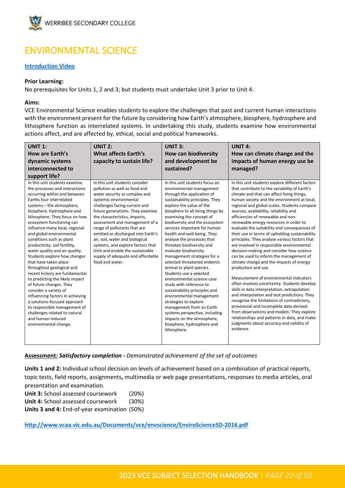

# <span id="page-19-0"></span>ENVIRONMENTAL SCIENCE

#### **[Introduction Video](https://youtu.be/nkbxxNMt-Pg)**

#### **Prior Learning:**

No prerequisites for Units 1, 2 and 3; but students must undertake Unit 3 prior to Unit 4.

#### **Aims:**

VCE Environmental Science enables students to explore the challenges that past and current human interactions with the environment present for the future by considering how Earth's atmosphere, biosphere, hydrosphere and lithosphere function as interrelated systems. In undertaking this study, students examine how environmental actions affect, and are affected by, ethical, social and political frameworks.

| <b>UNIT 1:</b>                                                                                                                                                                                                                                                                                                                                                                                                                                                                                                                                                                                                                                                                                                                                                                                                       | <b>UNIT 2:</b>                                                                                                                                                                                                                                                                                                                                                                                                                                                                                               | <b>UNIT 3:</b>                                                                                                                                                                                                                                                                                                                                                                                                                                                                                                                                                                                                                                                                                                                                                                                                              | <b>UNIT 4:</b>                                                                                                                                                                                                                                                                                                                                                                                                                                                                                                                                                                                                                                                                                                                                                                                                                                                                                                                                                                                                                                                                                                                                                                |
|----------------------------------------------------------------------------------------------------------------------------------------------------------------------------------------------------------------------------------------------------------------------------------------------------------------------------------------------------------------------------------------------------------------------------------------------------------------------------------------------------------------------------------------------------------------------------------------------------------------------------------------------------------------------------------------------------------------------------------------------------------------------------------------------------------------------|--------------------------------------------------------------------------------------------------------------------------------------------------------------------------------------------------------------------------------------------------------------------------------------------------------------------------------------------------------------------------------------------------------------------------------------------------------------------------------------------------------------|-----------------------------------------------------------------------------------------------------------------------------------------------------------------------------------------------------------------------------------------------------------------------------------------------------------------------------------------------------------------------------------------------------------------------------------------------------------------------------------------------------------------------------------------------------------------------------------------------------------------------------------------------------------------------------------------------------------------------------------------------------------------------------------------------------------------------------|-------------------------------------------------------------------------------------------------------------------------------------------------------------------------------------------------------------------------------------------------------------------------------------------------------------------------------------------------------------------------------------------------------------------------------------------------------------------------------------------------------------------------------------------------------------------------------------------------------------------------------------------------------------------------------------------------------------------------------------------------------------------------------------------------------------------------------------------------------------------------------------------------------------------------------------------------------------------------------------------------------------------------------------------------------------------------------------------------------------------------------------------------------------------------------|
| How are Earth's                                                                                                                                                                                                                                                                                                                                                                                                                                                                                                                                                                                                                                                                                                                                                                                                      | What affects Earth's                                                                                                                                                                                                                                                                                                                                                                                                                                                                                         | <b>How can biodiversity</b>                                                                                                                                                                                                                                                                                                                                                                                                                                                                                                                                                                                                                                                                                                                                                                                                 | How can climate change and the                                                                                                                                                                                                                                                                                                                                                                                                                                                                                                                                                                                                                                                                                                                                                                                                                                                                                                                                                                                                                                                                                                                                                |
| dynamic systems                                                                                                                                                                                                                                                                                                                                                                                                                                                                                                                                                                                                                                                                                                                                                                                                      | capacity to sustain life?                                                                                                                                                                                                                                                                                                                                                                                                                                                                                    | and development be                                                                                                                                                                                                                                                                                                                                                                                                                                                                                                                                                                                                                                                                                                                                                                                                          | impacts of human energy use be                                                                                                                                                                                                                                                                                                                                                                                                                                                                                                                                                                                                                                                                                                                                                                                                                                                                                                                                                                                                                                                                                                                                                |
| interconnected to                                                                                                                                                                                                                                                                                                                                                                                                                                                                                                                                                                                                                                                                                                                                                                                                    |                                                                                                                                                                                                                                                                                                                                                                                                                                                                                                              | sustained?                                                                                                                                                                                                                                                                                                                                                                                                                                                                                                                                                                                                                                                                                                                                                                                                                  | managed?                                                                                                                                                                                                                                                                                                                                                                                                                                                                                                                                                                                                                                                                                                                                                                                                                                                                                                                                                                                                                                                                                                                                                                      |
| support life?                                                                                                                                                                                                                                                                                                                                                                                                                                                                                                                                                                                                                                                                                                                                                                                                        |                                                                                                                                                                                                                                                                                                                                                                                                                                                                                                              |                                                                                                                                                                                                                                                                                                                                                                                                                                                                                                                                                                                                                                                                                                                                                                                                                             |                                                                                                                                                                                                                                                                                                                                                                                                                                                                                                                                                                                                                                                                                                                                                                                                                                                                                                                                                                                                                                                                                                                                                                               |
| In this unit students examine<br>the processes and interactions<br>occurring within and between<br>Earths four interrelated<br>systems - the atmosphere,<br>biosphere, hydrosphere and<br>lithosphere. They focus on how<br>ecosystem functioning can<br>influence many local, regional<br>and global environmental<br>conditions such as plant<br>productivity, soil fertility,<br>water quality and air quality.<br>Students explore how changes<br>that have taken place<br>throughout geological and<br>recent history are fundamental<br>to predicting the likely impact<br>of future changes. They<br>consider a variety of<br>influencing factors in achieving<br>a solutions-focused approach<br>to responsible management of<br>challenges related to natural<br>and human-induced<br>environmental change. | In this unit students consider<br>pollution as well as food and<br>water security as complex and<br>systemic environmental<br>challenges facing current and<br>future generations. They examine<br>the characteristics, impacts,<br>assessment and management of a<br>range of pollutants that are<br>emitted or discharged into Earth's<br>air, soil, water and biological<br>systems, and explore factors that<br>limit and enable the sustainable<br>supply of adequate and affordable<br>food and water. | In this unit students focus on<br>environmental management<br>through the application of<br>sustainability principles. They<br>explore the value of the<br>biosphere to all living things by<br>examining the concept of<br>biodiversity and the ecosystem<br>services important for human<br>health and well-being. They<br>analyse the processes that<br>threaten biodiversity and<br>evaluate biodiversity<br>management strategies for a<br>selected threatened endemic<br>animal or plant species.<br>Students use a selected<br>environmental science case<br>study with reference to<br>sustainability principles and<br>environmental management<br>strategies to explore<br>management from an Earth<br>systems perspective, including<br>impacts on the atmosphere,<br>biosphere, hydrosphere and<br>lithosphere. | In this unit students explore different factors<br>that contribute to the variability of Earth's<br>climate and that can affect living things,<br>human society and the environment at local,<br>regional and global scales. Students compare<br>sources, availability, reliability and<br>efficiencies of renewable and non-<br>renewable energy resources in order to<br>evaluate the suitability and consequences of<br>their use in terms of upholding sustainability<br>principles. They analyse various factors that<br>are involved in responsible environmental<br>decision-making and consider how science<br>can be used to inform the management of<br>climate change and the impacts of energy<br>production and use.<br>Measurement of environmental indicators<br>often involves uncertainty. Students develop<br>skills in data interpretation, extrapolation<br>and interpolation and test predictions. They<br>recognise the limitations of contradictory,<br>provisional and incomplete data derived<br>from observations and models. They explore<br>relationships and patterns in data, and make<br>judgments about accuracy and validity of<br>evidence. |

**Assessment:** *Satisfactory completion - Demonstrated achievement of the set of outcomes*

**Units 1 and 2:** Individual school decision on levels of achievement based on a combination of practical reports, topic tests, field reports, assignments**,** multimedia or web page presentations, responses to media articles, oral presentation and examination.

**Unit 3:** School assessed coursework (20%) **Unit 4:** School assessed coursework (30%) **Units 3 and 4:** End-of-year examination (50%)

**<http://www.vcaa.vic.edu.au/Documents/vce/envscience/EnviroScienceSD-2016.pdf>**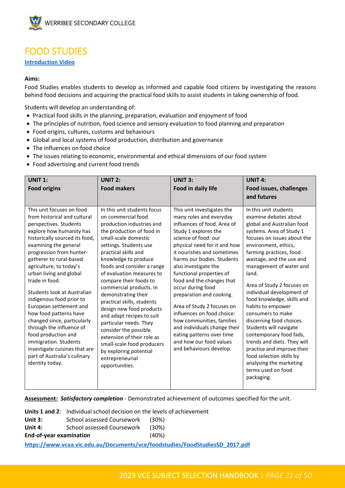

### <span id="page-20-0"></span>FOOD STUDIES

#### **[Introduction Video](https://youtu.be/EkK4is2eEXQ)**

#### **Aims:**

Food Studies enables students to develop as informed and capable food citizens by investigating the reasons behind food decisions and acquiring the practical food skills to assist students in taking ownership of food.

Students will develop an understanding of:

- Practical food skills in the planning, preparation, evaluation and enjoyment of food
- The principles of nutrition, food science and sensory evaluation to food planning and preparation
- Food origins, cultures, customs and behaviours
- Global and local systems of food production, distribution and governance
- The influences on food choice
- The issues relating to economic, environmental and ethical dimensions of our food system
- Food advertising and current food trends

| <b>UNIT 1:</b>                                                                                                                                                                                                                                                                                                                                                                                                                                                                                                                                                                                                           | <b>UNIT 2:</b>                                                                                                                                                                                                                                                                                                                                                                                                                                                                                                                                                                                                            | <b>UNIT 3:</b>                                                                                                                                                                                                                                                                                                                                                                                                                                                                                                                                                                 | UNIT <sub>4:</sub>                                                                                                                                                                                                                                                                                                                                                                                                                                                                                                                                                                                                                     |
|--------------------------------------------------------------------------------------------------------------------------------------------------------------------------------------------------------------------------------------------------------------------------------------------------------------------------------------------------------------------------------------------------------------------------------------------------------------------------------------------------------------------------------------------------------------------------------------------------------------------------|---------------------------------------------------------------------------------------------------------------------------------------------------------------------------------------------------------------------------------------------------------------------------------------------------------------------------------------------------------------------------------------------------------------------------------------------------------------------------------------------------------------------------------------------------------------------------------------------------------------------------|--------------------------------------------------------------------------------------------------------------------------------------------------------------------------------------------------------------------------------------------------------------------------------------------------------------------------------------------------------------------------------------------------------------------------------------------------------------------------------------------------------------------------------------------------------------------------------|----------------------------------------------------------------------------------------------------------------------------------------------------------------------------------------------------------------------------------------------------------------------------------------------------------------------------------------------------------------------------------------------------------------------------------------------------------------------------------------------------------------------------------------------------------------------------------------------------------------------------------------|
| <b>Food origins</b>                                                                                                                                                                                                                                                                                                                                                                                                                                                                                                                                                                                                      | <b>Food makers</b>                                                                                                                                                                                                                                                                                                                                                                                                                                                                                                                                                                                                        | Food in daily life                                                                                                                                                                                                                                                                                                                                                                                                                                                                                                                                                             | Food issues, challenges<br>and futures                                                                                                                                                                                                                                                                                                                                                                                                                                                                                                                                                                                                 |
|                                                                                                                                                                                                                                                                                                                                                                                                                                                                                                                                                                                                                          |                                                                                                                                                                                                                                                                                                                                                                                                                                                                                                                                                                                                                           |                                                                                                                                                                                                                                                                                                                                                                                                                                                                                                                                                                                |                                                                                                                                                                                                                                                                                                                                                                                                                                                                                                                                                                                                                                        |
| This unit focuses on food<br>from historical and cultural<br>perspectives. Students<br>explore how humanity has<br>historically sourced its food,<br>examining the general<br>progression from hunter-<br>gatherer to rural-based<br>agriculture, to today's<br>urban living and global<br>trade in food.<br>Students look at Australian<br>indigenous food prior to<br>European settlement and<br>how food patterns have<br>changed since, particularly<br>through the influence of<br>food production and<br>immigration. Students<br>investigate cuisines that are<br>part of Australia's culinary<br>identity today. | In this unit students focus<br>on commercial food<br>production industries and<br>the production of food in<br>small-scale domestic<br>settings. Students use<br>practical skills and<br>knowledge to produce<br>foods and consider a range<br>of evaluation measures to<br>compare their foods to<br>commercial products. In<br>demonstrating their<br>practical skills, students<br>design new food products<br>and adapt recipes to suit<br>particular needs. They<br>consider the possible<br>extension of their role as<br>small-scale food producers<br>by exploring potential<br>entrepreneurial<br>opportunities. | This unit investigates the<br>many roles and everyday<br>influences of food. Area of<br>Study 1 explores the<br>science of food: our<br>physical need for it and how<br>it nourishes and sometimes<br>harms our bodies. Students<br>also investigate the<br>functional properties of<br>food and the changes that<br>occur during food<br>preparation and cooking.<br>Area of Study 2 focuses on<br>influences on food choice:<br>how communities, families<br>and individuals change their<br>eating patterns over time<br>and how our food values<br>and behaviours develop. | In this unit students<br>examine debates about<br>global and Australian food<br>systems. Area of Study 1<br>focuses on issues about the<br>environment, ethics,<br>farming practices, food<br>wastage, and the use and<br>management of water and<br>land.<br>Area of Study 2 focuses on<br>individual development of<br>food knowledge, skills and<br>habits to empower<br>consumers to make<br>discerning food choices.<br>Students will navigate<br>contemporary food fads,<br>trends and diets. They will<br>practise and improve their<br>food selection skills by<br>analysing the marketing<br>terms used on food<br>packaging. |

**Assessment:** *Satisfactory completion* - Demonstrated achievement of outcomes specified for the unit.

**Units 1 and 2**: Individual school decision on the levels of achievement Unit 3: School assessed Coursework (30%) **Unit 4:** School assessed Coursework (30%) **End-of-year examination** (40%) **[https://www.vcaa.vic.edu.au/Documents/vce/foodstudies/FoodStudiesSD\\_2017.pdf](https://www.vcaa.vic.edu.au/Documents/vce/foodstudies/FoodStudiesSD_2017.pdf)**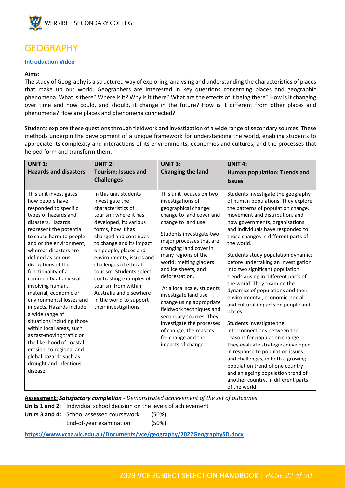

### <span id="page-21-0"></span>GEOGRAPHY

#### **[Introduction Video](https://youtu.be/wgm0YrraboA)**

#### **Aims:**

The study of Geography is a structured way of exploring, analysing and understanding the characteristics of places that make up our world. Geographers are interested in key questions concerning places and geographic phenomena: What is there? Where is it? Why is it there? What are the effects of it being there? How is it changing over time and how could, and should, it change in the future? How is it different from other places and phenomena? How are places and phenomena connected?

Students explore these questions through fieldwork and investigation of a wide range of secondary sources. These methods underpin the development of a unique framework for understanding the world, enabling students to appreciate its complexity and interactions of its environments, economies and cultures, and the processes that helped form and transform them.

| <b>UNIT 1:</b><br><b>Hazards and disasters</b>                                                                                                                                                                                                                                                                                                                                                                                                                                                                                                                                                                                                                  | <b>UNIT 2:</b><br><b>Tourism: Issues and</b>                                                                                                                                                                                                                                                                                                                                                                                           | <b>UNIT 3:</b><br><b>Changing the land</b>                                                                                                                                                                                                                                                                                                                                                                                                                                                                                                        | <b>UNIT 4:</b><br>Human population: Trends and                                                                                                                                                                                                                                                                                                                                                                                                                                                                                                                                                                                                                                                                                                                                                                                                                                                                                             |
|-----------------------------------------------------------------------------------------------------------------------------------------------------------------------------------------------------------------------------------------------------------------------------------------------------------------------------------------------------------------------------------------------------------------------------------------------------------------------------------------------------------------------------------------------------------------------------------------------------------------------------------------------------------------|----------------------------------------------------------------------------------------------------------------------------------------------------------------------------------------------------------------------------------------------------------------------------------------------------------------------------------------------------------------------------------------------------------------------------------------|---------------------------------------------------------------------------------------------------------------------------------------------------------------------------------------------------------------------------------------------------------------------------------------------------------------------------------------------------------------------------------------------------------------------------------------------------------------------------------------------------------------------------------------------------|--------------------------------------------------------------------------------------------------------------------------------------------------------------------------------------------------------------------------------------------------------------------------------------------------------------------------------------------------------------------------------------------------------------------------------------------------------------------------------------------------------------------------------------------------------------------------------------------------------------------------------------------------------------------------------------------------------------------------------------------------------------------------------------------------------------------------------------------------------------------------------------------------------------------------------------------|
|                                                                                                                                                                                                                                                                                                                                                                                                                                                                                                                                                                                                                                                                 | <b>Challenges</b>                                                                                                                                                                                                                                                                                                                                                                                                                      |                                                                                                                                                                                                                                                                                                                                                                                                                                                                                                                                                   | <b>Issues</b>                                                                                                                                                                                                                                                                                                                                                                                                                                                                                                                                                                                                                                                                                                                                                                                                                                                                                                                              |
| This unit investigates<br>how people have<br>responded to specific<br>types of hazards and<br>disasters. Hazards<br>represent the potential<br>to cause harm to people<br>and or the environment,<br>whereas disasters are<br>defined as serious<br>disruptions of the<br>functionality of a<br>community at any scale,<br>involving human,<br>material, economic or<br>environmental losses and<br>impacts. Hazards include<br>a wide range of<br>situations including those<br>within local areas, such<br>as fast-moving traffic or<br>the likelihood of coastal<br>erosion, to regional and<br>global hazards such as<br>drought and infectious<br>disease. | In this unit students<br>investigate the<br>characteristics of<br>tourism: where it has<br>developed, its various<br>forms, how it has<br>changed and continues<br>to change and its impact<br>on people, places and<br>environments, issues and<br>challenges of ethical<br>tourism. Students select<br>contrasting examples of<br>tourism from within<br>Australia and elsewhere<br>in the world to support<br>their investigations. | This unit focuses on two<br>investigations of<br>geographical change:<br>change to land cover and<br>change to land use.<br>Students investigate two<br>major processes that are<br>changing land cover in<br>many regions of the<br>world: melting glaciers<br>and ice sheets, and<br>deforestation.<br>At a local scale, students<br>investigate land use<br>change using appropriate<br>fieldwork techniques and<br>secondary sources. They<br>investigate the processes<br>of change, the reasons<br>for change and the<br>impacts of change. | Students investigate the geography<br>of human populations. They explore<br>the patterns of population change,<br>movement and distribution, and<br>how governments, organisations<br>and individuals have responded to<br>those changes in different parts of<br>the world.<br>Students study population dynamics<br>before undertaking an investigation<br>into two significant population<br>trends arising in different parts of<br>the world. They examine the<br>dynamics of populations and their<br>environmental, economic, social,<br>and cultural impacts on people and<br>places.<br>Students investigate the<br>interconnections between the<br>reasons for population change.<br>They evaluate strategies developed<br>in response to population issues<br>and challenges, in both a growing<br>population trend of one country<br>and an ageing population trend of<br>another country, in different parts<br>of the world. |

**Assessment:** *Satisfactory completion - Demonstrated achievement of the set of outcomes*

**Units 1 and 2**: Individual school decision on the levels of achievement

**Units 3 and 4:** School assessed coursework (50%) End-of-year examination (50%)

**<https://www.vcaa.vic.edu.au/Documents/vce/geography/2022GeographySD.docx>**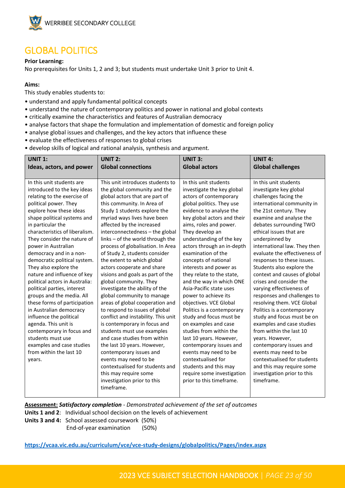

### <span id="page-22-0"></span>GLOBAL POLITICS

#### **Prior Learning:**

No prerequisites for Units 1, 2 and 3; but students must undertake Unit 3 prior to Unit 4.

#### **Aims:**

This study enables students to:

- understand and apply fundamental political concepts
- understand the nature of contemporary politics and power in national and global contexts
- critically examine the characteristics and features of Australian democracy
- analyse factors that shape the formulation and implementation of domestic and foreign policy
- analyse global issues and challenges, and the key actors that influence these
- evaluate the effectiveness of responses to global crises
- develop skills of logical and rational analysis, synthesis and argument.

| <b>UNIT 1:</b>                                                                                                                                                                                                                                                                                                                                                                                                       | <b>UNIT 2:</b>                                                                                                                                                                                                                                                                                                                                                                                                                                                                                                                                                                               | <b>UNIT 3:</b>                                                                                                                                                                                                                                                                                                                                                                                                                                                                           | <b>UNIT 4:</b>                                                                                                                                                                                                                                                                                                                                                                                                                                                                                                  |
|----------------------------------------------------------------------------------------------------------------------------------------------------------------------------------------------------------------------------------------------------------------------------------------------------------------------------------------------------------------------------------------------------------------------|----------------------------------------------------------------------------------------------------------------------------------------------------------------------------------------------------------------------------------------------------------------------------------------------------------------------------------------------------------------------------------------------------------------------------------------------------------------------------------------------------------------------------------------------------------------------------------------------|------------------------------------------------------------------------------------------------------------------------------------------------------------------------------------------------------------------------------------------------------------------------------------------------------------------------------------------------------------------------------------------------------------------------------------------------------------------------------------------|-----------------------------------------------------------------------------------------------------------------------------------------------------------------------------------------------------------------------------------------------------------------------------------------------------------------------------------------------------------------------------------------------------------------------------------------------------------------------------------------------------------------|
| Ideas, actors, and power                                                                                                                                                                                                                                                                                                                                                                                             | <b>Global connections</b>                                                                                                                                                                                                                                                                                                                                                                                                                                                                                                                                                                    | <b>Global actors</b>                                                                                                                                                                                                                                                                                                                                                                                                                                                                     | <b>Global challenges</b>                                                                                                                                                                                                                                                                                                                                                                                                                                                                                        |
|                                                                                                                                                                                                                                                                                                                                                                                                                      |                                                                                                                                                                                                                                                                                                                                                                                                                                                                                                                                                                                              |                                                                                                                                                                                                                                                                                                                                                                                                                                                                                          |                                                                                                                                                                                                                                                                                                                                                                                                                                                                                                                 |
| In this unit students are                                                                                                                                                                                                                                                                                                                                                                                            | This unit introduces students to                                                                                                                                                                                                                                                                                                                                                                                                                                                                                                                                                             | In this unit students                                                                                                                                                                                                                                                                                                                                                                                                                                                                    | In this unit students                                                                                                                                                                                                                                                                                                                                                                                                                                                                                           |
| introduced to the key ideas                                                                                                                                                                                                                                                                                                                                                                                          | the global community and the                                                                                                                                                                                                                                                                                                                                                                                                                                                                                                                                                                 | investigate the key global                                                                                                                                                                                                                                                                                                                                                                                                                                                               | investigate key global                                                                                                                                                                                                                                                                                                                                                                                                                                                                                          |
| relating to the exercise of                                                                                                                                                                                                                                                                                                                                                                                          | global actors that are part of                                                                                                                                                                                                                                                                                                                                                                                                                                                                                                                                                               | actors of contemporary                                                                                                                                                                                                                                                                                                                                                                                                                                                                   | challenges facing the                                                                                                                                                                                                                                                                                                                                                                                                                                                                                           |
| political power. They                                                                                                                                                                                                                                                                                                                                                                                                | this community. In Area of                                                                                                                                                                                                                                                                                                                                                                                                                                                                                                                                                                   | global politics. They use                                                                                                                                                                                                                                                                                                                                                                                                                                                                | international community in                                                                                                                                                                                                                                                                                                                                                                                                                                                                                      |
| explore how these ideas                                                                                                                                                                                                                                                                                                                                                                                              | Study 1 students explore the                                                                                                                                                                                                                                                                                                                                                                                                                                                                                                                                                                 | evidence to analyse the                                                                                                                                                                                                                                                                                                                                                                                                                                                                  | the 21st century. They                                                                                                                                                                                                                                                                                                                                                                                                                                                                                          |
| shape political systems and                                                                                                                                                                                                                                                                                                                                                                                          | myriad ways lives have been                                                                                                                                                                                                                                                                                                                                                                                                                                                                                                                                                                  | key global actors and their                                                                                                                                                                                                                                                                                                                                                                                                                                                              | examine and analyse the                                                                                                                                                                                                                                                                                                                                                                                                                                                                                         |
| in particular the                                                                                                                                                                                                                                                                                                                                                                                                    | affected by the increased                                                                                                                                                                                                                                                                                                                                                                                                                                                                                                                                                                    | aims, roles and power.                                                                                                                                                                                                                                                                                                                                                                                                                                                                   | debates surrounding TWO                                                                                                                                                                                                                                                                                                                                                                                                                                                                                         |
| characteristics of liberalism.                                                                                                                                                                                                                                                                                                                                                                                       | interconnectedness - the global                                                                                                                                                                                                                                                                                                                                                                                                                                                                                                                                                              | They develop an                                                                                                                                                                                                                                                                                                                                                                                                                                                                          | ethical issues that are                                                                                                                                                                                                                                                                                                                                                                                                                                                                                         |
| They consider the nature of                                                                                                                                                                                                                                                                                                                                                                                          | links - of the world through the                                                                                                                                                                                                                                                                                                                                                                                                                                                                                                                                                             | understanding of the key                                                                                                                                                                                                                                                                                                                                                                                                                                                                 | underpinned by                                                                                                                                                                                                                                                                                                                                                                                                                                                                                                  |
| power in Australian                                                                                                                                                                                                                                                                                                                                                                                                  | process of globalisation. In Area                                                                                                                                                                                                                                                                                                                                                                                                                                                                                                                                                            | actors through an in-depth                                                                                                                                                                                                                                                                                                                                                                                                                                                               | international law. They then                                                                                                                                                                                                                                                                                                                                                                                                                                                                                    |
| democracy and in a non-                                                                                                                                                                                                                                                                                                                                                                                              | of Study 2, students consider                                                                                                                                                                                                                                                                                                                                                                                                                                                                                                                                                                | examination of the                                                                                                                                                                                                                                                                                                                                                                                                                                                                       | evaluate the effectiveness of                                                                                                                                                                                                                                                                                                                                                                                                                                                                                   |
| democratic political system.<br>They also explore the<br>nature and influence of key<br>political actors in Australia:<br>political parties, interest<br>groups and the media. All<br>these forms of participation<br>in Australian democracy<br>influence the political<br>agenda. This unit is<br>contemporary in focus and<br>students must use<br>examples and case studies<br>from within the last 10<br>years. | the extent to which global<br>actors cooperate and share<br>visions and goals as part of the<br>global community. They<br>investigate the ability of the<br>global community to manage<br>areas of global cooperation and<br>to respond to issues of global<br>conflict and instability. This unit<br>is contemporary in focus and<br>students must use examples<br>and case studies from within<br>the last 10 years. However,<br>contemporary issues and<br>events may need to be<br>contextualised for students and<br>this may require some<br>investigation prior to this<br>timeframe. | concepts of national<br>interests and power as<br>they relate to the state,<br>and the way in which ONE<br>Asia-Pacific state uses<br>power to achieve its<br>objectives. VCE Global<br>Politics is a contemporary<br>study and focus must be<br>on examples and case<br>studies from within the<br>last 10 years. However,<br>contemporary issues and<br>events may need to be<br>contextualised for<br>students and this may<br>require some investigation<br>prior to this timeframe. | responses to these issues.<br>Students also explore the<br>context and causes of global<br>crises and consider the<br>varying effectiveness of<br>responses and challenges to<br>resolving them. VCE Global<br>Politics is a contemporary<br>study and focus must be on<br>examples and case studies<br>from within the last 10<br>years. However,<br>contemporary issues and<br>events may need to be<br>contextualised for students<br>and this may require some<br>investigation prior to this<br>timeframe. |

**Assessment:** *Satisfactory completion - Demonstrated achievement of the set of outcomes* **Units 1 and 2**: Individual school decision on the levels of achievement

**Units 3 and 4:** School assessed coursework (50%) End-of-year examination (50%)

**<https://vcaa.vic.edu.au/curriculum/vce/vce-study-designs/globalpolitics/Pages/index.aspx>**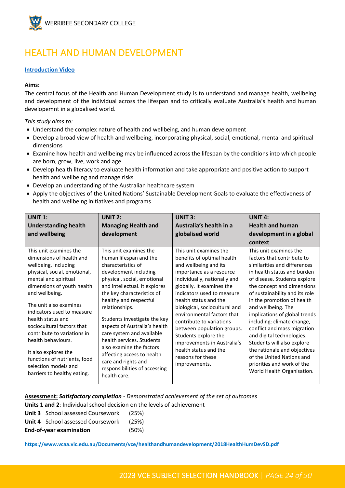

# <span id="page-23-0"></span>HEALTH AND HUMAN DEVELOPMENT

#### **[Introduction Video](https://youtu.be/DASCFgxrPxI)**

#### **Aims:**

The central focus of the Health and Human Development study is to understand and manage health, wellbeing and development of the individual across the lifespan and to critically evaluate Australia's health and human developemnt in a globalised world.

*This study aims to:* 

- Understand the complex nature of health and wellbeing, and human development
- Develop a broad view of health and wellbeing, incorporating physical, social, emotional, mental and spiritual dimensions
- Examine how health and wellbeing may be influenced across the lifespan by the conditions into which people are born, grow, live, work and age
- Develop health literacy to evaluate health information and take appropriate and positive action to support health and wellbeing and manage risks
- Develop an understanding of the Australian healthcare system
- Apply the objectives of the United Nations' Sustainable Development Goals to evaluate the effectiveness of health and wellbeing initiatives and programs

| <b>UNIT 1:</b><br><b>Understanding health</b><br>and wellbeing                                                                                                                                                                                                                                                                                                                                                                                                    | <b>UNIT 2:</b><br><b>Managing Health and</b><br>development                                                                                                                                                                                                                                                                                                                                                                                                                                            | <b>UNIT 3:</b><br>Australia's health in a<br>globalised world                                                                                                                                                                                                                                                                                                                                                                                                                | <b>UNIT 4:</b><br><b>Health and human</b><br>development in a global<br>context                                                                                                                                                                                                                                                                                                                                                                                                                                                                           |
|-------------------------------------------------------------------------------------------------------------------------------------------------------------------------------------------------------------------------------------------------------------------------------------------------------------------------------------------------------------------------------------------------------------------------------------------------------------------|--------------------------------------------------------------------------------------------------------------------------------------------------------------------------------------------------------------------------------------------------------------------------------------------------------------------------------------------------------------------------------------------------------------------------------------------------------------------------------------------------------|------------------------------------------------------------------------------------------------------------------------------------------------------------------------------------------------------------------------------------------------------------------------------------------------------------------------------------------------------------------------------------------------------------------------------------------------------------------------------|-----------------------------------------------------------------------------------------------------------------------------------------------------------------------------------------------------------------------------------------------------------------------------------------------------------------------------------------------------------------------------------------------------------------------------------------------------------------------------------------------------------------------------------------------------------|
| This unit examines the<br>dimensions of health and<br>wellbeing, including<br>physical, social, emotional,<br>mental and spiritual<br>dimensions of youth health<br>and wellbeing.<br>The unit also examines<br>indicators used to measure<br>health status and<br>sociocultural factors that<br>contribute to variations in<br>health behaviours.<br>It also explores the<br>functions of nutrients, food<br>selection models and<br>barriers to healthy eating. | This unit examines the<br>human lifespan and the<br>characteristics of<br>development including<br>physical, social, emotional<br>and intellectual. It explores<br>the key characteristics of<br>healthy and respectful<br>relationships.<br>Students investigate the key<br>aspects of Australia's health<br>care system and available<br>health services. Students<br>also examine the factors<br>affecting access to health<br>care and rights and<br>responsibilities of accessing<br>health care. | This unit examines the<br>benefits of optimal health<br>and wellbeing and its<br>importance as a resource<br>individually, nationally and<br>globally. It examines the<br>indicators used to measure<br>health status and the<br>biological, sociocultural and<br>environmental factors that<br>contribute to variations<br>between population groups.<br>Students explore the<br>improvements in Australia's<br>health status and the<br>reasons for these<br>improvements. | This unit examines the<br>factors that contribute to<br>similarities and differences<br>in health status and burden<br>of disease. Students explore<br>the concept and dimensions<br>of sustainability and its role<br>in the promotion of health<br>and wellbeing. The<br>implications of global trends<br>including: climate change,<br>conflict and mass migration<br>and digital technologies.<br>Students will also explore<br>the rationale and objectives<br>of the United Nations and<br>priorities and work of the<br>World Health Organisation. |

**Assessment:** *Satisfactory completion - Demonstrated achievement of the set of outcomes* **Units 1 and 2**: Individual school decision on the levels of achievement

| <b>Unit 3</b> School assessed Coursework       | (25%) |
|------------------------------------------------|-------|
| <b>Unit 4</b> School assessed Coursework (25%) |       |
| <b>End-of-year examination</b>                 | (50%) |

**<https://www.vcaa.vic.edu.au/Documents/vce/healthandhumandevelopment/2018HealthHumDevSD.pdf>**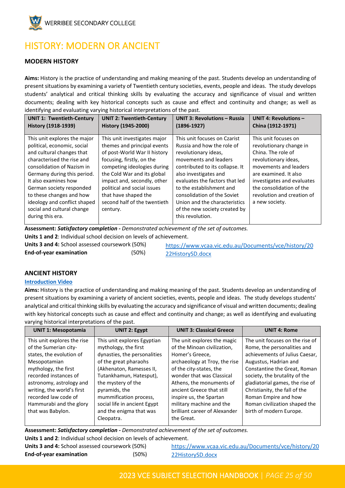

# <span id="page-24-0"></span>HISTORY: MODERN OR ANCIENT

#### **MODERN HISTORY**

**Aims:** History is the practice of understanding and making meaning of the past. Students develop an understanding of present situations by examining a variety of Twentieth century societies, events, people and ideas. The study develops students' analytical and critical thinking skills by evaluating the accuracy and significance of visual and written documents; dealing with key historical concepts such as cause and effect and continuity and change; as well as identifying and evaluating varying historical interpretations of the past.

| <b>UNIT 1: Twentieth-Century</b>                                                                                                                                                                                                                                                                                                  | <b>UNIT 2: Twentieth-Century</b>                                                                                                                                                                                                                                                                                         | <b>UNIT 3: Revolutions - Russia</b>                                                                                                                                                                                                                                                                                                    | <b>UNIT 4: Revolutions -</b>                                                                                                                                                                                                                              |
|-----------------------------------------------------------------------------------------------------------------------------------------------------------------------------------------------------------------------------------------------------------------------------------------------------------------------------------|--------------------------------------------------------------------------------------------------------------------------------------------------------------------------------------------------------------------------------------------------------------------------------------------------------------------------|----------------------------------------------------------------------------------------------------------------------------------------------------------------------------------------------------------------------------------------------------------------------------------------------------------------------------------------|-----------------------------------------------------------------------------------------------------------------------------------------------------------------------------------------------------------------------------------------------------------|
| History (1918-1939)                                                                                                                                                                                                                                                                                                               | History (1945-2000)                                                                                                                                                                                                                                                                                                      | $(1896-1927)$                                                                                                                                                                                                                                                                                                                          | China (1912-1971)                                                                                                                                                                                                                                         |
| This unit explores the major<br>political, economic, social<br>and cultural changes that<br>characterised the rise and<br>consolidation of Nazism in<br>Germany during this period.<br>It also examines how<br>German society responded<br>to these changes and how<br>ideology and conflict shaped<br>social and cultural change | This unit investigates major<br>themes and principal events<br>of post-World War II history<br>focusing, firstly, on the<br>competing ideologies during<br>the Cold War and its global<br>impact and, secondly, other<br>political and social issues<br>that have shaped the<br>second half of the twentieth<br>century. | This unit focuses on Czarist<br>Russia and how the role of<br>revolutionary ideas,<br>movements and leaders<br>contributed to its collapse. It<br>also investigates and<br>evaluates the factors that led<br>to the establishment and<br>consolidation of the Soviet<br>Union and the characteristics<br>of the new society created by | This unit focuses on<br>revolutionary change in<br>China. The role of<br>revolutionary ideas,<br>movements and leaders<br>are examined. It also<br>investigates and evaluates<br>the consolidation of the<br>revolution and creation of<br>a new society. |
| during this era.                                                                                                                                                                                                                                                                                                                  |                                                                                                                                                                                                                                                                                                                          | this revolution.                                                                                                                                                                                                                                                                                                                       |                                                                                                                                                                                                                                                           |

**Assessment:** *Satisfactory completion - Demonstrated achievement of the set of outcomes.*

**Units 1 and 2**: Individual school decision on levels of achievement.

**Units 3 and 4:** School assessed coursework (50%) **End-of-year examination** (50%)

[https://www.vcaa.vic.edu.au/Documents/vce/history/20](https://aus01.safelinks.protection.outlook.com/?url=https%3A%2F%2Fwww.vcaa.vic.edu.au%2FDocuments%2Fvce%2Fhistory%2F2022HistorySD.docx&data=05%7C01%7CToula.Papadimitropoulos%40education.vic.gov.au%7Cc9f7726cb20f49266dfa08da3418ee70%7Cd96cb3371a8744cfb69b3cec334a4c1f%7C0%7C0%7C637879578961816241%7CUnknown%7CTWFpbGZsb3d8eyJWIjoiMC4wLjAwMDAiLCJQIjoiV2luMzIiLCJBTiI6Ik1haWwiLCJXVCI6Mn0%3D%7C3000%7C%7C%7C&sdata=NpOA7NMcQRg6LtuaY8QW2nYTRfLxwWO7cFindFVggas%3D&reserved=0) [22HistorySD.docx](https://aus01.safelinks.protection.outlook.com/?url=https%3A%2F%2Fwww.vcaa.vic.edu.au%2FDocuments%2Fvce%2Fhistory%2F2022HistorySD.docx&data=05%7C01%7CToula.Papadimitropoulos%40education.vic.gov.au%7Cc9f7726cb20f49266dfa08da3418ee70%7Cd96cb3371a8744cfb69b3cec334a4c1f%7C0%7C0%7C637879578961816241%7CUnknown%7CTWFpbGZsb3d8eyJWIjoiMC4wLjAwMDAiLCJQIjoiV2luMzIiLCJBTiI6Ik1haWwiLCJXVCI6Mn0%3D%7C3000%7C%7C%7C&sdata=NpOA7NMcQRg6LtuaY8QW2nYTRfLxwWO7cFindFVggas%3D&reserved=0)

#### **ANCIENT HISTORY**

#### **[Introduction Video](https://youtu.be/PKWAh1xJRRI)**

**Aims:** History is the practice of understanding and making meaning of the past. Students develop an understanding of present situations by examining a variety of ancient societies, events, people and ideas. The study develops students' analytical and critical thinking skills by evaluating the accuracy and significance of visual and written documents; dealing with key historical concepts such as cause and effect and continuity and change; as well as identifying and evaluating varying historical interpretations of the past.

| <b>UNIT 1: Mesopotamia</b>                                                                                                                                                                                                                                                          | <b>UNIT 2: Egypt</b>                                                                                                                                                                                                                                                                                          | <b>UNIT 3: Classical Greece</b>                                                                                                                                                                                                                                                                                                       | <b>UNIT 4: Rome</b>                                                                                                                                                                                                                                                                                                                                |
|-------------------------------------------------------------------------------------------------------------------------------------------------------------------------------------------------------------------------------------------------------------------------------------|---------------------------------------------------------------------------------------------------------------------------------------------------------------------------------------------------------------------------------------------------------------------------------------------------------------|---------------------------------------------------------------------------------------------------------------------------------------------------------------------------------------------------------------------------------------------------------------------------------------------------------------------------------------|----------------------------------------------------------------------------------------------------------------------------------------------------------------------------------------------------------------------------------------------------------------------------------------------------------------------------------------------------|
| This unit explores the rise<br>of the Sumerian city-<br>states, the evolution of<br>Mesopotamian<br>mythology, the first<br>recorded instances of<br>astronomy, astrology and<br>writing, the world's first<br>recorded law code of<br>Hammurabi and the glory<br>that was Babylon. | This unit explores Egyptian<br>mythology, the first<br>dynasties, the personalities<br>of the great pharaohs<br>(Akhenaton, Ramesses II,<br>Tutankhamun, Hatesput),<br>the mystery of the<br>pyramids, the<br>mummification process,<br>social life in ancient Egypt<br>and the enigma that was<br>Cleopatra. | The unit explores the magic<br>of the Minoan civilization,<br>Homer's Greece,<br>archaeology at Troy, the rise<br>of the city-states, the<br>wonder that was Classical<br>Athens, the monuments of<br>ancient Greece that still<br>inspire us, the Spartan<br>military machine and the<br>brilliant career of Alexander<br>the Great. | The unit focuses on the rise of<br>Rome, the personalities and<br>achievements of Julius Caesar,<br>Augustus, Hadrian and<br>Constantine the Great, Roman<br>society, the brutality of the<br>gladiatorial games, the rise of<br>Christianity, the fall of the<br>Roman Empire and how<br>Roman civilization shaped the<br>birth of modern Europe. |

**Assessment:** *Satisfactory completion - Demonstrated achievement of the set of outcomes.* **Units 1 and 2**: Individual school decision on levels of achievement.

| Units 3 and 4: School assessed coursework (50%) |       | https://www.vcaa.vic.edu.au/Documents/vce/history/20 |
|-------------------------------------------------|-------|------------------------------------------------------|
| <b>End-of-year examination</b>                  | (50%) | 22HistorySD.docx                                     |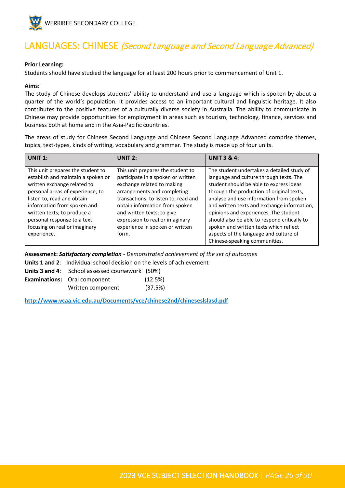

# <span id="page-25-0"></span>LANGUAGES: CHINESE (Second Language and Second Language Advanced)

#### **Prior Learning:**

Students should have studied the language for at least 200 hours prior to commencement of Unit 1.

#### **Aims:**

The study of Chinese develops students' ability to understand and use a language which is spoken by about a quarter of the world's population. It provides access to an important cultural and linguistic heritage. It also contributes to the positive features of a culturally diverse society in Australia. The ability to communicate in Chinese may provide opportunities for employment in areas such as tourism, technology, finance, services and business both at home and in the Asia-Pacific countries.

The areas of study for Chinese Second Language and Chinese Second Language Advanced comprise themes, topics, text-types, kinds of writing, vocabulary and grammar. The study is made up of four units.

| <b>UNIT 1:</b>                                                                                                                                                                                                                                                                                                        | <b>UNIT 2:</b>                                                                                                                                                                                                                                                                                                              | <b>UNIT 3 &amp; 4:</b>                                                                                                                                                                                                                                                                                                                                                                                                                                                                |
|-----------------------------------------------------------------------------------------------------------------------------------------------------------------------------------------------------------------------------------------------------------------------------------------------------------------------|-----------------------------------------------------------------------------------------------------------------------------------------------------------------------------------------------------------------------------------------------------------------------------------------------------------------------------|---------------------------------------------------------------------------------------------------------------------------------------------------------------------------------------------------------------------------------------------------------------------------------------------------------------------------------------------------------------------------------------------------------------------------------------------------------------------------------------|
| This unit prepares the student to<br>establish and maintain a spoken or<br>written exchange related to<br>personal areas of experience; to<br>listen to, read and obtain<br>information from spoken and<br>written texts; to produce a<br>personal response to a text<br>focusing on real or imaginary<br>experience. | This unit prepares the student to<br>participate in a spoken or written<br>exchange related to making<br>arrangements and completing<br>transactions; to listen to, read and<br>obtain information from spoken<br>and written texts; to give<br>expression to real or imaginary<br>experience in spoken or written<br>form. | The student undertakes a detailed study of<br>language and culture through texts. The<br>student should be able to express ideas<br>through the production of original texts,<br>analyse and use information from spoken<br>and written texts and exchange information,<br>opinions and experiences. The student<br>should also be able to respond critically to<br>spoken and written texts which reflect<br>aspects of the language and culture of<br>Chinese-speaking communities. |

**Assessment:** *Satisfactory completion - Demonstrated achievement of the set of outcomes*

**Units 1 and 2**: Individual school decision on the levels of achievement

| <b>Units 3 and 4:</b> School assessed coursework (50%) |         |
|--------------------------------------------------------|---------|
| <b>Examinations:</b> Oral component                    | (12.5%) |
| Written component                                      | (37.5%) |

**<http://www.vcaa.vic.edu.au/Documents/vce/chinese2nd/chineseslslasd.pdf>**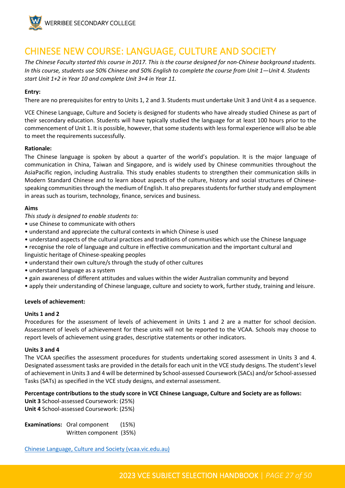

### <span id="page-26-0"></span>CHINESE NEW COURSE: LANGUAGE, CULTURE AND SOCIETY

*The Chinese Faculty started this course in 2017. This is the course designed for non-Chinese background students. In this course, students use 50% Chinese and 50% English to complete the course from Unit 1—Unit 4. Students start Unit 1+2 in Year 10 and complete Unit 3+4 in Year 11.* 

#### **Entry:**

There are no prerequisites for entry to Units 1, 2 and 3. Students must undertake Unit 3 and Unit 4 as a sequence.

VCE Chinese Language, Culture and Society is designed for students who have already studied Chinese as part of their secondary education. Students will have typically studied the language for at least 100 hours prior to the commencement of Unit 1. It is possible, however, that some students with less formal experience will also be able to meet the requirements successfully.

#### **Rationale:**

The Chinese language is spoken by about a quarter of the world's population. It is the major language of communication in China, Taiwan and Singapore, and is widely used by Chinese communities throughout the AsiaPacific region, including Australia. This study enables students to strengthen their communication skills in Modern Standard Chinese and to learn about aspects of the culture, history and social structures of Chinesespeaking communities through the medium of English. It also prepares students for further study and employment in areas such as tourism, technology, finance, services and business.

#### **Aims**

*This study is designed to enable students to:* 

- use Chinese to communicate with others
- understand and appreciate the cultural contexts in which Chinese is used
- understand aspects of the cultural practices and traditions of communities which use the Chinese language
- recognise the role of language and culture in effective communication and the important cultural and linguistic heritage of Chinese-speaking peoples
- understand their own culture/s through the study of other cultures
- understand language as a system
- gain awareness of different attitudes and values within the wider Australian community and beyond
- apply their understanding of Chinese language, culture and society to work, further study, training and leisure.

#### **Levels of achievement:**

#### **Units 1 and 2**

Procedures for the assessment of levels of achievement in Units 1 and 2 are a matter for school decision. Assessment of levels of achievement for these units will not be reported to the VCAA. Schools may choose to report levels of achievement using grades, descriptive statements or other indicators.

#### **Units 3 and 4**

The VCAA specifies the assessment procedures for students undertaking scored assessment in Units 3 and 4. Designated assessment tasks are provided in the details for each unit in the VCE study designs. The student's level of achievement in Units 3 and 4 will be determined by School-assessed Coursework (SACs) and/or School-assessed Tasks (SATs) as specified in the VCE study designs, and external assessment.

#### **Percentage contributions to the study score in VCE Chinese Language, Culture and Society are as follows:**

**Unit 3** School-assessed Coursework: (25%) **Unit 4** School-assessed Coursework: (25%)

**Examinations:** Oral component (15%) Written component (35%)

[Chinese Language, Culture and Society \(vcaa.vic.edu.au\)](https://www.vcaa.vic.edu.au/curriculum/vce/vce-study-designs/chineselanguage-cultureandsociety/Pages/index.aspx)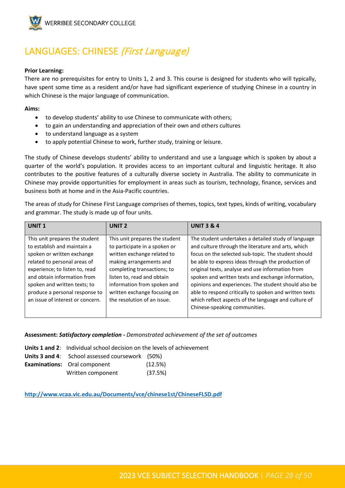

# <span id="page-27-0"></span>LANGUAGES: CHINESE (First Language)

#### **Prior Learning:**

There are no prerequisites for entry to Units 1, 2 and 3. This course is designed for students who will typically, have spent some time as a resident and/or have had significant experience of studying Chinese in a country in which Chinese is the major language of communication.

#### **Aims:**

- to develop students' ability to use Chinese to communicate with others;
- to gain an understanding and appreciation of their own and others cultures
- to understand language as a system
- to apply potential Chinese to work, further study, training or leisure.

The study of Chinese develops students' ability to understand and use a language which is spoken by about a quarter of the world's population. It provides access to an important cultural and linguistic heritage. It also contributes to the positive features of a culturally diverse society in Australia. The ability to communicate in Chinese may provide opportunities for employment in areas such as tourism, technology, finance, services and business both at home and in the Asia-Pacific countries.

The areas of study for Chinese First Language comprises of themes, topics, text types, kinds of writing, vocabulary and grammar. The study is made up of four units.

| <b>UNIT1</b>                                                                                                                                                                                                                                                                                       | <b>UNIT 2</b>                                                                                                                                                                                                                                                                        | <b>UNIT 3 &amp; 4</b>                                                                                                                                                                                                                                                                                                                                                                                                                                                                                                                       |
|----------------------------------------------------------------------------------------------------------------------------------------------------------------------------------------------------------------------------------------------------------------------------------------------------|--------------------------------------------------------------------------------------------------------------------------------------------------------------------------------------------------------------------------------------------------------------------------------------|---------------------------------------------------------------------------------------------------------------------------------------------------------------------------------------------------------------------------------------------------------------------------------------------------------------------------------------------------------------------------------------------------------------------------------------------------------------------------------------------------------------------------------------------|
| This unit prepares the student<br>to establish and maintain a<br>spoken or written exchange<br>related to personal areas of<br>experience; to listen to, read<br>and obtain information from<br>spoken and written texts; to<br>produce a personal response to<br>an issue of interest or concern. | This unit prepares the student<br>to participate in a spoken or<br>written exchange related to<br>making arrangements and<br>completing transactions; to<br>listen to, read and obtain<br>information from spoken and<br>written exchange focusing on<br>the resolution of an issue. | The student undertakes a detailed study of language<br>and culture through the literature and arts, which<br>focus on the selected sub-topic. The student should<br>be able to express ideas through the production of<br>original texts, analyse and use information from<br>spoken and written texts and exchange information,<br>opinions and experiences. The student should also be<br>able to respond critically to spoken and written texts<br>which reflect aspects of the language and culture of<br>Chinese-speaking communities. |
|                                                                                                                                                                                                                                                                                                    |                                                                                                                                                                                                                                                                                      |                                                                                                                                                                                                                                                                                                                                                                                                                                                                                                                                             |

**Assessment:** *Satisfactory completion - Demonstrated achievement of the set of outcomes*

| <b>Units 1 and 2:</b> Individual school decision on the levels of achievement |         |
|-------------------------------------------------------------------------------|---------|
| <b>Units 3 and 4:</b> School assessed coursework (50%)                        |         |
| <b>Examinations:</b> Oral component                                           | (12.5%) |
| Written component                                                             | (37.5%) |

**<http://www.vcaa.vic.edu.au/Documents/vce/chinese1st/ChineseFLSD.pdf>**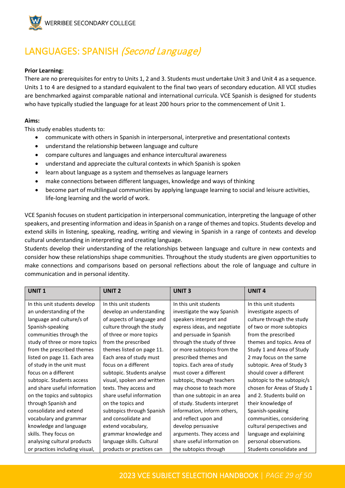

# <span id="page-28-0"></span>LANGUAGES: SPANISH (Second Language)

#### **Prior Learning:**

There are no prerequisites for entry to Units 1, 2 and 3. Students must undertake Unit 3 and Unit 4 as a sequence. Units 1 to 4 are designed to a standard equivalent to the final two years of secondary education. All VCE studies are benchmarked against comparable national and international curricula. VCE Spanish is designed for students who have typically studied the language for at least 200 hours prior to the commencement of Unit 1.

#### **Aims:**

This study enables students to:

- communicate with others in Spanish in interpersonal, interpretive and presentational contexts
- understand the relationship between language and culture
- compare cultures and languages and enhance intercultural awareness
- understand and appreciate the cultural contexts in which Spanish is spoken
- learn about language as a system and themselves as language learners
- make connections between different languages, knowledge and ways of thinking
- become part of multilingual communities by applying language learning to social and leisure activities, life-long learning and the world of work.

VCE Spanish focuses on student participation in interpersonal communication, interpreting the language of other speakers, and presenting information and ideas in Spanish on a range of themes and topics. Students develop and extend skills in listening, speaking, reading, writing and viewing in Spanish in a range of contexts and develop cultural understanding in interpreting and creating language.

Students develop their understanding of the relationships between language and culture in new contexts and consider how these relationships shape communities. Throughout the study students are given opportunities to make connections and comparisons based on personal reflections about the role of language and culture in communication and in personal identity.

| <b>UNIT1</b>                   | UNIT <sub>2</sub>          | <b>UNIT3</b>                 | <b>UNIT4</b>                |
|--------------------------------|----------------------------|------------------------------|-----------------------------|
| In this unit students develop  | In this unit students      | In this unit students        | In this unit students       |
| an understanding of the        | develop an understanding   | investigate the way Spanish  | investigate aspects of      |
| language and culture/s of      | of aspects of language and | speakers interpret and       | culture through the study   |
| Spanish-speaking               | culture through the study  | express ideas, and negotiate | of two or more subtopics    |
| communities through the        | of three or more topics    | and persuade in Spanish      | from the prescribed         |
| study of three or more topics  | from the prescribed        | through the study of three   | themes and topics. Area of  |
| from the prescribed themes     | themes listed on page 11.  | or more subtopics from the   | Study 1 and Area of Study   |
| listed on page 11. Each area   | Each area of study must    | prescribed themes and        | 2 may focus on the same     |
| of study in the unit must      | focus on a different       | topics. Each area of study   | subtopic. Area of Study 3   |
| focus on a different           | subtopic. Students analyse | must cover a different       | should cover a different    |
| subtopic. Students access      | visual, spoken and written | subtopic, though teachers    | subtopic to the subtopic/s  |
| and share useful information   | texts. They access and     | may choose to teach more     | chosen for Areas of Study 1 |
| on the topics and subtopics    | share useful information   | than one subtopic in an area | and 2. Students build on    |
| through Spanish and            | on the topics and          | of study. Students interpret | their knowledge of          |
| consolidate and extend         | subtopics through Spanish  | information, inform others,  | Spanish-speaking            |
| vocabulary and grammar         | and consolidate and        | and reflect upon and         | communities, considering    |
| knowledge and language         | extend vocabulary,         | develop persuasive           | cultural perspectives and   |
| skills. They focus on          | grammar knowledge and      | arguments. They access and   | language and explaining     |
| analysing cultural products    | language skills. Cultural  | share useful information on  | personal observations.      |
| or practices including visual, | products or practices can  | the subtopics through        | Students consolidate and    |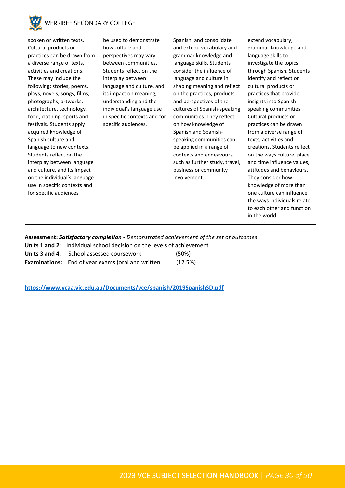

| spoken or written texts.     | be used to demonstrate       | Spanish, and consolidate       | extend vocabulary,          |
|------------------------------|------------------------------|--------------------------------|-----------------------------|
| Cultural products or         | how culture and              | and extend vocabulary and      | grammar knowledge and       |
| practices can be drawn from  | perspectives may vary        | grammar knowledge and          | language skills to          |
| a diverse range of texts,    | between communities.         | language skills. Students      | investigate the topics      |
| activities and creations.    | Students reflect on the      | consider the influence of      | through Spanish. Students   |
| These may include the        | interplay between            | language and culture in        | identify and reflect on     |
| following: stories, poems,   | language and culture, and    | shaping meaning and reflect    | cultural products or        |
| plays, novels, songs, films, | its impact on meaning,       | on the practices, products     | practices that provide      |
| photographs, artworks,       | understanding and the        | and perspectives of the        | insights into Spanish-      |
| architecture, technology,    | individual's language use    | cultures of Spanish-speaking   | speaking communities.       |
| food, clothing, sports and   | in specific contexts and for | communities. They reflect      | Cultural products or        |
| festivals. Students apply    | specific audiences.          | on how knowledge of            | practices can be drawn      |
| acquired knowledge of        |                              | Spanish and Spanish-           | from a diverse range of     |
| Spanish culture and          |                              | speaking communities can       | texts, activities and       |
| language to new contexts.    |                              | be applied in a range of       | creations. Students reflect |
| Students reflect on the      |                              | contexts and endeavours,       | on the ways culture, place  |
| interplay between language   |                              | such as further study, travel, | and time influence values,  |
| and culture, and its impact  |                              | business or community          | attitudes and behaviours.   |
| on the individual's language |                              | involvement.                   | They consider how           |
| use in specific contexts and |                              |                                | knowledge of more than      |
| for specific audiences       |                              |                                | one culture can influence   |
|                              |                              |                                | the ways individuals relate |
|                              |                              |                                | to each other and function  |
|                              |                              |                                | in the world.               |
|                              |                              |                                |                             |

#### **Assessment:** *Satisfactory completion - Demonstrated achievement of the set of outcomes*

**Units 1 and 2**: Individual school decision on the levels of achievement

| Units 3 and 4: School assessed coursework | (50%) |
|-------------------------------------------|-------|
|                                           |       |

**Examinations:** End of year exams (oral and written (12.5%)

**<https://www.vcaa.vic.edu.au/Documents/vce/spanish/2019SpanishSD.pdf>**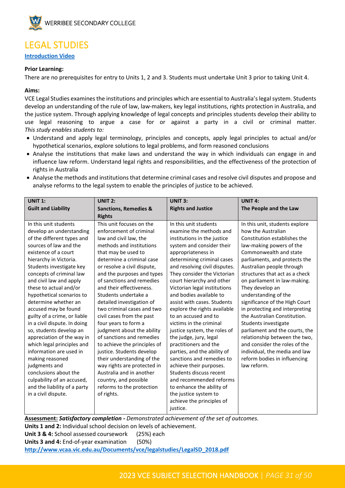

### <span id="page-30-0"></span>LEGAL STUDIES

**[Introduction Video](https://youtu.be/HqXAyYf7sho)**

#### **Prior Learning:**

There are no prerequisites for entry to Units 1, 2 and 3. Students must undertake Unit 3 prior to taking Unit 4.

#### **Aims:**

VCE Legal Studies examines the institutions and principles which are essential to Australia's legal system. Students develop an understanding of the rule of law, law-makers, key legal institutions, rights protection in Australia, and the justice system. Through applying knowledge of legal concepts and principles students develop their ability to use legal reasoning to argue a case for or against a party in a civil or criminal matter. *This study enables students to:*

- Understand and apply legal terminology, principles and concepts, apply legal principles to actual and/or hypothetical scenarios, explore solutions to legal problems, and form reasoned conclusions
- Analyse the institutions that make laws and understand the way in which individuals can engage in and influence law reform. Understand legal rights and responsibilities, and the effectiveness of the protection of rights in Australia
- Analyse the methods and institutions that determine criminal cases and resolve civil disputes and propose and analyse reforms to the legal system to enable the principles of justice to be achieved.

| <b>UNIT 1:</b>               | <b>UNIT 2:</b>                   | UNIT 3:                       | <b>UNIT 4:</b>                 |
|------------------------------|----------------------------------|-------------------------------|--------------------------------|
| <b>Guilt and Liability</b>   | <b>Sanctions, Remedies &amp;</b> | <b>Rights and Justice</b>     | The People and the Law         |
|                              | <b>Rights</b>                    |                               |                                |
| In this unit students        | This unit focuses on the         | In this unit students         | In this unit, students explore |
| develop an understanding     | enforcement of criminal          | examine the methods and       | how the Australian             |
| of the different types and   | law and civil law, the           | institutions in the justice   | Constitution establishes the   |
| sources of law and the       | methods and institutions         | system and consider their     | law-making powers of the       |
| existence of a court         | that may be used to              | appropriateness in            | Commonwealth and state         |
| hierarchy in Victoria.       | determine a criminal case        | determining criminal cases    | parliaments, and protects the  |
| Students investigate key     | or resolve a civil dispute,      | and resolving civil disputes. | Australian people through      |
| concepts of criminal law     | and the purposes and types       | They consider the Victorian   | structures that act as a check |
| and civil law and apply      | of sanctions and remedies        | court hierarchy and other     | on parliament in law-making.   |
| these to actual and/or       | and their effectiveness.         | Victorian legal institutions  | They develop an                |
| hypothetical scenarios to    | Students undertake a             | and bodies available to       | understanding of the           |
| determine whether an         | detailed investigation of        | assist with cases. Students   | significance of the High Court |
| accused may be found         | two criminal cases and two       | explore the rights available  | in protecting and interpreting |
| guilty of a crime, or liable | civil cases from the past        | to an accused and to          | the Australian Constitution.   |
| in a civil dispute. In doing | four years to form a             | victims in the criminal       | Students investigate           |
| so, students develop an      | judgment about the ability       | justice system, the roles of  | parliament and the courts, the |
| appreciation of the way in   | of sanctions and remedies        | the judge, jury, legal        | relationship between the two,  |
| which legal principles and   | to achieve the principles of     | practitioners and the         | and consider the roles of the  |
| information are used in      | justice. Students develop        | parties, and the ability of   | individual, the media and law  |
| making reasoned              | their understanding of the       | sanctions and remedies to     | reform bodies in influencing   |
| judgments and                | way rights are protected in      | achieve their purposes.       | law reform.                    |
| conclusions about the        | Australia and in another         | Students discuss recent       |                                |
| culpability of an accused,   | country, and possible            | and recommended reforms       |                                |
| and the liability of a party | reforms to the protection        | to enhance the ability of     |                                |
| in a civil dispute.          | of rights.                       | the justice system to         |                                |
|                              |                                  | achieve the principles of     |                                |
|                              |                                  | justice.                      |                                |

**Assessment:** *Satisfactory completion - Demonstrated achievement of the set of outcomes.* **Units 1 and 2:** Individual school decision on levels of achievement. **Unit 3 & 4:** School assessed coursework (25%) each **Units 3 and 4:** End-of-year examination (50%) **[http://www.vcaa.vic.edu.au/Documents/vce/legalstudies/LegalSD\\_2018.pdf](http://www.vcaa.vic.edu.au/Documents/vce/legalstudies/LegalSD_2018.pdf)**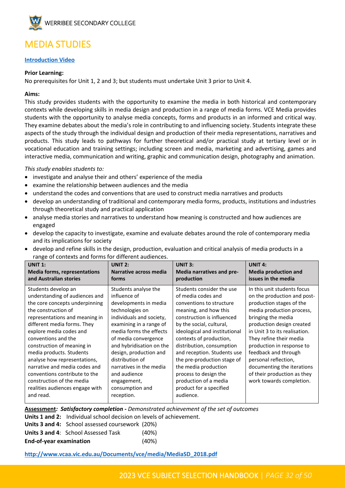

# <span id="page-31-0"></span>MEDIA STUDIES

#### **[Introduction Video](https://youtu.be/fM3MDK8kAGQ)**

#### **Prior Learning:**

No prerequisites for Unit 1, 2 and 3; but students must undertake Unit 3 prior to Unit 4.

#### **Aims:**

This study provides students with the opportunity to examine the media in both historical and contemporary contexts while developing skills in media design and production in a range of media forms. VCE Media provides students with the opportunity to analyse media concepts, forms and products in an informed and critical way. They examine debates about the media's role in contributing to and influencing society. Students integrate these aspects of the study through the individual design and production of their media representations, narratives and products. This study leads to pathways for further theoretical and/or practical study at tertiary level or in vocational education and training settings; including screen and media, marketing and advertising, games and interactive media, communication and writing, graphic and communication design, photography and animation.

*This study enables students to:* 

- investigate and analyse their and others' experience of the media
- examine the relationship between audiences and the media
- understand the codes and conventions that are used to construct media narratives and products
- develop an understanding of traditional and contemporary media forms, products, institutions and industries through theoretical study and practical application
- analyse media stories and narratives to understand how meaning is constructed and how audiences are engaged
- develop the capacity to investigate, examine and evaluate debates around the role of contemporary media and its implications for society
- develop and refine skills in the design, production, evaluation and critical analysis of media products in a range of contexts and forms for different audiences.

| <b>UNIT 1:</b>                                                                                                                                                                                                                                                                                                                                                                                                                                                             | <b>UNIT 2:</b>                                                                                                                                                                                                                                                                                                                                                 | <b>UNIT 3:</b>                                                                                                                                                                                                                                                                                                                                                                                                                          | <b>UNIT 4:</b>                                                                                                                                                                                                                                                                                                                                                                                           |
|----------------------------------------------------------------------------------------------------------------------------------------------------------------------------------------------------------------------------------------------------------------------------------------------------------------------------------------------------------------------------------------------------------------------------------------------------------------------------|----------------------------------------------------------------------------------------------------------------------------------------------------------------------------------------------------------------------------------------------------------------------------------------------------------------------------------------------------------------|-----------------------------------------------------------------------------------------------------------------------------------------------------------------------------------------------------------------------------------------------------------------------------------------------------------------------------------------------------------------------------------------------------------------------------------------|----------------------------------------------------------------------------------------------------------------------------------------------------------------------------------------------------------------------------------------------------------------------------------------------------------------------------------------------------------------------------------------------------------|
| <b>Media forms, representations</b>                                                                                                                                                                                                                                                                                                                                                                                                                                        | Narrative across media                                                                                                                                                                                                                                                                                                                                         | Media narratives and pre-                                                                                                                                                                                                                                                                                                                                                                                                               | <b>Media production and</b>                                                                                                                                                                                                                                                                                                                                                                              |
| and Australian stories                                                                                                                                                                                                                                                                                                                                                                                                                                                     | forms                                                                                                                                                                                                                                                                                                                                                          | production                                                                                                                                                                                                                                                                                                                                                                                                                              | issues in the media                                                                                                                                                                                                                                                                                                                                                                                      |
| Students develop an<br>understanding of audiences and<br>the core concepts underpinning<br>the construction of<br>representations and meaning in<br>different media forms. They<br>explore media codes and<br>conventions and the<br>construction of meaning in<br>media products. Students<br>analyse how representations,<br>narrative and media codes and<br>conventions contribute to the<br>construction of the media<br>realities audiences engage with<br>and read. | Students analyse the<br>influence of<br>developments in media<br>technologies on<br>individuals and society,<br>examining in a range of<br>media forms the effects<br>of media convergence<br>and hybridisation on the<br>design, production and<br>distribution of<br>narratives in the media<br>and audience<br>engagement,<br>consumption and<br>reception. | Students consider the use<br>of media codes and<br>conventions to structure<br>meaning, and how this<br>construction is influenced<br>by the social, cultural,<br>ideological and institutional<br>contexts of production,<br>distribution, consumption<br>and reception. Students use<br>the pre-production stage of<br>the media production<br>process to design the<br>production of a media<br>product for a specified<br>audience. | In this unit students focus<br>on the production and post-<br>production stages of the<br>media production process,<br>bringing the media<br>production design created<br>in Unit 3 to its realisation.<br>They refine their media<br>production in response to<br>feedback and through<br>personal reflection,<br>documenting the iterations<br>of their production as they<br>work towards completion. |

**Assessment***: Satisfactory completion - Demonstrated achievement of the set of outcomes*

**Units 1 and 2:** Individual school decision on levels of achievement.

|                                | Units 3 and 4: School assessed coursework (20%) |          |
|--------------------------------|-------------------------------------------------|----------|
|                                | <b>Units 3 and 4: School Assessed Task</b>      | (40%)    |
| <b>End-of-year examination</b> |                                                 | $(40\%)$ |

**[http://www.vcaa.vic.edu.au/Documents/vce/media/MediaSD\\_2018.pdf](http://www.vcaa.vic.edu.au/Documents/vce/media/MediaSD_2018.pdf)**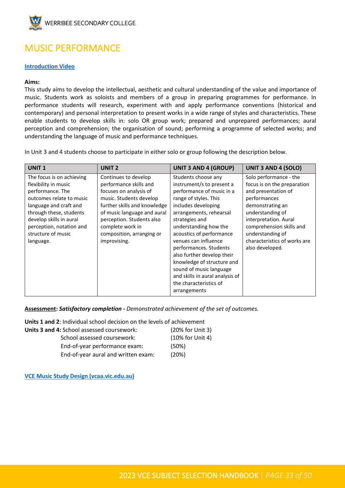

# <span id="page-32-0"></span>MUSIC PERFORMANCE

#### **[Introduction Video](https://youtu.be/omZvzGFYdj4)**

#### **Aims:**

This study aims to develop the intellectual, aesthetic and cultural understanding of the value and importance of music. Students work as soloists and members of a group in preparing programmes for performance. In performance students will research, experiment with and apply performance conventions (historical and contemporary) and personal interpretation to present works in a wide range of styles and characteristics. These enable students to develop skills in: solo OR group work; prepared and unprepared performances; aural perception and comprehension; the organisation of sound; performing a programme of selected works; and understanding the language of music and performance techniques.

In Unit 3 and 4 students choose to participate in either solo or group following the description below.

| <b>UNIT1</b>                                                                                                                                                                                                                                     | UNIT <sub>2</sub>                                                                                                                                                                                                                                                | <b>UNIT 3 AND 4 (GROUP)</b>                                                                                                                                                                                                                                                                                                                                                                                                                           | UNIT 3 AND 4 (SOLO)                                                                                                                                                                                                                                              |
|--------------------------------------------------------------------------------------------------------------------------------------------------------------------------------------------------------------------------------------------------|------------------------------------------------------------------------------------------------------------------------------------------------------------------------------------------------------------------------------------------------------------------|-------------------------------------------------------------------------------------------------------------------------------------------------------------------------------------------------------------------------------------------------------------------------------------------------------------------------------------------------------------------------------------------------------------------------------------------------------|------------------------------------------------------------------------------------------------------------------------------------------------------------------------------------------------------------------------------------------------------------------|
| The focus is on achieving<br>flexibility in music<br>performance. The<br>outcomes relate to music<br>language and craft and<br>through these, students<br>develop skills in aural<br>perception, notation and<br>structure of music<br>language. | Continues to develop<br>performance skills and<br>focuses on analysis of<br>music. Students develop<br>further skills and knowledge<br>of music language and aural<br>perception. Students also<br>complete work in<br>composition, arranging or<br>improvising. | Students choose any<br>instrument/s to present a<br>performance of music in a<br>range of styles. This<br>includes developing<br>arrangements, rehearsal<br>strategies and<br>understanding how the<br>acoustics of performance<br>venues can influence<br>performances. Students<br>also further develop their<br>knowledge of structure and<br>sound of music language<br>and skills in aural analysis of<br>the characteristics of<br>arrangements | Solo performance - the<br>focus is on the preparation<br>and presentation of<br>performances<br>demonstrating an<br>understanding of<br>interpretation. Aural<br>comprehension skills and<br>understanding of<br>characteristics of works are<br>also developed. |

**Assessment:** *Satisfactory completion - Demonstrated achievement of the set of outcomes.*

**Units 1 and 2**: Individual school decision on the levels of achievement

| <b>Units 3 and 4:</b> School assessed coursework: | (20% for Unit 3) |
|---------------------------------------------------|------------------|
| School assessed coursework:                       | (10% for Unit 4) |
| End-of-year performance exam:                     | (50%)            |
| End-of-year aural and written exam:               | (20%)            |

**[VCE Music Study Design \(vcaa.vic.edu.au\)](https://www.vcaa.vic.edu.au/Documents/vce/music/2017MusicSD.pdf)**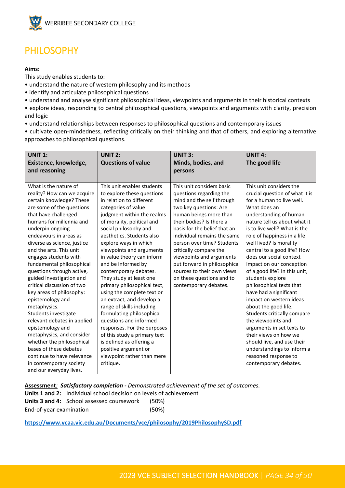

# <span id="page-33-0"></span>PHILOSOPHY

#### **Aims:**

This study enables students to:

- understand the nature of western philosophy and its methods
- identify and articulate philosophical questions
- understand and analyse significant philosophical ideas, viewpoints and arguments in their historical contexts
- explore ideas, responding to central philosophical questions, viewpoints and arguments with clarity, precision and logic
- understand relationships between responses to philosophical questions and contemporary issues

• cultivate open-mindedness, reflecting critically on their thinking and that of others, and exploring alternative approaches to philosophical questions.

| <b>UNIT 1:</b><br>Existence, knowledge,                                                                                                                                                                                                                                                                                                                                                                                                                                                                                                                                                                                                                                                                                                   | <b>UNIT 2:</b><br><b>Questions of value</b>                                                                                                                                                                                                                                                                                                                                                                                                                                                                                                                                                                                                                                                                                            | <b>UNIT 3:</b><br>Minds, bodies, and                                                                                                                                                                                                                                                                                                                                                                                                     | <b>UNIT 4:</b><br>The good life                                                                                                                                                                                                                                                                                                                                                                                                                                                                                                                                                                                                                                                                                                        |
|-------------------------------------------------------------------------------------------------------------------------------------------------------------------------------------------------------------------------------------------------------------------------------------------------------------------------------------------------------------------------------------------------------------------------------------------------------------------------------------------------------------------------------------------------------------------------------------------------------------------------------------------------------------------------------------------------------------------------------------------|----------------------------------------------------------------------------------------------------------------------------------------------------------------------------------------------------------------------------------------------------------------------------------------------------------------------------------------------------------------------------------------------------------------------------------------------------------------------------------------------------------------------------------------------------------------------------------------------------------------------------------------------------------------------------------------------------------------------------------------|------------------------------------------------------------------------------------------------------------------------------------------------------------------------------------------------------------------------------------------------------------------------------------------------------------------------------------------------------------------------------------------------------------------------------------------|----------------------------------------------------------------------------------------------------------------------------------------------------------------------------------------------------------------------------------------------------------------------------------------------------------------------------------------------------------------------------------------------------------------------------------------------------------------------------------------------------------------------------------------------------------------------------------------------------------------------------------------------------------------------------------------------------------------------------------------|
| and reasoning                                                                                                                                                                                                                                                                                                                                                                                                                                                                                                                                                                                                                                                                                                                             |                                                                                                                                                                                                                                                                                                                                                                                                                                                                                                                                                                                                                                                                                                                                        | persons                                                                                                                                                                                                                                                                                                                                                                                                                                  |                                                                                                                                                                                                                                                                                                                                                                                                                                                                                                                                                                                                                                                                                                                                        |
| What is the nature of<br>reality? How can we acquire<br>certain knowledge? These<br>are some of the questions<br>that have challenged<br>humans for millennia and<br>underpin ongoing<br>endeavours in areas as<br>diverse as science, justice<br>and the arts. This unit<br>engages students with<br>fundamental philosophical<br>questions through active,<br>guided investigation and<br>critical discussion of two<br>key areas of philosophy:<br>epistemology and<br>metaphysics.<br>Students investigate<br>relevant debates in applied<br>epistemology and<br>metaphysics, and consider<br>whether the philosophical<br>bases of these debates<br>continue to have relevance<br>in contemporary society<br>and our everyday lives. | This unit enables students<br>to explore these questions<br>in relation to different<br>categories of value<br>judgment within the realms<br>of morality, political and<br>social philosophy and<br>aesthetics. Students also<br>explore ways in which<br>viewpoints and arguments<br>in value theory can inform<br>and be informed by<br>contemporary debates.<br>They study at least one<br>primary philosophical text,<br>using the complete text or<br>an extract, and develop a<br>range of skills including<br>formulating philosophical<br>questions and informed<br>responses. For the purposes<br>of this study a primary text<br>is defined as offering a<br>positive argument or<br>viewpoint rather than mere<br>critique. | This unit considers basic<br>questions regarding the<br>mind and the self through<br>two key questions: Are<br>human beings more than<br>their bodies? Is there a<br>basis for the belief that an<br>individual remains the same<br>person over time? Students<br>critically compare the<br>viewpoints and arguments<br>put forward in philosophical<br>sources to their own views<br>on these questions and to<br>contemporary debates. | This unit considers the<br>crucial question of what it is<br>for a human to live well.<br>What does an<br>understanding of human<br>nature tell us about what it<br>is to live well? What is the<br>role of happiness in a life<br>well lived? Is morality<br>central to a good life? How<br>does our social context<br>impact on our conception<br>of a good life? In this unit,<br>students explore<br>philosophical texts that<br>have had a significant<br>impact on western ideas<br>about the good life.<br>Students critically compare<br>the viewpoints and<br>arguments in set texts to<br>their views on how we<br>should live, and use their<br>understandings to inform a<br>reasoned response to<br>contemporary debates. |

**Assessment***: Satisfactory completion - Demonstrated achievement of the set of outcomes.*

**Units 1 and 2:** Individual school decision on levels of achievement **Units 3 and 4:** School assessed coursework (50%) End-of-year examination (50%)

**<https://www.vcaa.vic.edu.au/Documents/vce/philosophy/2019PhilosophySD.pdf>**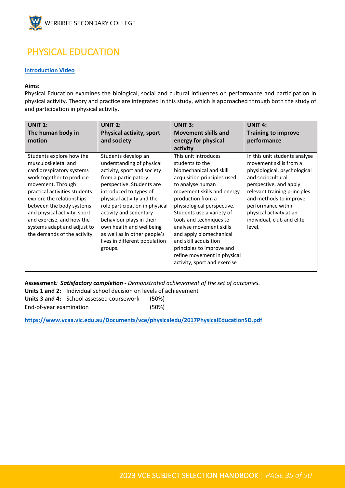

# <span id="page-34-0"></span>PHYSICAL EDUCATION

#### **[Introduction Video](https://youtu.be/owffXM2XX-I)**

#### **Aims:**

Physical Education examines the biological, social and cultural influences on performance and participation in physical activity. Theory and practice are integrated in this study, which is approached through both the study of and participation in physical activity.

| <b>UNIT 1:</b><br>The human body in                                                                                                                                                                                                                                                                                                                | UNIT $2:$<br><b>Physical activity, sport</b>                                                                                                                                                                                                                                                                                                                                                | UNIT $3:$<br><b>Movement skills and</b>                                                                                                                                                                                                                                                                                                                                                                                                   | <b>UNIT 4:</b><br><b>Training to improve</b>                                                                                                                                                                                                                                              |
|----------------------------------------------------------------------------------------------------------------------------------------------------------------------------------------------------------------------------------------------------------------------------------------------------------------------------------------------------|---------------------------------------------------------------------------------------------------------------------------------------------------------------------------------------------------------------------------------------------------------------------------------------------------------------------------------------------------------------------------------------------|-------------------------------------------------------------------------------------------------------------------------------------------------------------------------------------------------------------------------------------------------------------------------------------------------------------------------------------------------------------------------------------------------------------------------------------------|-------------------------------------------------------------------------------------------------------------------------------------------------------------------------------------------------------------------------------------------------------------------------------------------|
| motion                                                                                                                                                                                                                                                                                                                                             | and society                                                                                                                                                                                                                                                                                                                                                                                 | energy for physical                                                                                                                                                                                                                                                                                                                                                                                                                       | performance                                                                                                                                                                                                                                                                               |
|                                                                                                                                                                                                                                                                                                                                                    |                                                                                                                                                                                                                                                                                                                                                                                             | activity                                                                                                                                                                                                                                                                                                                                                                                                                                  |                                                                                                                                                                                                                                                                                           |
| Students explore how the<br>musculoskeletal and<br>cardiorespiratory systems<br>work together to produce<br>movement. Through<br>practical activities students<br>explore the relationships<br>between the body systems<br>and physical activity, sport<br>and exercise, and how the<br>systems adapt and adjust to<br>the demands of the activity | Students develop an<br>understanding of physical<br>activity, sport and society<br>from a participatory<br>perspective. Students are<br>introduced to types of<br>physical activity and the<br>role participation in physical<br>activity and sedentary<br>behaviour plays in their<br>own health and wellbeing<br>as well as in other people's<br>lives in different population<br>groups. | This unit introduces<br>students to the<br>biomechanical and skill<br>acquisition principles used<br>to analyse human<br>movement skills and energy<br>production from a<br>physiological perspective.<br>Students use a variety of<br>tools and techniques to<br>analyse movement skills<br>and apply biomechanical<br>and skill acquisition<br>principles to improve and<br>refine movement in physical<br>activity, sport and exercise | In this unit students analyse<br>movement skills from a<br>physiological, psychological<br>and sociocultural<br>perspective, and apply<br>relevant training principles<br>and methods to improve<br>performance within<br>physical activity at an<br>individual, club and elite<br>level. |

**Assessment***: Satisfactory completion - Demonstrated achievement of the set of outcomes.* **Units 1 and 2:** Individual school decision on levels of achievement **Units 3 and 4:** School assessed coursework (50%) End-of-year examination (50%)

**[https://www.vcaa.vic.edu.au/Documents/vce/physicaledu/2017PhysicalEducationSD.pdf](https://aus01.safelinks.protection.outlook.com/?url=https%3A%2F%2Fwww.vcaa.vic.edu.au%2FDocuments%2Fvce%2Fphysicaledu%2F2017PhysicalEducationSD.pdf&data=05%7C01%7CToula.Papadimitropoulos%40education.vic.gov.au%7C0134e85ce7e342ace44508da330d27a3%7Cd96cb3371a8744cfb69b3cec334a4c1f%7C0%7C0%7C637878428835620094%7CUnknown%7CTWFpbGZsb3d8eyJWIjoiMC4wLjAwMDAiLCJQIjoiV2luMzIiLCJBTiI6Ik1haWwiLCJXVCI6Mn0%3D%7C3000%7C%7C%7C&sdata=w%2Bh3tHM3FarHIA7Mv0rFGEEZHs9Vc9GKpQ44nQ2uhQk%3D&reserved=0)**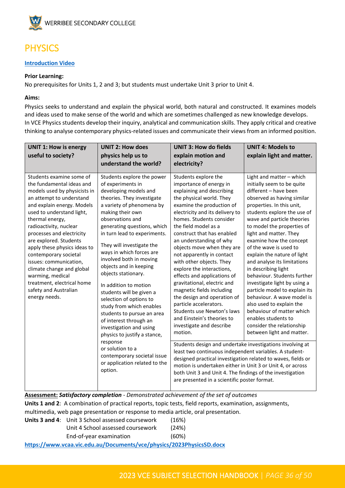

# <span id="page-35-0"></span>PHYSICS

#### **[Introduction Video](https://youtu.be/0eK-foxAysg)**

#### **Prior Learning:**

No prerequisites for Units 1, 2 and 3; but students must undertake Unit 3 prior to Unit 4.

#### **Aims:**

Physics seeks to understand and explain the physical world, both natural and constructed. It examines models and ideas used to make sense of the world and which are sometimes challenged as new knowledge develops. In VCE Physics students develop their inquiry, analytical and communication skills. They apply critical and creative thinking to analyse contemporary physics-related issues and communicate their views from an informed position.

| <b>UNIT 1: How is energy</b>                                                                                                                                                                                                                                                                                                                                                                                                                                                                 | <b>UNIT 2: How does</b>                                                                                                                                                                                                                                                                                                                                                                                                                                                                                                                                                                                                                                                                                                   | <b>UNIT 3: How do fields</b>                                                                                                                                                                                                                                                                                                                                                                                                                                                                                                                                                                                                                                                                                                                                                                                                                                                                                                                                                                                                       | <b>UNIT 4: Models to</b>                                                                                                                                                                                                                                                                                                                                                                                                                                                                                                                                                                                                                                                          |
|----------------------------------------------------------------------------------------------------------------------------------------------------------------------------------------------------------------------------------------------------------------------------------------------------------------------------------------------------------------------------------------------------------------------------------------------------------------------------------------------|---------------------------------------------------------------------------------------------------------------------------------------------------------------------------------------------------------------------------------------------------------------------------------------------------------------------------------------------------------------------------------------------------------------------------------------------------------------------------------------------------------------------------------------------------------------------------------------------------------------------------------------------------------------------------------------------------------------------------|------------------------------------------------------------------------------------------------------------------------------------------------------------------------------------------------------------------------------------------------------------------------------------------------------------------------------------------------------------------------------------------------------------------------------------------------------------------------------------------------------------------------------------------------------------------------------------------------------------------------------------------------------------------------------------------------------------------------------------------------------------------------------------------------------------------------------------------------------------------------------------------------------------------------------------------------------------------------------------------------------------------------------------|-----------------------------------------------------------------------------------------------------------------------------------------------------------------------------------------------------------------------------------------------------------------------------------------------------------------------------------------------------------------------------------------------------------------------------------------------------------------------------------------------------------------------------------------------------------------------------------------------------------------------------------------------------------------------------------|
| useful to society?                                                                                                                                                                                                                                                                                                                                                                                                                                                                           | physics help us to                                                                                                                                                                                                                                                                                                                                                                                                                                                                                                                                                                                                                                                                                                        | explain motion and                                                                                                                                                                                                                                                                                                                                                                                                                                                                                                                                                                                                                                                                                                                                                                                                                                                                                                                                                                                                                 | explain light and matter.                                                                                                                                                                                                                                                                                                                                                                                                                                                                                                                                                                                                                                                         |
|                                                                                                                                                                                                                                                                                                                                                                                                                                                                                              | understand the world?                                                                                                                                                                                                                                                                                                                                                                                                                                                                                                                                                                                                                                                                                                     | electricity?                                                                                                                                                                                                                                                                                                                                                                                                                                                                                                                                                                                                                                                                                                                                                                                                                                                                                                                                                                                                                       |                                                                                                                                                                                                                                                                                                                                                                                                                                                                                                                                                                                                                                                                                   |
| Students examine some of<br>the fundamental ideas and<br>models used by physicists in<br>an attempt to understand<br>and explain energy. Models<br>used to understand light,<br>thermal energy,<br>radioactivity, nuclear<br>processes and electricity<br>are explored. Students<br>apply these physics ideas to<br>contemporary societal<br>issues: communication,<br>climate change and global<br>warming, medical<br>treatment, electrical home<br>safety and Australian<br>energy needs. | Students explore the power<br>of experiments in<br>developing models and<br>theories. They investigate<br>a variety of phenomena by<br>making their own<br>observations and<br>generating questions, which<br>in turn lead to experiments.<br>They will investigate the<br>ways in which forces are<br>involved both in moving<br>objects and in keeping<br>objects stationary.<br>In addition to motion<br>students will be given a<br>selection of options to<br>study from which enables<br>students to pursue an area<br>of interest through an<br>investigation and using<br>physics to justify a stance,<br>response<br>or solution to a<br>contemporary societal issue<br>or application related to the<br>option. | Students explore the<br>importance of energy in<br>explaining and describing<br>the physical world. They<br>examine the production of<br>electricity and its delivery to<br>homes. Students consider<br>the field model as a<br>construct that has enabled<br>an understanding of why<br>objects move when they are<br>not apparently in contact<br>with other objects. They<br>explore the interactions,<br>effects and applications of<br>gravitational, electric and<br>magnetic fields including<br>the design and operation of<br>particle accelerators.<br>Students use Newton's laws<br>and Einstein's theories to<br>investigate and describe<br>motion.<br>Students design and undertake investigations involving at<br>least two continuous independent variables. A student-<br>designed practical investigation related to waves, fields or<br>motion is undertaken either in Unit 3 or Unit 4, or across<br>both Unit 3 and Unit 4. The findings of the investigation<br>are presented in a scientific poster format. | Light and matter - which<br>initially seem to be quite<br>different - have been<br>observed as having similar<br>properties. In this unit,<br>students explore the use of<br>wave and particle theories<br>to model the properties of<br>light and matter. They<br>examine how the concept<br>of the wave is used to<br>explain the nature of light<br>and analyse its limitations<br>in describing light<br>behaviour. Students further<br>investigate light by using a<br>particle model to explain its<br>behaviour. A wave model is<br>also used to explain the<br>behaviour of matter which<br>enables students to<br>consider the relationship<br>between light and matter. |

**Assessment:** *Satisfactory completion - Demonstrated achievement of the set of outcomes* **Units 1 and 2**: A combination of practical reports, topic tests, field reports, examination, assignments, multimedia, web page presentation or response to media article, oral presentation.

| <b>Units 3 and 4:</b> Unit 3 School assessed coursework                              | (16%) |
|--------------------------------------------------------------------------------------|-------|
| Unit 4 School assessed coursework                                                    | (24%) |
| End-of-year examination                                                              | (60%) |
| between the commences of the sales and Discovered and the theology of the common the |       |

**[https://www.vcaa.vic.edu.au/Documents/vce/physics/2023PhysicsSD.docx](https://aus01.safelinks.protection.outlook.com/?url=https%3A%2F%2Fwww.vcaa.vic.edu.au%2FDocuments%2Fvce%2Fphysics%2F2023PhysicsSD.docx&data=05%7C01%7CToula.Papadimitropoulos%40education.vic.gov.au%7Cb84709e0c92e4eadbd0f08da330c8d60%7Cd96cb3371a8744cfb69b3cec334a4c1f%7C0%7C0%7C637878426248241505%7CUnknown%7CTWFpbGZsb3d8eyJWIjoiMC4wLjAwMDAiLCJQIjoiV2luMzIiLCJBTiI6Ik1haWwiLCJXVCI6Mn0%3D%7C3000%7C%7C%7C&sdata=SdfIXr0mBG%2FOjf8MpxrSeoEOdKdZdbe7NS0PSGJWpFI%3D&reserved=0)**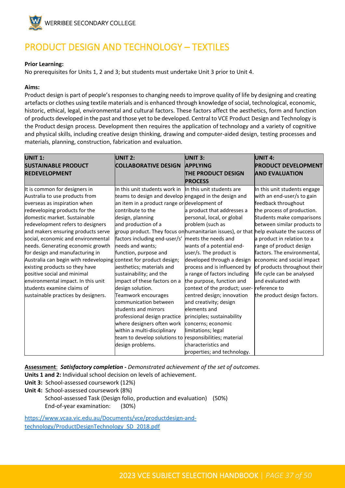

# <span id="page-36-0"></span>PRODUCT DESIGN AND TECHNOLOGY – TEXTILES

#### **Prior Learning:**

No prerequisites for Units 1, 2 and 3; but students must undertake Unit 3 prior to Unit 4.

#### **Aims:**

Product design is part of people's responses to changing needs to improve quality of life by designing and creating artefacts or clothes using textile materials and is enhanced through knowledge of social, technological, economic, historic, ethical, legal, environmental and cultural factors. These factors affect the aesthetics, form and function of products developed in the past and those yet to be developed. Central to VCE Product Design and Technology is the Product design process. Development then requires the application of technology and a variety of cognitive and physical skills, including creative design thinking, drawing and computer-aided design, testing processes and materials, planning, construction, fabrication and evaluation.

| <b>UNIT 1:</b>                        | <b>UNIT 2:</b>                                                                          | UNIT 3:                       | <b>UNIT 4:</b>               |
|---------------------------------------|-----------------------------------------------------------------------------------------|-------------------------------|------------------------------|
| <b>SUSTAINABLE PRODUCT</b>            | <b>COLLABORATIVE DESIGN</b>                                                             | <b>APPLYING</b>               | <b>PRODUCT DEVELOPMENT</b>   |
| <b>REDEVELOPMENT</b>                  |                                                                                         | THE PRODUCT DESIGN            | <b>AND EVALUATION</b>        |
|                                       |                                                                                         | <b>PROCESS</b>                |                              |
| It is common for designers in         | In this unit students work in                                                           | In this unit students are     | In this unit students engage |
| Australia to use products from        | teams to design and develop engaged in the design and                                   |                               | with an end-user/s to gain   |
| overseas as inspiration when          | an item in a product range or development of                                            |                               | feedback throughout          |
| redeveloping products for the         | contribute to the                                                                       | a product that addresses a    | the process of production.   |
| domestic market. Sustainable          | design, planning                                                                        | personal, local, or global    | Students make comparisons    |
| redevelopment refers to designers     | and production of a                                                                     | problem (such as              | between similar products to  |
| and makers ensuring products serve    | group product. They focus on humanitarian issues), or that help evaluate the success of |                               |                              |
| social, economic and environmental    | factors including end-user/s'                                                           | meets the needs and           | a product in relation to a   |
| needs. Generating economic growth     | needs and wants;                                                                        | wants of a potential end-     | range of product design      |
| for design and manufacturing in       | function, purpose and                                                                   | user/s. The product is        | factors. The environmental,  |
| Australia can begin with redeveloping | context for product design;                                                             | developed through a design    | economic and social impact   |
| existing products so they have        | aesthetics; materials and                                                               | process and is influenced by  | of products throughout their |
| positive social and minimal           | sustainability; and the                                                                 | a range of factors including  | life cycle can be analysed   |
| environmental impact. In this unit    | impact of these factors on a                                                            | the purpose, function and     | and evaluated with           |
| students examine claims of            | design solution.                                                                        | context of the product; user- | reference to                 |
| sustainable practices by designers.   | Teamwork encourages                                                                     | centred design; innovation    | the product design factors.  |
|                                       | communication between                                                                   | and creativity; design        |                              |
|                                       | students and mirrors                                                                    | elements and                  |                              |
|                                       | professional design practice                                                            | principles; sustainability    |                              |
|                                       | where designers often work                                                              | concerns; economic            |                              |
|                                       | within a multi-disciplinary                                                             | limitations; legal            |                              |
|                                       | team to develop solutions to responsibilities; material                                 |                               |                              |
|                                       | design problems.                                                                        | characteristics and           |                              |
|                                       |                                                                                         | properties; and technology.   |                              |

**Assessment**: *Satisfactory completion - Demonstrated achievement of the set of outcomes.*

- **Units 1 and 2:** Individual school decision on levels of achievement.
- **Unit 3:** School-assessed coursework (12%)
- **Unit 4:** School-assessed coursework (8%) School-assessed Task (Design folio, production and evaluation) (50%) End-of-year examination: (30%)

[https://www.vcaa.vic.edu.au/Documents/vce/productdesign-and](https://aus01.safelinks.protection.outlook.com/?url=https%3A%2F%2Fwww.vcaa.vic.edu.au%2FDocuments%2Fvce%2Fproductdesign-and-technology%2FProductDesignTechnology_SD_2018.pdf&data=05%7C01%7CToula.Papadimitropoulos%40education.vic.gov.au%7C7e673be1b97244b9b8bc08da33134455%7Cd96cb3371a8744cfb69b3cec334a4c1f%7C0%7C0%7C637878455085308088%7CUnknown%7CTWFpbGZsb3d8eyJWIjoiMC4wLjAwMDAiLCJQIjoiV2luMzIiLCJBTiI6Ik1haWwiLCJXVCI6Mn0%3D%7C3000%7C%7C%7C&sdata=84T%2FP1rKZS1NKecynLxqmGiEgNV%2F3d7MXyrYlUTUoUk%3D&reserved=0)[technology/ProductDesignTechnology\\_SD\\_2018.pdf](https://aus01.safelinks.protection.outlook.com/?url=https%3A%2F%2Fwww.vcaa.vic.edu.au%2FDocuments%2Fvce%2Fproductdesign-and-technology%2FProductDesignTechnology_SD_2018.pdf&data=05%7C01%7CToula.Papadimitropoulos%40education.vic.gov.au%7C7e673be1b97244b9b8bc08da33134455%7Cd96cb3371a8744cfb69b3cec334a4c1f%7C0%7C0%7C637878455085308088%7CUnknown%7CTWFpbGZsb3d8eyJWIjoiMC4wLjAwMDAiLCJQIjoiV2luMzIiLCJBTiI6Ik1haWwiLCJXVCI6Mn0%3D%7C3000%7C%7C%7C&sdata=84T%2FP1rKZS1NKecynLxqmGiEgNV%2F3d7MXyrYlUTUoUk%3D&reserved=0)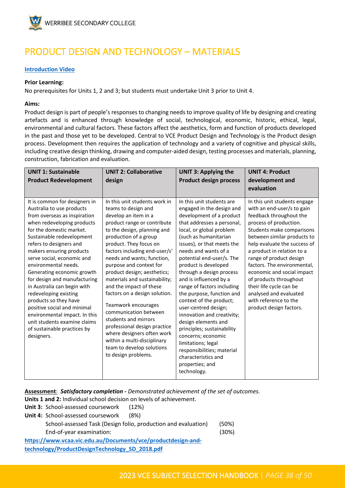

# <span id="page-37-0"></span>PRODUCT DESIGN AND TECHNOLOGY – MATERIALS

#### **[Introduction Video](https://youtu.be/TkEE7J7FIig)**

#### **Prior Learning:**

No prerequisites for Units 1, 2 and 3; but students must undertake Unit 3 prior to Unit 4.

#### **Aims:**

Product design is part of people's responses to changing needs to improve quality of life by designing and creating artefacts and is enhanced through knowledge of social, technological, economic, historic, ethical, legal, environmental and cultural factors. These factors affect the aesthetics, form and function of products developed in the past and those yet to be developed. Central to VCE Product Design and Technology is the Product design process. Development then requires the application of technology and a variety of cognitive and physical skills, including creative design thinking, drawing and computer-aided design, testing processes and materials, planning, construction, fabrication and evaluation.

| <b>UNIT 1: Sustainable</b>                                                                                                                                                                                                                                                                                                                                                 | <b>UNIT 2: Collaborative</b>                                                                                                                                                                                                                                                                                                                                                                                                                | <b>UNIT 3: Applying the</b>                                                                                                                                                                                                                                                                                                                                                                                                                                         | <b>UNIT 4: Product</b>                                                                                                                                                                                                                                |
|----------------------------------------------------------------------------------------------------------------------------------------------------------------------------------------------------------------------------------------------------------------------------------------------------------------------------------------------------------------------------|---------------------------------------------------------------------------------------------------------------------------------------------------------------------------------------------------------------------------------------------------------------------------------------------------------------------------------------------------------------------------------------------------------------------------------------------|---------------------------------------------------------------------------------------------------------------------------------------------------------------------------------------------------------------------------------------------------------------------------------------------------------------------------------------------------------------------------------------------------------------------------------------------------------------------|-------------------------------------------------------------------------------------------------------------------------------------------------------------------------------------------------------------------------------------------------------|
| <b>Product Redevelopment</b>                                                                                                                                                                                                                                                                                                                                               | design                                                                                                                                                                                                                                                                                                                                                                                                                                      | <b>Product design process</b>                                                                                                                                                                                                                                                                                                                                                                                                                                       | development and<br>evaluation                                                                                                                                                                                                                         |
| It is common for designers in<br>Australia to use products<br>from overseas as inspiration<br>when redeveloping products<br>for the domestic market.<br>Sustainable redevelopment<br>refers to designers and                                                                                                                                                               | In this unit students work in<br>teams to design and<br>develop an item in a<br>product range or contribute<br>to the design, planning and<br>production of a group<br>product. They focus on                                                                                                                                                                                                                                               | In this unit students are<br>engaged in the design and<br>development of a product<br>that addresses a personal,<br>local, or global problem<br>(such as humanitarian<br>issues), or that meets the                                                                                                                                                                                                                                                                 | In this unit students engage<br>with an end-user/s to gain<br>feedback throughout the<br>process of production.<br>Students make comparisons<br>between similar products to<br>help evaluate the success of                                           |
| makers ensuring products<br>serve social, economic and<br>environmental needs.<br>Generating economic growth<br>for design and manufacturing<br>in Australia can begin with<br>redeveloping existing<br>products so they have<br>positive social and minimal<br>environmental impact. In this<br>unit students examine claims<br>of sustainable practices by<br>designers. | factors including end-user/s'<br>needs and wants; function,<br>purpose and context for<br>product design; aesthetics;<br>materials and sustainability;<br>and the impact of these<br>factors on a design solution.<br>Teamwork encourages<br>communication between<br>students and mirrors<br>professional design practice<br>where designers often work<br>within a multi-disciplinary<br>team to develop solutions<br>to design problems. | needs and wants of a<br>potential end-user/s. The<br>product is developed<br>through a design process<br>and is influenced by a<br>range of factors including<br>the purpose, function and<br>context of the product;<br>user-centred design;<br>innovation and creativity;<br>design elements and<br>principles; sustainability<br>concerns; economic<br>limitations; legal<br>responsibilities; material<br>characteristics and<br>properties; and<br>technology. | a product in relation to a<br>range of product design<br>factors. The environmental,<br>economic and social impact<br>of products throughout<br>their life cycle can be<br>analysed and evaluated<br>with reference to the<br>product design factors. |

**Assessment**: *Satisfactory completion - Demonstrated achievement of the set of outcomes.*

**Units 1 and 2:** Individual school decision on levels of achievement.

**Unit 3:** School-assessed coursework (12%)

**Unit 4:** School-assessed coursework (8%) School-assessed Task (Design folio, production and evaluation) (50%) End-of-year examination: (30%) **[https://www.vcaa.vic.edu.au/Documents/vce/productdesign-and-](https://www.vcaa.vic.edu.au/Documents/vce/productdesign-and-technology/ProductDesignTechnology_SD_2018.pdf)**

**[technology/ProductDesignTechnology\\_SD\\_2018.pdf](https://www.vcaa.vic.edu.au/Documents/vce/productdesign-and-technology/ProductDesignTechnology_SD_2018.pdf)**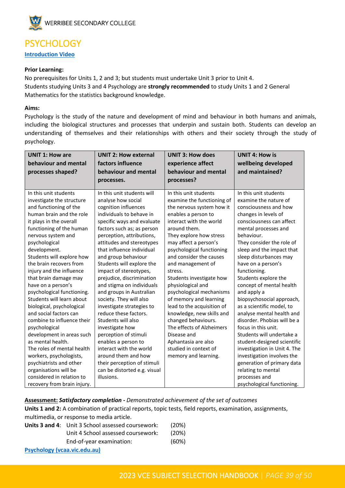

### <span id="page-38-0"></span>**PSYCHOLOGY [Introduction Video](https://youtu.be/joEBrqGalBE)**

#### **Prior Learning:**

No prerequisites for Units 1, 2 and 3; but students must undertake Unit 3 prior to Unit 4. Students studying Units 3 and 4 Psychology are **strongly recommended** to study Units 1 and 2 General Mathematics for the statistics background knowledge.

#### **Aims:**

Psychology is the study of the nature and development of mind and behaviour in both humans and animals, including the biological structures and processes that underpin and sustain both. Students can develop an understanding of themselves and their relationships with others and their society through the study of psychology.

| <b>UNIT 2: How external</b>                                                                                                                                                                                                                                                                                                                                                                                                                                                                                                                                                                                                                                                                                            | <b>UNIT 3: How does</b>                                                                                                                                                                                                                                                                                                                                                                                                                                                                                                                                                                                     | <b>UNIT 4: How is</b><br>wellbeing developed                                                                                                                                                                                                                                                                                                                                                                                                                                                                                                                                                                                                                                              |
|------------------------------------------------------------------------------------------------------------------------------------------------------------------------------------------------------------------------------------------------------------------------------------------------------------------------------------------------------------------------------------------------------------------------------------------------------------------------------------------------------------------------------------------------------------------------------------------------------------------------------------------------------------------------------------------------------------------------|-------------------------------------------------------------------------------------------------------------------------------------------------------------------------------------------------------------------------------------------------------------------------------------------------------------------------------------------------------------------------------------------------------------------------------------------------------------------------------------------------------------------------------------------------------------------------------------------------------------|-------------------------------------------------------------------------------------------------------------------------------------------------------------------------------------------------------------------------------------------------------------------------------------------------------------------------------------------------------------------------------------------------------------------------------------------------------------------------------------------------------------------------------------------------------------------------------------------------------------------------------------------------------------------------------------------|
| behaviour and mental                                                                                                                                                                                                                                                                                                                                                                                                                                                                                                                                                                                                                                                                                                   | behaviour and mental                                                                                                                                                                                                                                                                                                                                                                                                                                                                                                                                                                                        | and maintained?                                                                                                                                                                                                                                                                                                                                                                                                                                                                                                                                                                                                                                                                           |
| processes.                                                                                                                                                                                                                                                                                                                                                                                                                                                                                                                                                                                                                                                                                                             | processes?                                                                                                                                                                                                                                                                                                                                                                                                                                                                                                                                                                                                  |                                                                                                                                                                                                                                                                                                                                                                                                                                                                                                                                                                                                                                                                                           |
| In this unit students will<br>analyse how social<br>cognition influences<br>individuals to behave in<br>specific ways and evaluate<br>factors such as; as person<br>perception, attributions,<br>attitudes and stereotypes<br>that influence individual<br>and group behaviour<br>Students will explore the<br>impact of stereotypes,<br>prejudice, discrimination<br>and stigma on individuals<br>and groups in Australian<br>society. They will also<br>investigate strategies to<br>reduce these factors.<br>Students will also<br>investigate how<br>perception of stimuli<br>enables a person to<br>interact with the world<br>around them and how<br>their perception of stimuli<br>can be distorted e.g. visual | In this unit students<br>examine the functioning of<br>the nervous system how it<br>enables a person to<br>interact with the world<br>around them.<br>They explore how stress<br>may affect a person's<br>psychological functioning<br>and consider the causes<br>and management of<br>stress.<br>Students investigate how<br>physiological and<br>psychological mechanisms<br>of memory and learning<br>lead to the acquisition of<br>knowledge, new skills and<br>changed behaviours.<br>The effects of Alzheimers<br>Disease and<br>Aphantasia are also<br>studied in context of<br>memory and learning. | In this unit students<br>examine the nature of<br>consciousness and how<br>changes in levels of<br>consciousness can affect<br>mental processes and<br>behaviour.<br>They consider the role of<br>sleep and the impact that<br>sleep disturbances may<br>have on a person's<br>functioning.<br>Students explore the<br>concept of mental health<br>and apply a<br>biopsychosocial approach,<br>as a scientific model, to<br>analyse mental health and<br>disorder. Phobias will be a<br>focus in this unit.<br>Students will undertake a<br>student-designed scientific<br>investigation in Unit 4. The<br>investigation involves the<br>generation of primary data<br>relating to mental |
|                                                                                                                                                                                                                                                                                                                                                                                                                                                                                                                                                                                                                                                                                                                        |                                                                                                                                                                                                                                                                                                                                                                                                                                                                                                                                                                                                             | processes and<br>psychological functioning.                                                                                                                                                                                                                                                                                                                                                                                                                                                                                                                                                                                                                                               |
|                                                                                                                                                                                                                                                                                                                                                                                                                                                                                                                                                                                                                                                                                                                        | factors influence<br>illusions.                                                                                                                                                                                                                                                                                                                                                                                                                                                                                                                                                                             | experience affect                                                                                                                                                                                                                                                                                                                                                                                                                                                                                                                                                                                                                                                                         |

#### **Assessment:** *Satisfactory completion - Demonstrated achievement of the set of outcomes* **Units 1 and 2:** A combination of practical reports, topic tests, field reports, examination, assignments, multimedia, or response to media article.

|                              | <b>Units 3 and 4:</b> Unit 3 School assessed coursework: | (20%) |
|------------------------------|----------------------------------------------------------|-------|
|                              | Unit 4 School assessed coursework:                       | (20%) |
|                              | End-of-year examination:                                 | (60%) |
| Psychology (vcaa.vic.edu.au) |                                                          |       |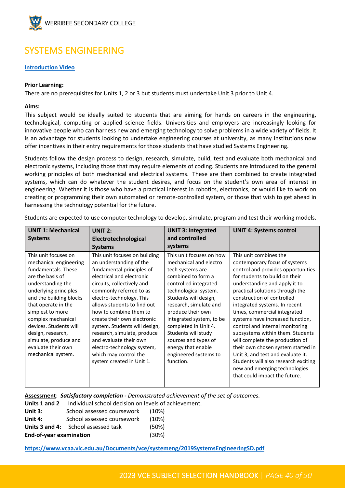

# <span id="page-39-0"></span>SYSTEMS ENGINEERING

#### **[Introduction Video](https://youtu.be/pO6MAEWbNYw)**

#### **Prior Learning:**

There are no prerequisites for Units 1, 2 or 3 but students must undertake Unit 3 prior to Unit 4.

#### **Aims:**

This subject would be ideally suited to students that are aiming for hands on careers in the engineering, technological, computing or applied science fields. Universities and employers are increasingly looking for innovative people who can harness new and emerging technology to solve problems in a wide variety of fields. It is an advantage for students looking to undertake engineering courses at university, as many institutions now offer incentives in their entry requirements for those students that have studied Systems Engineering.

Students follow the design process to design, research, simulate, build, test and evaluate both mechanical and electronic systems, including those that may require elements of coding. Students are introduced to the general working principles of both mechanical and electrical systems. These are then combined to create integrated systems, which can do whatever the student desires, and focus on the student's own area of interest in engineering. Whether it is those who have a practical interest in robotics, electronics, or would like to work on creating or programming their own automated or remote-controlled system, or those that wish to get ahead in harnessing the technology potential for the future.

| <b>UNIT 1: Mechanical</b>                                                                                                                                                                                                                                                                                                                               | <b>UNIT 2:</b>                                                                                                                                                                                                                                                                                                                                                                                                                                                                | <b>UNIT 3: Integrated</b>                                                                                                                                                                                                                                                                                                                                                             | <b>UNIT 4: Systems control</b>                                                                                                                                                                                                                                                                                                                                                                                                                                                                                                                                                                                                        |
|---------------------------------------------------------------------------------------------------------------------------------------------------------------------------------------------------------------------------------------------------------------------------------------------------------------------------------------------------------|-------------------------------------------------------------------------------------------------------------------------------------------------------------------------------------------------------------------------------------------------------------------------------------------------------------------------------------------------------------------------------------------------------------------------------------------------------------------------------|---------------------------------------------------------------------------------------------------------------------------------------------------------------------------------------------------------------------------------------------------------------------------------------------------------------------------------------------------------------------------------------|---------------------------------------------------------------------------------------------------------------------------------------------------------------------------------------------------------------------------------------------------------------------------------------------------------------------------------------------------------------------------------------------------------------------------------------------------------------------------------------------------------------------------------------------------------------------------------------------------------------------------------------|
| <b>Systems</b>                                                                                                                                                                                                                                                                                                                                          | Electrotechnological                                                                                                                                                                                                                                                                                                                                                                                                                                                          | and controlled                                                                                                                                                                                                                                                                                                                                                                        |                                                                                                                                                                                                                                                                                                                                                                                                                                                                                                                                                                                                                                       |
|                                                                                                                                                                                                                                                                                                                                                         | <b>Systems</b>                                                                                                                                                                                                                                                                                                                                                                                                                                                                | systems                                                                                                                                                                                                                                                                                                                                                                               |                                                                                                                                                                                                                                                                                                                                                                                                                                                                                                                                                                                                                                       |
| This unit focuses on<br>mechanical engineering<br>fundamentals. These<br>are the basis of<br>understanding the<br>underlying principles<br>and the building blocks<br>that operate in the<br>simplest to more<br>complex mechanical<br>devices. Students will<br>design, research,<br>simulate, produce and<br>evaluate their own<br>mechanical system. | This unit focuses on building<br>an understanding of the<br>fundamental principles of<br>electrical and electronic<br>circuits, collectively and<br>commonly referred to as<br>electro-technology. This<br>allows students to find out<br>how to combine them to<br>create their own electronic<br>system. Students will design,<br>research, simulate, produce<br>and evaluate their own<br>electro-technology system,<br>which may control the<br>system created in Unit 1. | This unit focuses on how<br>mechanical and electro<br>tech systems are<br>combined to form a<br>controlled integrated<br>technological system.<br>Students will design,<br>research, simulate and<br>produce their own<br>integrated system, to be<br>completed in Unit 4.<br>Students will study<br>sources and types of<br>energy that enable<br>engineered systems to<br>function. | This unit combines the<br>contemporary focus of systems<br>control and provides opportunities<br>for students to build on their<br>understanding and apply it to<br>practical solutions through the<br>construction of controlled<br>integrated systems. In recent<br>times, commercial integrated<br>systems have increased function,<br>control and internal monitoring<br>subsystems within them. Students<br>will complete the production of<br>their own chosen system started in<br>Unit 3, and test and evaluate it.<br>Students will also research exciting<br>new and emerging technologies<br>that could impact the future. |

Students are expected to use computer technology to develop, simulate, program and test their working models.

#### **Assessment**: *Satisfactory completion - Demonstrated achievement of the set of outcomes.*

| Units 1 and 2                  | Individual school decision on levels of achievement. |       |
|--------------------------------|------------------------------------------------------|-------|
| Unit $3:$                      | School assessed coursework                           | (10%) |
| Unit 4:                        | School assessed coursework                           | (10%) |
|                                | <b>Units 3 and 4:</b> School assessed task           | (50%) |
| <b>End-of-year examination</b> |                                                      | (30%) |

**<https://www.vcaa.vic.edu.au/Documents/vce/systemeng/2019SystemsEngineeringSD.pdf>**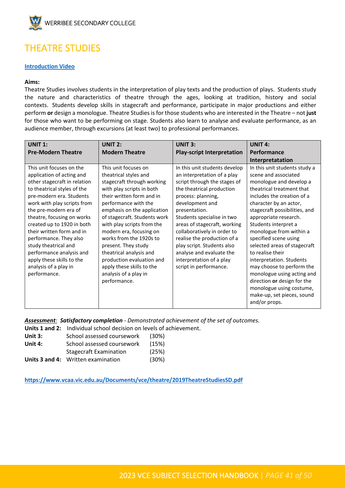

# <span id="page-40-0"></span>THEATRE STUDIES

#### **[Introduction Video](https://youtu.be/drTzSG2jJsA)**

#### **Aims:**

Theatre Studies involves students in the interpretation of play texts and the production of plays. Students study the nature and characteristics of theatre through the ages, looking at tradition, history and social contexts. Students develop skills in stagecraft and performance, participate in major productions and either perform **or** design a monologue. Theatre Studies is for those students who are interested in the Theatre – not **just** for those who want to be performing on stage. Students also learn to analyse and evaluate performance, as an audience member, through excursions (at least two) to professional performances.

| <b>UNIT 1:</b>                                                                                                                                                                                                                                                                                                                                                                                                                                        | <b>UNIT 2:</b>                                                                                                                                                                                                                                                                                                                                                                                                                                                        | <b>UNIT 3:</b>                                                                                                                                                                                                                                                                                                                                                                                                                  | <b>UNIT 4:</b>                                                                                                                                                                                                                                                                                                                                                                                                                                                                                                                                                   |
|-------------------------------------------------------------------------------------------------------------------------------------------------------------------------------------------------------------------------------------------------------------------------------------------------------------------------------------------------------------------------------------------------------------------------------------------------------|-----------------------------------------------------------------------------------------------------------------------------------------------------------------------------------------------------------------------------------------------------------------------------------------------------------------------------------------------------------------------------------------------------------------------------------------------------------------------|---------------------------------------------------------------------------------------------------------------------------------------------------------------------------------------------------------------------------------------------------------------------------------------------------------------------------------------------------------------------------------------------------------------------------------|------------------------------------------------------------------------------------------------------------------------------------------------------------------------------------------------------------------------------------------------------------------------------------------------------------------------------------------------------------------------------------------------------------------------------------------------------------------------------------------------------------------------------------------------------------------|
| <b>Pre-Modern Theatre</b>                                                                                                                                                                                                                                                                                                                                                                                                                             | <b>Modern Theatre</b>                                                                                                                                                                                                                                                                                                                                                                                                                                                 | <b>Play-script Interpretation</b>                                                                                                                                                                                                                                                                                                                                                                                               | <b>Performance</b>                                                                                                                                                                                                                                                                                                                                                                                                                                                                                                                                               |
|                                                                                                                                                                                                                                                                                                                                                                                                                                                       |                                                                                                                                                                                                                                                                                                                                                                                                                                                                       |                                                                                                                                                                                                                                                                                                                                                                                                                                 | Interpretatation                                                                                                                                                                                                                                                                                                                                                                                                                                                                                                                                                 |
| This unit focuses on the<br>application of acting and<br>other stagecraft in relation<br>to theatrical styles of the<br>pre-modern era. Students<br>work with play scripts from<br>the pre-modern era of<br>theatre, focusing on works<br>created up to 1920 in both<br>their written form and in<br>performance. They also<br>study theatrical and<br>performance analysis and<br>apply these skills to the<br>analysis of a play in<br>performance. | This unit focuses on<br>theatrical styles and<br>stagecraft through working<br>with play scripts in both<br>their written form and in<br>performance with the<br>emphasis on the application<br>of stagecraft. Students work<br>with play scripts from the<br>modern era, focusing on<br>works from the 1920s to<br>present. They study<br>theatrical analysis and<br>production evaluation and<br>apply these skills to the<br>analysis of a play in<br>performance. | In this unit students develop<br>an interpretation of a play<br>script through the stages of<br>the theatrical production<br>process: planning,<br>development and<br>presentation.<br>Students specialise in two<br>areas of stagecraft, working<br>collaboratively in order to<br>realise the production of a<br>play script. Students also<br>analyse and evaluate the<br>interpretation of a play<br>script in performance. | In this unit students study a<br>scene and associated<br>monologue and develop a<br>theatrical treatment that<br>includes the creation of a<br>character by an actor,<br>stagecraft possibilities, and<br>appropriate research.<br>Students interpret a<br>monologue from within a<br>specified scene using<br>selected areas of stagecraft<br>to realise their<br>interpretation. Students<br>may choose to perform the<br>monologue using acting and<br>direction or design for the<br>monologue using costume,<br>make-up, set pieces, sound<br>and/or props. |

*Assessment: Satisfactory completion - Demonstrated achievement of the set of outcomes.*

**Units 1 and 2:** Individual school decision on levels of achievement.

- **Unit 3:** School assessed coursework (30%)
- Unit 4: School assessed coursework (15%)
- Stagecraft Examination (25%)

**Units 3 and 4:** Written examination (30%)

**<https://www.vcaa.vic.edu.au/Documents/vce/theatre/2019TheatreStudiesSD.pdf>**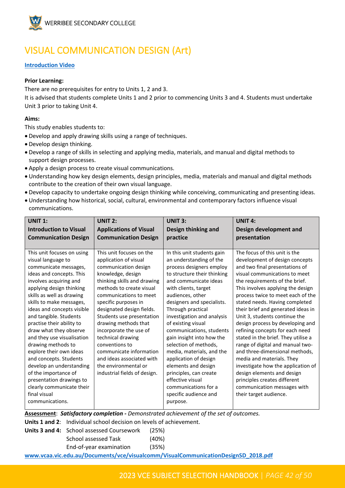

# <span id="page-41-0"></span>VISUAL COMMUNICATION DESIGN (Art)

#### **[Introduction Video](https://youtu.be/BuOLsZMubmk)**

#### **Prior Learning:**

There are no prerequisites for entry to Units 1, 2 and 3.

It is advised that students complete Units 1 and 2 prior to commencing Units 3 and 4. Students must undertake Unit 3 prior to taking Unit 4.

#### **Aims:**

This study enables students to:

- Develop and apply drawing skills using a range of techniques.
- Develop design thinking.
- Develop a range of skills in selecting and applying media, materials, and manual and digital methods to support design processes.
- Apply a design process to create visual communications.
- Understanding how key design elements, design principles, media, materials and manual and digital methods contribute to the creation of their own visual language.
- Develop capacity to undertake ongoing design thinking while conceiving, communicating and presenting ideas.
- Understanding how historical, social, cultural, environmental and contemporary factors influence visual communications.

| <b>UNIT 1:</b>                                                                                                                                                                                                                                                                                                                                                                                                                                                                                                                                                            | <b>UNIT 2:</b>                                                                                                                                                                                                                                                                                                                                                                                                                                                                 | <b>UNIT 3:</b>                                                                                                                                                                                                                                                                                                                                                                                                                                                                                                                                             | <b>UNIT 4:</b>                                                                                                                                                                                                                                                                                                                                                                                                                                                                                                                                                                                                                                                                                                                        |
|---------------------------------------------------------------------------------------------------------------------------------------------------------------------------------------------------------------------------------------------------------------------------------------------------------------------------------------------------------------------------------------------------------------------------------------------------------------------------------------------------------------------------------------------------------------------------|--------------------------------------------------------------------------------------------------------------------------------------------------------------------------------------------------------------------------------------------------------------------------------------------------------------------------------------------------------------------------------------------------------------------------------------------------------------------------------|------------------------------------------------------------------------------------------------------------------------------------------------------------------------------------------------------------------------------------------------------------------------------------------------------------------------------------------------------------------------------------------------------------------------------------------------------------------------------------------------------------------------------------------------------------|---------------------------------------------------------------------------------------------------------------------------------------------------------------------------------------------------------------------------------------------------------------------------------------------------------------------------------------------------------------------------------------------------------------------------------------------------------------------------------------------------------------------------------------------------------------------------------------------------------------------------------------------------------------------------------------------------------------------------------------|
| <b>Introduction to Visual</b>                                                                                                                                                                                                                                                                                                                                                                                                                                                                                                                                             | <b>Applications of Visual</b>                                                                                                                                                                                                                                                                                                                                                                                                                                                  | Design thinking and                                                                                                                                                                                                                                                                                                                                                                                                                                                                                                                                        | Design development and                                                                                                                                                                                                                                                                                                                                                                                                                                                                                                                                                                                                                                                                                                                |
| <b>Communication Design</b>                                                                                                                                                                                                                                                                                                                                                                                                                                                                                                                                               | <b>Communication Design</b>                                                                                                                                                                                                                                                                                                                                                                                                                                                    | practice                                                                                                                                                                                                                                                                                                                                                                                                                                                                                                                                                   | presentation                                                                                                                                                                                                                                                                                                                                                                                                                                                                                                                                                                                                                                                                                                                          |
|                                                                                                                                                                                                                                                                                                                                                                                                                                                                                                                                                                           |                                                                                                                                                                                                                                                                                                                                                                                                                                                                                |                                                                                                                                                                                                                                                                                                                                                                                                                                                                                                                                                            |                                                                                                                                                                                                                                                                                                                                                                                                                                                                                                                                                                                                                                                                                                                                       |
| This unit focuses on using<br>visual language to<br>communicate messages,<br>ideas and concepts. This<br>involves acquiring and<br>applying design thinking<br>skills as well as drawing<br>skills to make messages,<br>ideas and concepts visible<br>and tangible. Students<br>practise their ability to<br>draw what they observe<br>and they use visualisation<br>drawing methods to<br>explore their own ideas<br>and concepts. Students<br>develop an understanding<br>of the importance of<br>presentation drawings to<br>clearly communicate their<br>final visual | This unit focuses on the<br>application of visual<br>communication design<br>knowledge, design<br>thinking skills and drawing<br>methods to create visual<br>communications to meet<br>specific purposes in<br>designated design fields.<br>Students use presentation<br>drawing methods that<br>incorporate the use of<br>technical drawing<br>conventions to<br>communicate information<br>and ideas associated with<br>the environmental or<br>industrial fields of design. | In this unit students gain<br>an understanding of the<br>process designers employ<br>to structure their thinking<br>and communicate ideas<br>with clients, target<br>audiences, other<br>designers and specialists.<br>Through practical<br>investigation and analysis<br>of existing visual<br>communications, students<br>gain insight into how the<br>selection of methods,<br>media, materials, and the<br>application of design<br>elements and design<br>principles, can create<br>effective visual<br>communications for a<br>specific audience and | The focus of this unit is the<br>development of design concepts<br>and two final presentations of<br>visual communications to meet<br>the requirements of the brief.<br>This involves applying the design<br>process twice to meet each of the<br>stated needs. Having completed<br>their brief and generated ideas in<br>Unit 3, students continue the<br>design process by developing and<br>refining concepts for each need<br>stated in the brief. They utilise a<br>range of digital and manual two-<br>and three-dimensional methods,<br>media and materials. They<br>investigate how the application of<br>design elements and design<br>principles creates different<br>communication messages with<br>their target audience. |
| communications.                                                                                                                                                                                                                                                                                                                                                                                                                                                                                                                                                           |                                                                                                                                                                                                                                                                                                                                                                                                                                                                                | purpose.                                                                                                                                                                                                                                                                                                                                                                                                                                                                                                                                                   |                                                                                                                                                                                                                                                                                                                                                                                                                                                                                                                                                                                                                                                                                                                                       |

**Assessment**: *Satisfactory completion - Demonstrated achievement of the set of outcomes.*

**Units 1 and 2**: Individual school decision on levels of achievement.

| Units 3 and 4: School assessed Coursework (25%) |       |
|-------------------------------------------------|-------|
| School assessed Task                            | (40%) |
| End-of-year examination                         | (35%) |

**[www.vcaa.vic.edu.au/Documents/vce/visualcomm/VisualCommunicationDesignSD\\_2018.pdf](http://www.vcaa.vic.edu.au/Documents/vce/visualcomm/VisualCommunicationDesignSD_2018.pdf)**

#### 2023 VCE SUBJECT SELECTION HANDBOOK | *PAGE 42 of 50*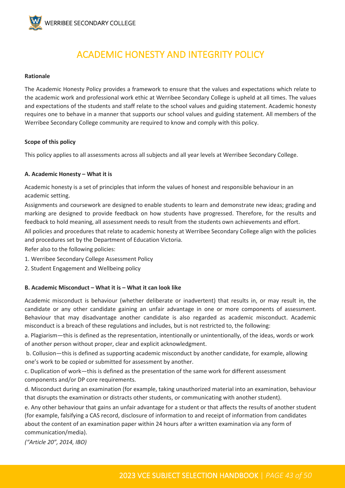

### ACADEMIC HONESTY AND INTEGRITY POLICY

#### <span id="page-42-0"></span>**Rationale**

The Academic Honesty Policy provides a framework to ensure that the values and expectations which relate to the academic work and professional work ethic at Werribee Secondary College is upheld at all times. The values and expectations of the students and staff relate to the school values and guiding statement. Academic honesty requires one to behave in a manner that supports our school values and guiding statement. All members of the Werribee Secondary College community are required to know and comply with this policy.

#### **Scope of this policy**

This policy applies to all assessments across all subjects and all year levels at Werribee Secondary College.

#### **A. Academic Honesty – What it is**

Academic honesty is a set of principles that inform the values of honest and responsible behaviour in an academic setting.

Assignments and coursework are designed to enable students to learn and demonstrate new ideas; grading and marking are designed to provide feedback on how students have progressed. Therefore, for the results and feedback to hold meaning, all assessment needs to result from the students own achievements and effort.

All policies and procedures that relate to academic honesty at Werribee Secondary College align with the policies and procedures set by the Department of Education Victoria.

Refer also to the following policies:

- 1. Werribee Secondary College Assessment Policy
- 2. Student Engagement and Wellbeing policy

#### **B. Academic Misconduct – What it is – What it can look like**

Academic misconduct is behaviour (whether deliberate or inadvertent) that results in, or may result in, the candidate or any other candidate gaining an unfair advantage in one or more components of assessment. Behaviour that may disadvantage another candidate is also regarded as academic misconduct. Academic misconduct is a breach of these regulations and includes, but is not restricted to, the following:

a. Plagiarism—this is defined as the representation, intentionally or unintentionally, of the ideas, words or work of another person without proper, clear and explicit acknowledgment.

b. Collusion—this is defined as supporting academic misconduct by another candidate, for example, allowing one's work to be copied or submitted for assessment by another.

c. Duplication of work—this is defined as the presentation of the same work for different assessment components and/or DP core requirements.

d. Misconduct during an examination (for example, taking unauthorized material into an examination, behaviour that disrupts the examination or distracts other students, or communicating with another student).

e. Any other behaviour that gains an unfair advantage for a student or that affects the results of another student (for example, falsifying a CAS record, disclosure of information to and receipt of information from candidates about the content of an examination paper within 24 hours after a written examination via any form of communication/media).

*("Article 20", 2014, IBO)*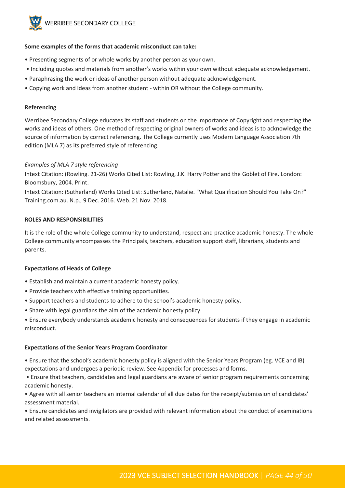

#### **Some examples of the forms that academic misconduct can take:**

- Presenting segments of or whole works by another person as your own.
- Including quotes and materials from another's works within your own without adequate acknowledgement.
- Paraphrasing the work or ideas of another person without adequate acknowledgement.
- Copying work and ideas from another student within OR without the College community.

#### **Referencing**

Werribee Secondary College educates its staff and students on the importance of Copyright and respecting the works and ideas of others. One method of respecting original owners of works and ideas is to acknowledge the source of information by correct referencing. The College currently uses Modern Language Association 7th edition (MLA 7) as its preferred style of referencing.

#### *Examples of MLA 7 style referencing*

Intext Citation: (Rowling. 21-26) Works Cited List: Rowling, J.K. Harry Potter and the Goblet of Fire. London: Bloomsbury, 2004. Print.

Intext Citation: (Sutherland) Works Cited List: Sutherland, Natalie. "What Qualification Should You Take On?" Training.com.au. N.p., 9 Dec. 2016. Web. 21 Nov. 2018.

#### **ROLES AND RESPONSIBILITIES**

It is the role of the whole College community to understand, respect and practice academic honesty. The whole College community encompasses the Principals, teachers, education support staff, librarians, students and parents.

#### **Expectations of Heads of College**

- Establish and maintain a current academic honesty policy.
- Provide teachers with effective training opportunities.
- Support teachers and students to adhere to the school's academic honesty policy.
- Share with legal guardians the aim of the academic honesty policy.

• Ensure everybody understands academic honesty and consequences for students if they engage in academic misconduct.

#### **Expectations of the Senior Years Program Coordinator**

• Ensure that the school's academic honesty policy is aligned with the Senior Years Program (eg. VCE and IB) expectations and undergoes a periodic review. See Appendix for processes and forms.

• Ensure that teachers, candidates and legal guardians are aware of senior program requirements concerning academic honesty.

• Agree with all senior teachers an internal calendar of all due dates for the receipt/submission of candidates' assessment material.

• Ensure candidates and invigilators are provided with relevant information about the conduct of examinations and related assessments.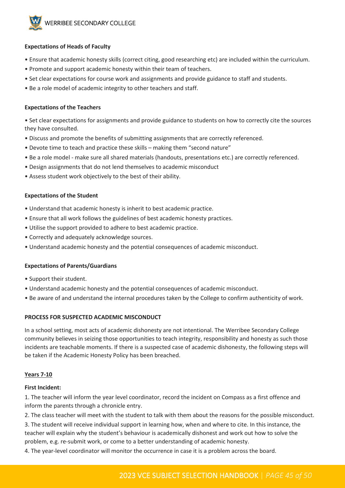

#### **Expectations of Heads of Faculty**

- Ensure that academic honesty skills (correct citing, good researching etc) are included within the curriculum.
- Promote and support academic honesty within their team of teachers.
- Set clear expectations for course work and assignments and provide guidance to staff and students.
- Be a role model of academic integrity to other teachers and staff.

#### **Expectations of the Teachers**

• Set clear expectations for assignments and provide guidance to students on how to correctly cite the sources they have consulted.

- Discuss and promote the benefits of submitting assignments that are correctly referenced.
- Devote time to teach and practice these skills making them "second nature"
- Be a role model make sure all shared materials (handouts, presentations etc.) are correctly referenced.
- Design assignments that do not lend themselves to academic misconduct
- Assess student work objectively to the best of their ability.

#### **Expectations of the Student**

- Understand that academic honesty is inherit to best academic practice.
- Ensure that all work follows the guidelines of best academic honesty practices.
- Utilise the support provided to adhere to best academic practice.
- Correctly and adequately acknowledge sources.
- Understand academic honesty and the potential consequences of academic misconduct.

#### **Expectations of Parents/Guardians**

- Support their student.
- Understand academic honesty and the potential consequences of academic misconduct.
- Be aware of and understand the internal procedures taken by the College to confirm authenticity of work.

#### **PROCESS FOR SUSPECTED ACADEMIC MISCONDUCT**

In a school setting, most acts of academic dishonesty are not intentional. The Werribee Secondary College community believes in seizing those opportunities to teach integrity, responsibility and honesty as such those incidents are teachable moments. If there is a suspected case of academic dishonesty, the following steps will be taken if the Academic Honesty Policy has been breached.

#### **Years 7-10**

#### **First Incident:**

1. The teacher will inform the year level coordinator, record the incident on Compass as a first offence and inform the parents through a chronicle entry.

2. The class teacher will meet with the student to talk with them about the reasons for the possible misconduct.

3. The student will receive individual support in learning how, when and where to cite. In this instance, the teacher will explain why the student's behaviour is academically dishonest and work out how to solve the problem, e.g. re-submit work, or come to a better understanding of academic honesty.

4. The year-level coordinator will monitor the occurrence in case it is a problem across the board.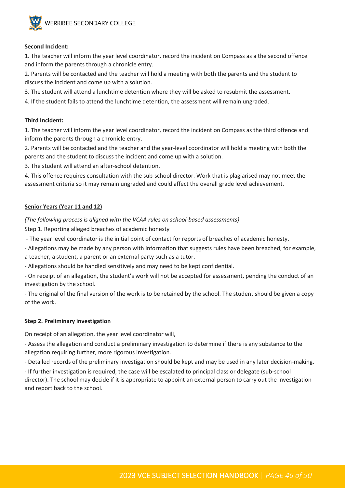

#### **Second Incident:**

1. The teacher will inform the year level coordinator, record the incident on Compass as a the second offence and inform the parents through a chronicle entry.

2. Parents will be contacted and the teacher will hold a meeting with both the parents and the student to discuss the incident and come up with a solution.

3. The student will attend a lunchtime detention where they will be asked to resubmit the assessment.

4. If the student fails to attend the lunchtime detention, the assessment will remain ungraded.

#### **Third Incident:**

1. The teacher will inform the year level coordinator, record the incident on Compass as the third offence and inform the parents through a chronicle entry.

2. Parents will be contacted and the teacher and the year-level coordinator will hold a meeting with both the parents and the student to discuss the incident and come up with a solution.

3. The student will attend an after-school detention.

4. This offence requires consultation with the sub-school director. Work that is plagiarised may not meet the assessment criteria so it may remain ungraded and could affect the overall grade level achievement.

#### **Senior Years (Year 11 and 12)**

*(The following process is aligned with the VCAA rules on school-based assessments)* 

Step 1. Reporting alleged breaches of academic honesty

- The year level coordinator is the initial point of contact for reports of breaches of academic honesty.

- Allegations may be made by any person with information that suggests rules have been breached, for example, a teacher, a student, a parent or an external party such as a tutor.

- Allegations should be handled sensitively and may need to be kept confidential.

- On receipt of an allegation, the student's work will not be accepted for assessment, pending the conduct of an investigation by the school.

- The original of the final version of the work is to be retained by the school. The student should be given a copy of the work.

#### **Step 2. Preliminary investigation**

On receipt of an allegation, the year level coordinator will,

- Assess the allegation and conduct a preliminary investigation to determine if there is any substance to the allegation requiring further, more rigorous investigation.

- Detailed records of the preliminary investigation should be kept and may be used in any later decision-making.

- If further investigation is required, the case will be escalated to principal class or delegate (sub-school director). The school may decide if it is appropriate to appoint an external person to carry out the investigation and report back to the school.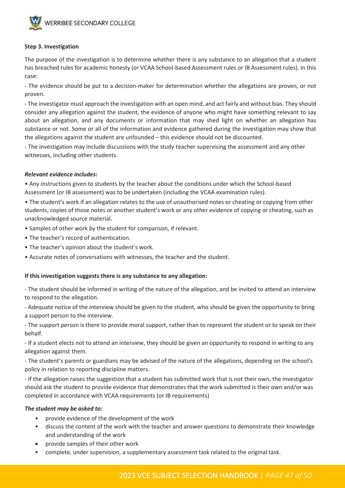

#### **Step 3. Investigation**

The purpose of the investigation is to determine whether there is any substance to an allegation that a student has breached rules for academic honesty (or VCAA School-based Assessment rules or IB Assessment rules). In this case:

- The evidence should be put to a decision-maker for determination whether the allegations are proven, or not proven.

- The investigator must approach the investigation with an open mind, and act fairly and without bias. They should consider any allegation against the student, the evidence of anyone who might have something relevant to say about an allegation, and any documents or information that may shed light on whether an allegation has substance or not. Some or all of the information and evidence gathered during the investigation may show that the allegations against the student are unfounded – this evidence should not be discounted.

- The investigation may include discussions with the study teacher supervising the assessment and any other witnesses, including other students.

#### *Relevant evidence includes:*

• Any instructions given to students by the teacher about the conditions under which the School-based Assessment (or IB assessment) was to be undertaken (including the VCAA examination rules).

• The student's work if an allegation relates to the use of unauthorised notes or cheating or copying from other students, copies of those notes or another student's work or any other evidence of copying or cheating, such as unacknowledged source material.

- Samples of other work by the student for comparison, if relevant.
- The teacher's record of authentication.
- The teacher's opinion about the student's work.
- Accurate notes of conversations with witnesses, the teacher and the student.

#### **If this investigation suggests there is any substance to any allegation:**

- The student should be informed in writing of the nature of the allegation, and be invited to attend an interview to respond to the allegation.

- Adequate notice of the interview should be given to the student, who should be given the opportunity to bring a support person to the interview.

- The support person is there to provide moral support, rather than to represent the student or to speak on their behalf.

- If a student elects not to attend an interview, they should be given an opportunity to respond in writing to any allegation against them.

- The student's parents or guardians may be advised of the nature of the allegations, depending on the school's policy in relation to reporting discipline matters.

- If the allegation raises the suggestion that a student has submitted work that is not their own, the investigator should ask the student to provide evidence that demonstrates that the work submitted is their own and/or was completed in accordance with VCAA requirements (or IB requirements)

#### *The student may be asked to:*

- provide evidence of the development of the work
- discuss the content of the work with the teacher and answer questions to demonstrate their knowledge and understanding of the work
- provide samples of their other work
- complete, under supervision, a supplementary assessment task related to the original task.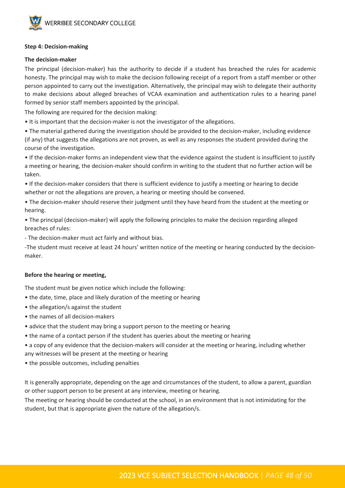

#### **Step 4: Decision-making**

#### **The decision-maker**

The principal (decision-maker) has the authority to decide if a student has breached the rules for academic honesty. The principal may wish to make the decision following receipt of a report from a staff member or other person appointed to carry out the investigation. Alternatively, the principal may wish to delegate their authority to make decisions about alleged breaches of VCAA examination and authentication rules to a hearing panel formed by senior staff members appointed by the principal.

The following are required for the decision making:

• It is important that the decision-maker is not the investigator of the allegations.

• The material gathered during the investigation should be provided to the decision-maker, including evidence (if any) that suggests the allegations are not proven, as well as any responses the student provided during the course of the investigation.

• If the decision-maker forms an independent view that the evidence against the student is insufficient to justify a meeting or hearing, the decision-maker should confirm in writing to the student that no further action will be taken.

• If the decision-maker considers that there is sufficient evidence to justify a meeting or hearing to decide whether or not the allegations are proven, a hearing or meeting should be convened.

• The decision-maker should reserve their judgment until they have heard from the student at the meeting or hearing.

• The principal (decision-maker) will apply the following principles to make the decision regarding alleged breaches of rules:

- The decision-maker must act fairly and without bias.

-The student must receive at least 24 hours' written notice of the meeting or hearing conducted by the decisionmaker.

#### **Before the hearing or meeting,**

The student must be given notice which include the following:

- the date, time, place and likely duration of the meeting or hearing
- the allegation/s against the student
- the names of all decision-makers
- advice that the student may bring a support person to the meeting or hearing
- the name of a contact person if the student has queries about the meeting or hearing
- a copy of any evidence that the decision-makers will consider at the meeting or hearing, including whether any witnesses will be present at the meeting or hearing
- the possible outcomes, including penalties

It is generally appropriate, depending on the age and circumstances of the student, to allow a parent, guardian or other support person to be present at any interview, meeting or hearing.

The meeting or hearing should be conducted at the school, in an environment that is not intimidating for the student, but that is appropriate given the nature of the allegation/s.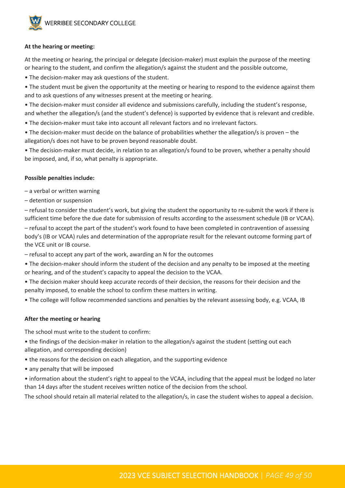

#### **At the hearing or meeting:**

At the meeting or hearing, the principal or delegate (decision-maker) must explain the purpose of the meeting or hearing to the student, and confirm the allegation/s against the student and the possible outcome,

- The decision-maker may ask questions of the student.
- The student must be given the opportunity at the meeting or hearing to respond to the evidence against them and to ask questions of any witnesses present at the meeting or hearing.
- The decision-maker must consider all evidence and submissions carefully, including the student's response, and whether the allegation/s (and the student's defence) is supported by evidence that is relevant and credible.
- The decision-maker must take into account all relevant factors and no irrelevant factors.
- The decision-maker must decide on the balance of probabilities whether the allegation/s is proven the allegation/s does not have to be proven beyond reasonable doubt.
- The decision-maker must decide, in relation to an allegation/s found to be proven, whether a penalty should be imposed, and, if so, what penalty is appropriate.

#### **Possible penalties include:**

- a verbal or written warning
- detention or suspension

– refusal to consider the student's work, but giving the student the opportunity to re-submit the work if there is sufficient time before the due date for submission of results according to the assessment schedule (IB or VCAA). – refusal to accept the part of the student's work found to have been completed in contravention of assessing body's (IB or VCAA) rules and determination of the appropriate result for the relevant outcome forming part of the VCE unit or IB course.

– refusal to accept any part of the work, awarding an N for the outcomes

- The decision-maker should inform the student of the decision and any penalty to be imposed at the meeting or hearing, and of the student's capacity to appeal the decision to the VCAA.
- The decision maker should keep accurate records of their decision, the reasons for their decision and the penalty imposed, to enable the school to confirm these matters in writing.
- The college will follow recommended sanctions and penalties by the relevant assessing body, e.g. VCAA, IB

#### **After the meeting or hearing**

The school must write to the student to confirm:

- the findings of the decision-maker in relation to the allegation/s against the student (setting out each allegation, and corresponding decision)
- the reasons for the decision on each allegation, and the supporting evidence
- any penalty that will be imposed
- information about the student's right to appeal to the VCAA, including that the appeal must be lodged no later than 14 days after the student receives written notice of the decision from the school.

The school should retain all material related to the allegation/s, in case the student wishes to appeal a decision.